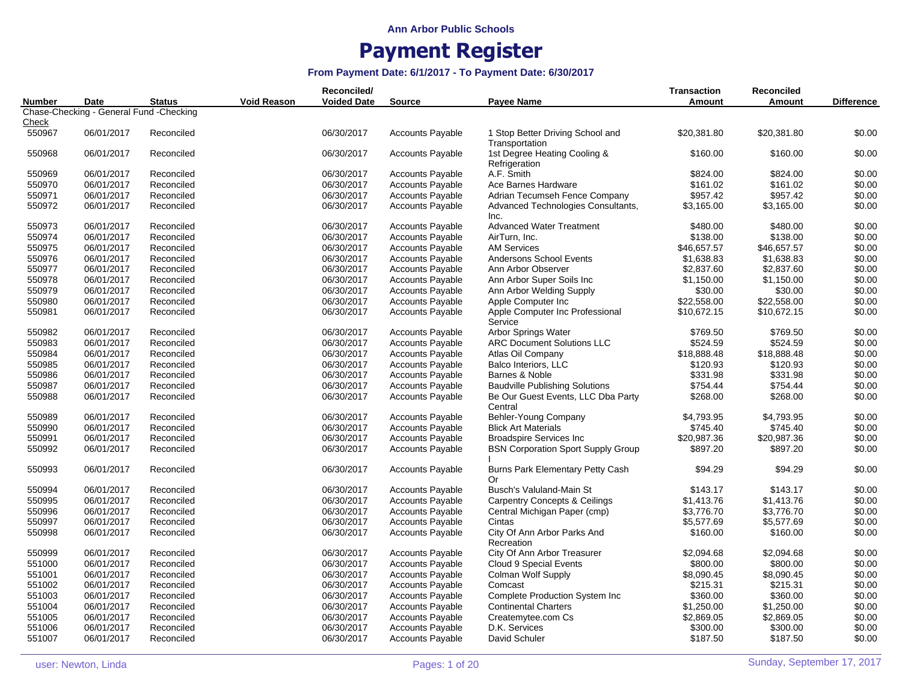| <b>Voided Date</b><br>Amount<br>Amount<br><b>Difference</b><br>Number<br><b>Date</b><br><b>Status</b><br><b>Source</b><br>Payee Name<br>Chase-Checking - General Fund -Checking<br>Check<br><b>Accounts Payable</b><br>1 Stop Better Driving School and<br>\$0.00<br>550967<br>06/01/2017<br>Reconciled<br>06/30/2017<br>\$20,381.80<br>\$20,381.80<br>Transportation<br>06/01/2017<br>06/30/2017<br>1st Degree Heating Cooling &<br>\$0.00<br>550968<br>Reconciled<br><b>Accounts Payable</b><br>\$160.00<br>\$160.00<br>Refrigeration<br>06/01/2017<br>06/30/2017<br><b>Accounts Payable</b><br>\$824.00<br>\$0.00<br>550969<br>Reconciled<br>A.F. Smith<br>\$824.00<br>\$0.00<br>550970<br>06/01/2017<br>Reconciled<br>06/30/2017<br><b>Accounts Payable</b><br>Ace Barnes Hardware<br>\$161.02<br>\$161.02<br>06/30/2017<br>\$957.42<br>\$0.00<br>550971<br>06/01/2017<br>Reconciled<br><b>Accounts Payable</b><br>Adrian Tecumseh Fence Company<br>\$957.42<br>06/30/2017<br>\$0.00<br>550972<br>06/01/2017<br>Reconciled<br><b>Accounts Payable</b><br>Advanced Technologies Consultants,<br>\$3,165.00<br>\$3,165.00<br>Inc.<br>\$0.00<br>550973<br>06/01/2017<br>06/30/2017<br><b>Accounts Payable</b><br><b>Advanced Water Treatment</b><br>\$480.00<br>\$480.00<br>Reconciled<br>\$0.00<br>550974<br>06/01/2017<br>06/30/2017<br><b>Accounts Payable</b><br>\$138.00<br>\$138.00<br>Reconciled<br>AirTurn, Inc.<br>550975<br>06/01/2017<br>06/30/2017<br><b>Accounts Payable</b><br>\$46,657.57<br>\$46,657.57<br>\$0.00<br>Reconciled<br><b>AM Services</b><br>\$0.00<br>550976<br>06/01/2017<br>06/30/2017<br><b>Accounts Payable</b><br><b>Andersons School Events</b><br>\$1,638.83<br>\$1,638.83<br>Reconciled<br>06/30/2017<br>\$0.00<br>550977<br>06/01/2017<br><b>Accounts Payable</b><br>Ann Arbor Observer<br>\$2,837.60<br>\$2,837.60<br>Reconciled<br>06/30/2017<br>\$0.00<br>550978<br>06/01/2017<br>Accounts Payable<br>Ann Arbor Super Soils Inc<br>\$1,150.00<br>\$1,150.00<br>Reconciled<br>550979<br>06/01/2017<br>Reconciled<br>06/30/2017<br><b>Accounts Payable</b><br>Ann Arbor Welding Supply<br>\$30.00<br>\$30.00<br>\$0.00<br>550980<br>06/01/2017<br>Reconciled<br>06/30/2017<br><b>Accounts Payable</b><br>Apple Computer Inc<br>\$22,558.00<br>\$22,558.00<br>\$0.00<br>\$0.00<br>550981<br>06/01/2017<br>06/30/2017<br><b>Accounts Payable</b><br>Apple Computer Inc Professional<br>\$10,672.15<br>\$10,672.15<br>Reconciled<br>Service<br>Arbor Springs Water<br>\$0.00<br>550982<br>06/01/2017<br>Reconciled<br>06/30/2017<br><b>Accounts Payable</b><br>\$769.50<br>\$769.50<br>550983<br><b>Accounts Payable</b><br><b>ARC Document Solutions LLC</b><br>\$524.59<br>\$524.59<br>\$0.00<br>06/01/2017<br>Reconciled<br>06/30/2017<br>\$18,888.48<br>\$18,888.48<br>\$0.00<br>550984<br>06/01/2017<br>Reconciled<br>06/30/2017<br><b>Accounts Payable</b><br>Atlas Oil Company<br>\$0.00<br>550985<br>06/01/2017<br>06/30/2017<br><b>Accounts Payable</b><br>\$120.93<br>\$120.93<br>Reconciled<br>Balco Interiors, LLC<br>\$0.00<br>550986<br>06/01/2017<br>06/30/2017<br><b>Accounts Payable</b><br>Barnes & Noble<br>\$331.98<br>\$331.98<br>Reconciled<br>\$0.00<br>550987<br>06/01/2017<br>Reconciled<br>06/30/2017<br><b>Accounts Payable</b><br><b>Baudville Publishing Solutions</b><br>\$754.44<br>\$754.44<br>06/30/2017<br>\$0.00<br>550988<br>06/01/2017<br><b>Accounts Payable</b><br>Be Our Guest Events, LLC Dba Party<br>\$268.00<br>\$268.00<br>Reconciled<br>Central<br>\$0.00<br>550989<br>06/30/2017<br><b>Accounts Payable</b><br>Behler-Young Company<br>\$4,793.95<br>06/01/2017<br>Reconciled<br>\$4,793.95<br>\$745.40<br>\$745.40<br>\$0.00<br>550990<br>06/01/2017<br>Reconciled<br>06/30/2017<br><b>Accounts Payable</b><br><b>Blick Art Materials</b><br>06/30/2017<br>\$20,987.36<br>\$20,987.36<br>\$0.00<br>550991<br>06/01/2017<br>Reconciled<br><b>Accounts Payable</b><br><b>Broadspire Services Inc.</b><br>06/30/2017<br>\$897.20<br>\$0.00<br>550992<br>06/01/2017<br>Reconciled<br><b>Accounts Payable</b><br><b>BSN Corporation Sport Supply Group</b><br>\$897.20<br>\$0.00<br>550993<br>06/01/2017<br>Reconciled<br>06/30/2017<br><b>Accounts Payable</b><br>Burns Park Elementary Petty Cash<br>\$94.29<br>\$94.29<br>Or<br>Busch's Valuland-Main St<br>\$143.17<br>\$0.00<br>550994<br>06/01/2017<br>Reconciled<br>06/30/2017<br><b>Accounts Payable</b><br>\$143.17<br>550995<br>06/01/2017<br>06/30/2017<br><b>Accounts Payable</b><br><b>Carpentry Concepts &amp; Ceilings</b><br>\$1,413.76<br>\$1,413.76<br>\$0.00<br>Reconciled<br>550996<br>06/01/2017<br>06/30/2017<br><b>Accounts Payable</b><br>\$3,776.70<br>\$0.00<br>Reconciled<br>Central Michigan Paper (cmp)<br>\$3,776.70<br>06/30/2017<br><b>Accounts Payable</b><br>\$0.00<br>550997<br>06/01/2017<br>Reconciled<br>Cintas<br>\$5,577.69<br>\$5,577.69<br>550998<br>06/01/2017<br>06/30/2017<br>City Of Ann Arbor Parks And<br>\$160.00<br>\$160.00<br>\$0.00<br>Reconciled<br><b>Accounts Payable</b><br>Recreation<br>\$0.00<br>550999<br>06/01/2017<br>06/30/2017<br><b>Accounts Payable</b><br>City Of Ann Arbor Treasurer<br>\$2,094.68<br>\$2,094.68<br>Reconciled<br>06/30/2017<br>\$800.00<br>\$0.00<br>551000<br>06/01/2017<br>Reconciled<br><b>Accounts Payable</b><br>Cloud 9 Special Events<br>\$800.00<br>\$0.00<br>551001<br>06/01/2017<br>Reconciled<br>06/30/2017<br><b>Accounts Payable</b><br>Colman Wolf Supply<br>\$8,090.45<br>\$8,090.45<br>\$0.00<br>551002<br>06/01/2017<br>Reconciled<br>06/30/2017<br><b>Accounts Payable</b><br>Comcast<br>\$215.31<br>\$215.31<br>\$0.00<br>551003<br>06/30/2017<br>\$360.00<br>06/01/2017<br>Reconciled<br><b>Accounts Payable</b><br><b>Complete Production System Inc.</b><br>\$360.00<br>551004<br>06/01/2017<br>06/30/2017<br>Accounts Payable<br>\$1,250.00<br>\$1,250.00<br>\$0.00<br>Reconciled<br><b>Continental Charters</b><br>551005<br>06/30/2017<br>\$2,869.05<br>\$2,869.05<br>\$0.00<br>06/01/2017<br>Reconciled<br><b>Accounts Payable</b><br>Createmytee.com Cs<br>\$0.00<br>551006<br>06/01/2017<br>Reconciled<br>06/30/2017<br><b>Accounts Payable</b><br>\$300.00<br>\$300.00<br>D.K. Services<br>\$0.00<br>551007<br>06/01/2017<br>06/30/2017<br>Accounts Payable<br>David Schuler<br>\$187.50<br>\$187.50<br>Reconciled |  |             | Reconciled/ |  | <b>Transaction</b> | Reconciled |  |
|-----------------------------------------------------------------------------------------------------------------------------------------------------------------------------------------------------------------------------------------------------------------------------------------------------------------------------------------------------------------------------------------------------------------------------------------------------------------------------------------------------------------------------------------------------------------------------------------------------------------------------------------------------------------------------------------------------------------------------------------------------------------------------------------------------------------------------------------------------------------------------------------------------------------------------------------------------------------------------------------------------------------------------------------------------------------------------------------------------------------------------------------------------------------------------------------------------------------------------------------------------------------------------------------------------------------------------------------------------------------------------------------------------------------------------------------------------------------------------------------------------------------------------------------------------------------------------------------------------------------------------------------------------------------------------------------------------------------------------------------------------------------------------------------------------------------------------------------------------------------------------------------------------------------------------------------------------------------------------------------------------------------------------------------------------------------------------------------------------------------------------------------------------------------------------------------------------------------------------------------------------------------------------------------------------------------------------------------------------------------------------------------------------------------------------------------------------------------------------------------------------------------------------------------------------------------------------------------------------------------------------------------------------------------------------------------------------------------------------------------------------------------------------------------------------------------------------------------------------------------------------------------------------------------------------------------------------------------------------------------------------------------------------------------------------------------------------------------------------------------------------------------------------------------------------------------------------------------------------------------------------------------------------------------------------------------------------------------------------------------------------------------------------------------------------------------------------------------------------------------------------------------------------------------------------------------------------------------------------------------------------------------------------------------------------------------------------------------------------------------------------------------------------------------------------------------------------------------------------------------------------------------------------------------------------------------------------------------------------------------------------------------------------------------------------------------------------------------------------------------------------------------------------------------------------------------------------------------------------------------------------------------------------------------------------------------------------------------------------------------------------------------------------------------------------------------------------------------------------------------------------------------------------------------------------------------------------------------------------------------------------------------------------------------------------------------------------------------------------------------------------------------------------------------------------------------------------------------------------------------------------------------------------------------------------------------------------------------------------------------------------------------------------------------------------------------------------------------------------------------------------------------------------------------------------------------------------------------------------------------------------------------------------------------------------------------------------------------------------------------------------------------------------------------------------------------------------------------------------------------------------------------------------------------------------------------------------------------------------------------------------------------------------------------------------------------------------------------------------------------------------------------------------------------------------------------------------------------------------------------------------------------------------------------------------------------------------------------------------------------------------------------------------------------------------------------------------------------------------------------------------------------------------------------------------------------------------------------------------------------------------------------------------------------------------------------------------------------------------------------------|--|-------------|-------------|--|--------------------|------------|--|
|                                                                                                                                                                                                                                                                                                                                                                                                                                                                                                                                                                                                                                                                                                                                                                                                                                                                                                                                                                                                                                                                                                                                                                                                                                                                                                                                                                                                                                                                                                                                                                                                                                                                                                                                                                                                                                                                                                                                                                                                                                                                                                                                                                                                                                                                                                                                                                                                                                                                                                                                                                                                                                                                                                                                                                                                                                                                                                                                                                                                                                                                                                                                                                                                                                                                                                                                                                                                                                                                                                                                                                                                                                                                                                                                                                                                                                                                                                                                                                                                                                                                                                                                                                                                                                                                                                                                                                                                                                                                                                                                                                                                                                                                                                                                                                                                                                                                                                                                                                                                                                                                                                                                                                                                                                                                                                                                                                                                                                                                                                                                                                                                                                                                                                                                                                                                                                                                                                                                                                                                                                                                                                                                                                                                                                                                                                                                                                       |  | Void Reason |             |  |                    |            |  |
|                                                                                                                                                                                                                                                                                                                                                                                                                                                                                                                                                                                                                                                                                                                                                                                                                                                                                                                                                                                                                                                                                                                                                                                                                                                                                                                                                                                                                                                                                                                                                                                                                                                                                                                                                                                                                                                                                                                                                                                                                                                                                                                                                                                                                                                                                                                                                                                                                                                                                                                                                                                                                                                                                                                                                                                                                                                                                                                                                                                                                                                                                                                                                                                                                                                                                                                                                                                                                                                                                                                                                                                                                                                                                                                                                                                                                                                                                                                                                                                                                                                                                                                                                                                                                                                                                                                                                                                                                                                                                                                                                                                                                                                                                                                                                                                                                                                                                                                                                                                                                                                                                                                                                                                                                                                                                                                                                                                                                                                                                                                                                                                                                                                                                                                                                                                                                                                                                                                                                                                                                                                                                                                                                                                                                                                                                                                                                                       |  |             |             |  |                    |            |  |
|                                                                                                                                                                                                                                                                                                                                                                                                                                                                                                                                                                                                                                                                                                                                                                                                                                                                                                                                                                                                                                                                                                                                                                                                                                                                                                                                                                                                                                                                                                                                                                                                                                                                                                                                                                                                                                                                                                                                                                                                                                                                                                                                                                                                                                                                                                                                                                                                                                                                                                                                                                                                                                                                                                                                                                                                                                                                                                                                                                                                                                                                                                                                                                                                                                                                                                                                                                                                                                                                                                                                                                                                                                                                                                                                                                                                                                                                                                                                                                                                                                                                                                                                                                                                                                                                                                                                                                                                                                                                                                                                                                                                                                                                                                                                                                                                                                                                                                                                                                                                                                                                                                                                                                                                                                                                                                                                                                                                                                                                                                                                                                                                                                                                                                                                                                                                                                                                                                                                                                                                                                                                                                                                                                                                                                                                                                                                                                       |  |             |             |  |                    |            |  |
|                                                                                                                                                                                                                                                                                                                                                                                                                                                                                                                                                                                                                                                                                                                                                                                                                                                                                                                                                                                                                                                                                                                                                                                                                                                                                                                                                                                                                                                                                                                                                                                                                                                                                                                                                                                                                                                                                                                                                                                                                                                                                                                                                                                                                                                                                                                                                                                                                                                                                                                                                                                                                                                                                                                                                                                                                                                                                                                                                                                                                                                                                                                                                                                                                                                                                                                                                                                                                                                                                                                                                                                                                                                                                                                                                                                                                                                                                                                                                                                                                                                                                                                                                                                                                                                                                                                                                                                                                                                                                                                                                                                                                                                                                                                                                                                                                                                                                                                                                                                                                                                                                                                                                                                                                                                                                                                                                                                                                                                                                                                                                                                                                                                                                                                                                                                                                                                                                                                                                                                                                                                                                                                                                                                                                                                                                                                                                                       |  |             |             |  |                    |            |  |
|                                                                                                                                                                                                                                                                                                                                                                                                                                                                                                                                                                                                                                                                                                                                                                                                                                                                                                                                                                                                                                                                                                                                                                                                                                                                                                                                                                                                                                                                                                                                                                                                                                                                                                                                                                                                                                                                                                                                                                                                                                                                                                                                                                                                                                                                                                                                                                                                                                                                                                                                                                                                                                                                                                                                                                                                                                                                                                                                                                                                                                                                                                                                                                                                                                                                                                                                                                                                                                                                                                                                                                                                                                                                                                                                                                                                                                                                                                                                                                                                                                                                                                                                                                                                                                                                                                                                                                                                                                                                                                                                                                                                                                                                                                                                                                                                                                                                                                                                                                                                                                                                                                                                                                                                                                                                                                                                                                                                                                                                                                                                                                                                                                                                                                                                                                                                                                                                                                                                                                                                                                                                                                                                                                                                                                                                                                                                                                       |  |             |             |  |                    |            |  |
|                                                                                                                                                                                                                                                                                                                                                                                                                                                                                                                                                                                                                                                                                                                                                                                                                                                                                                                                                                                                                                                                                                                                                                                                                                                                                                                                                                                                                                                                                                                                                                                                                                                                                                                                                                                                                                                                                                                                                                                                                                                                                                                                                                                                                                                                                                                                                                                                                                                                                                                                                                                                                                                                                                                                                                                                                                                                                                                                                                                                                                                                                                                                                                                                                                                                                                                                                                                                                                                                                                                                                                                                                                                                                                                                                                                                                                                                                                                                                                                                                                                                                                                                                                                                                                                                                                                                                                                                                                                                                                                                                                                                                                                                                                                                                                                                                                                                                                                                                                                                                                                                                                                                                                                                                                                                                                                                                                                                                                                                                                                                                                                                                                                                                                                                                                                                                                                                                                                                                                                                                                                                                                                                                                                                                                                                                                                                                                       |  |             |             |  |                    |            |  |
|                                                                                                                                                                                                                                                                                                                                                                                                                                                                                                                                                                                                                                                                                                                                                                                                                                                                                                                                                                                                                                                                                                                                                                                                                                                                                                                                                                                                                                                                                                                                                                                                                                                                                                                                                                                                                                                                                                                                                                                                                                                                                                                                                                                                                                                                                                                                                                                                                                                                                                                                                                                                                                                                                                                                                                                                                                                                                                                                                                                                                                                                                                                                                                                                                                                                                                                                                                                                                                                                                                                                                                                                                                                                                                                                                                                                                                                                                                                                                                                                                                                                                                                                                                                                                                                                                                                                                                                                                                                                                                                                                                                                                                                                                                                                                                                                                                                                                                                                                                                                                                                                                                                                                                                                                                                                                                                                                                                                                                                                                                                                                                                                                                                                                                                                                                                                                                                                                                                                                                                                                                                                                                                                                                                                                                                                                                                                                                       |  |             |             |  |                    |            |  |
|                                                                                                                                                                                                                                                                                                                                                                                                                                                                                                                                                                                                                                                                                                                                                                                                                                                                                                                                                                                                                                                                                                                                                                                                                                                                                                                                                                                                                                                                                                                                                                                                                                                                                                                                                                                                                                                                                                                                                                                                                                                                                                                                                                                                                                                                                                                                                                                                                                                                                                                                                                                                                                                                                                                                                                                                                                                                                                                                                                                                                                                                                                                                                                                                                                                                                                                                                                                                                                                                                                                                                                                                                                                                                                                                                                                                                                                                                                                                                                                                                                                                                                                                                                                                                                                                                                                                                                                                                                                                                                                                                                                                                                                                                                                                                                                                                                                                                                                                                                                                                                                                                                                                                                                                                                                                                                                                                                                                                                                                                                                                                                                                                                                                                                                                                                                                                                                                                                                                                                                                                                                                                                                                                                                                                                                                                                                                                                       |  |             |             |  |                    |            |  |
|                                                                                                                                                                                                                                                                                                                                                                                                                                                                                                                                                                                                                                                                                                                                                                                                                                                                                                                                                                                                                                                                                                                                                                                                                                                                                                                                                                                                                                                                                                                                                                                                                                                                                                                                                                                                                                                                                                                                                                                                                                                                                                                                                                                                                                                                                                                                                                                                                                                                                                                                                                                                                                                                                                                                                                                                                                                                                                                                                                                                                                                                                                                                                                                                                                                                                                                                                                                                                                                                                                                                                                                                                                                                                                                                                                                                                                                                                                                                                                                                                                                                                                                                                                                                                                                                                                                                                                                                                                                                                                                                                                                                                                                                                                                                                                                                                                                                                                                                                                                                                                                                                                                                                                                                                                                                                                                                                                                                                                                                                                                                                                                                                                                                                                                                                                                                                                                                                                                                                                                                                                                                                                                                                                                                                                                                                                                                                                       |  |             |             |  |                    |            |  |
|                                                                                                                                                                                                                                                                                                                                                                                                                                                                                                                                                                                                                                                                                                                                                                                                                                                                                                                                                                                                                                                                                                                                                                                                                                                                                                                                                                                                                                                                                                                                                                                                                                                                                                                                                                                                                                                                                                                                                                                                                                                                                                                                                                                                                                                                                                                                                                                                                                                                                                                                                                                                                                                                                                                                                                                                                                                                                                                                                                                                                                                                                                                                                                                                                                                                                                                                                                                                                                                                                                                                                                                                                                                                                                                                                                                                                                                                                                                                                                                                                                                                                                                                                                                                                                                                                                                                                                                                                                                                                                                                                                                                                                                                                                                                                                                                                                                                                                                                                                                                                                                                                                                                                                                                                                                                                                                                                                                                                                                                                                                                                                                                                                                                                                                                                                                                                                                                                                                                                                                                                                                                                                                                                                                                                                                                                                                                                                       |  |             |             |  |                    |            |  |
|                                                                                                                                                                                                                                                                                                                                                                                                                                                                                                                                                                                                                                                                                                                                                                                                                                                                                                                                                                                                                                                                                                                                                                                                                                                                                                                                                                                                                                                                                                                                                                                                                                                                                                                                                                                                                                                                                                                                                                                                                                                                                                                                                                                                                                                                                                                                                                                                                                                                                                                                                                                                                                                                                                                                                                                                                                                                                                                                                                                                                                                                                                                                                                                                                                                                                                                                                                                                                                                                                                                                                                                                                                                                                                                                                                                                                                                                                                                                                                                                                                                                                                                                                                                                                                                                                                                                                                                                                                                                                                                                                                                                                                                                                                                                                                                                                                                                                                                                                                                                                                                                                                                                                                                                                                                                                                                                                                                                                                                                                                                                                                                                                                                                                                                                                                                                                                                                                                                                                                                                                                                                                                                                                                                                                                                                                                                                                                       |  |             |             |  |                    |            |  |
|                                                                                                                                                                                                                                                                                                                                                                                                                                                                                                                                                                                                                                                                                                                                                                                                                                                                                                                                                                                                                                                                                                                                                                                                                                                                                                                                                                                                                                                                                                                                                                                                                                                                                                                                                                                                                                                                                                                                                                                                                                                                                                                                                                                                                                                                                                                                                                                                                                                                                                                                                                                                                                                                                                                                                                                                                                                                                                                                                                                                                                                                                                                                                                                                                                                                                                                                                                                                                                                                                                                                                                                                                                                                                                                                                                                                                                                                                                                                                                                                                                                                                                                                                                                                                                                                                                                                                                                                                                                                                                                                                                                                                                                                                                                                                                                                                                                                                                                                                                                                                                                                                                                                                                                                                                                                                                                                                                                                                                                                                                                                                                                                                                                                                                                                                                                                                                                                                                                                                                                                                                                                                                                                                                                                                                                                                                                                                                       |  |             |             |  |                    |            |  |
|                                                                                                                                                                                                                                                                                                                                                                                                                                                                                                                                                                                                                                                                                                                                                                                                                                                                                                                                                                                                                                                                                                                                                                                                                                                                                                                                                                                                                                                                                                                                                                                                                                                                                                                                                                                                                                                                                                                                                                                                                                                                                                                                                                                                                                                                                                                                                                                                                                                                                                                                                                                                                                                                                                                                                                                                                                                                                                                                                                                                                                                                                                                                                                                                                                                                                                                                                                                                                                                                                                                                                                                                                                                                                                                                                                                                                                                                                                                                                                                                                                                                                                                                                                                                                                                                                                                                                                                                                                                                                                                                                                                                                                                                                                                                                                                                                                                                                                                                                                                                                                                                                                                                                                                                                                                                                                                                                                                                                                                                                                                                                                                                                                                                                                                                                                                                                                                                                                                                                                                                                                                                                                                                                                                                                                                                                                                                                                       |  |             |             |  |                    |            |  |
|                                                                                                                                                                                                                                                                                                                                                                                                                                                                                                                                                                                                                                                                                                                                                                                                                                                                                                                                                                                                                                                                                                                                                                                                                                                                                                                                                                                                                                                                                                                                                                                                                                                                                                                                                                                                                                                                                                                                                                                                                                                                                                                                                                                                                                                                                                                                                                                                                                                                                                                                                                                                                                                                                                                                                                                                                                                                                                                                                                                                                                                                                                                                                                                                                                                                                                                                                                                                                                                                                                                                                                                                                                                                                                                                                                                                                                                                                                                                                                                                                                                                                                                                                                                                                                                                                                                                                                                                                                                                                                                                                                                                                                                                                                                                                                                                                                                                                                                                                                                                                                                                                                                                                                                                                                                                                                                                                                                                                                                                                                                                                                                                                                                                                                                                                                                                                                                                                                                                                                                                                                                                                                                                                                                                                                                                                                                                                                       |  |             |             |  |                    |            |  |
|                                                                                                                                                                                                                                                                                                                                                                                                                                                                                                                                                                                                                                                                                                                                                                                                                                                                                                                                                                                                                                                                                                                                                                                                                                                                                                                                                                                                                                                                                                                                                                                                                                                                                                                                                                                                                                                                                                                                                                                                                                                                                                                                                                                                                                                                                                                                                                                                                                                                                                                                                                                                                                                                                                                                                                                                                                                                                                                                                                                                                                                                                                                                                                                                                                                                                                                                                                                                                                                                                                                                                                                                                                                                                                                                                                                                                                                                                                                                                                                                                                                                                                                                                                                                                                                                                                                                                                                                                                                                                                                                                                                                                                                                                                                                                                                                                                                                                                                                                                                                                                                                                                                                                                                                                                                                                                                                                                                                                                                                                                                                                                                                                                                                                                                                                                                                                                                                                                                                                                                                                                                                                                                                                                                                                                                                                                                                                                       |  |             |             |  |                    |            |  |
|                                                                                                                                                                                                                                                                                                                                                                                                                                                                                                                                                                                                                                                                                                                                                                                                                                                                                                                                                                                                                                                                                                                                                                                                                                                                                                                                                                                                                                                                                                                                                                                                                                                                                                                                                                                                                                                                                                                                                                                                                                                                                                                                                                                                                                                                                                                                                                                                                                                                                                                                                                                                                                                                                                                                                                                                                                                                                                                                                                                                                                                                                                                                                                                                                                                                                                                                                                                                                                                                                                                                                                                                                                                                                                                                                                                                                                                                                                                                                                                                                                                                                                                                                                                                                                                                                                                                                                                                                                                                                                                                                                                                                                                                                                                                                                                                                                                                                                                                                                                                                                                                                                                                                                                                                                                                                                                                                                                                                                                                                                                                                                                                                                                                                                                                                                                                                                                                                                                                                                                                                                                                                                                                                                                                                                                                                                                                                                       |  |             |             |  |                    |            |  |
|                                                                                                                                                                                                                                                                                                                                                                                                                                                                                                                                                                                                                                                                                                                                                                                                                                                                                                                                                                                                                                                                                                                                                                                                                                                                                                                                                                                                                                                                                                                                                                                                                                                                                                                                                                                                                                                                                                                                                                                                                                                                                                                                                                                                                                                                                                                                                                                                                                                                                                                                                                                                                                                                                                                                                                                                                                                                                                                                                                                                                                                                                                                                                                                                                                                                                                                                                                                                                                                                                                                                                                                                                                                                                                                                                                                                                                                                                                                                                                                                                                                                                                                                                                                                                                                                                                                                                                                                                                                                                                                                                                                                                                                                                                                                                                                                                                                                                                                                                                                                                                                                                                                                                                                                                                                                                                                                                                                                                                                                                                                                                                                                                                                                                                                                                                                                                                                                                                                                                                                                                                                                                                                                                                                                                                                                                                                                                                       |  |             |             |  |                    |            |  |
|                                                                                                                                                                                                                                                                                                                                                                                                                                                                                                                                                                                                                                                                                                                                                                                                                                                                                                                                                                                                                                                                                                                                                                                                                                                                                                                                                                                                                                                                                                                                                                                                                                                                                                                                                                                                                                                                                                                                                                                                                                                                                                                                                                                                                                                                                                                                                                                                                                                                                                                                                                                                                                                                                                                                                                                                                                                                                                                                                                                                                                                                                                                                                                                                                                                                                                                                                                                                                                                                                                                                                                                                                                                                                                                                                                                                                                                                                                                                                                                                                                                                                                                                                                                                                                                                                                                                                                                                                                                                                                                                                                                                                                                                                                                                                                                                                                                                                                                                                                                                                                                                                                                                                                                                                                                                                                                                                                                                                                                                                                                                                                                                                                                                                                                                                                                                                                                                                                                                                                                                                                                                                                                                                                                                                                                                                                                                                                       |  |             |             |  |                    |            |  |
|                                                                                                                                                                                                                                                                                                                                                                                                                                                                                                                                                                                                                                                                                                                                                                                                                                                                                                                                                                                                                                                                                                                                                                                                                                                                                                                                                                                                                                                                                                                                                                                                                                                                                                                                                                                                                                                                                                                                                                                                                                                                                                                                                                                                                                                                                                                                                                                                                                                                                                                                                                                                                                                                                                                                                                                                                                                                                                                                                                                                                                                                                                                                                                                                                                                                                                                                                                                                                                                                                                                                                                                                                                                                                                                                                                                                                                                                                                                                                                                                                                                                                                                                                                                                                                                                                                                                                                                                                                                                                                                                                                                                                                                                                                                                                                                                                                                                                                                                                                                                                                                                                                                                                                                                                                                                                                                                                                                                                                                                                                                                                                                                                                                                                                                                                                                                                                                                                                                                                                                                                                                                                                                                                                                                                                                                                                                                                                       |  |             |             |  |                    |            |  |
|                                                                                                                                                                                                                                                                                                                                                                                                                                                                                                                                                                                                                                                                                                                                                                                                                                                                                                                                                                                                                                                                                                                                                                                                                                                                                                                                                                                                                                                                                                                                                                                                                                                                                                                                                                                                                                                                                                                                                                                                                                                                                                                                                                                                                                                                                                                                                                                                                                                                                                                                                                                                                                                                                                                                                                                                                                                                                                                                                                                                                                                                                                                                                                                                                                                                                                                                                                                                                                                                                                                                                                                                                                                                                                                                                                                                                                                                                                                                                                                                                                                                                                                                                                                                                                                                                                                                                                                                                                                                                                                                                                                                                                                                                                                                                                                                                                                                                                                                                                                                                                                                                                                                                                                                                                                                                                                                                                                                                                                                                                                                                                                                                                                                                                                                                                                                                                                                                                                                                                                                                                                                                                                                                                                                                                                                                                                                                                       |  |             |             |  |                    |            |  |
|                                                                                                                                                                                                                                                                                                                                                                                                                                                                                                                                                                                                                                                                                                                                                                                                                                                                                                                                                                                                                                                                                                                                                                                                                                                                                                                                                                                                                                                                                                                                                                                                                                                                                                                                                                                                                                                                                                                                                                                                                                                                                                                                                                                                                                                                                                                                                                                                                                                                                                                                                                                                                                                                                                                                                                                                                                                                                                                                                                                                                                                                                                                                                                                                                                                                                                                                                                                                                                                                                                                                                                                                                                                                                                                                                                                                                                                                                                                                                                                                                                                                                                                                                                                                                                                                                                                                                                                                                                                                                                                                                                                                                                                                                                                                                                                                                                                                                                                                                                                                                                                                                                                                                                                                                                                                                                                                                                                                                                                                                                                                                                                                                                                                                                                                                                                                                                                                                                                                                                                                                                                                                                                                                                                                                                                                                                                                                                       |  |             |             |  |                    |            |  |
|                                                                                                                                                                                                                                                                                                                                                                                                                                                                                                                                                                                                                                                                                                                                                                                                                                                                                                                                                                                                                                                                                                                                                                                                                                                                                                                                                                                                                                                                                                                                                                                                                                                                                                                                                                                                                                                                                                                                                                                                                                                                                                                                                                                                                                                                                                                                                                                                                                                                                                                                                                                                                                                                                                                                                                                                                                                                                                                                                                                                                                                                                                                                                                                                                                                                                                                                                                                                                                                                                                                                                                                                                                                                                                                                                                                                                                                                                                                                                                                                                                                                                                                                                                                                                                                                                                                                                                                                                                                                                                                                                                                                                                                                                                                                                                                                                                                                                                                                                                                                                                                                                                                                                                                                                                                                                                                                                                                                                                                                                                                                                                                                                                                                                                                                                                                                                                                                                                                                                                                                                                                                                                                                                                                                                                                                                                                                                                       |  |             |             |  |                    |            |  |
|                                                                                                                                                                                                                                                                                                                                                                                                                                                                                                                                                                                                                                                                                                                                                                                                                                                                                                                                                                                                                                                                                                                                                                                                                                                                                                                                                                                                                                                                                                                                                                                                                                                                                                                                                                                                                                                                                                                                                                                                                                                                                                                                                                                                                                                                                                                                                                                                                                                                                                                                                                                                                                                                                                                                                                                                                                                                                                                                                                                                                                                                                                                                                                                                                                                                                                                                                                                                                                                                                                                                                                                                                                                                                                                                                                                                                                                                                                                                                                                                                                                                                                                                                                                                                                                                                                                                                                                                                                                                                                                                                                                                                                                                                                                                                                                                                                                                                                                                                                                                                                                                                                                                                                                                                                                                                                                                                                                                                                                                                                                                                                                                                                                                                                                                                                                                                                                                                                                                                                                                                                                                                                                                                                                                                                                                                                                                                                       |  |             |             |  |                    |            |  |
|                                                                                                                                                                                                                                                                                                                                                                                                                                                                                                                                                                                                                                                                                                                                                                                                                                                                                                                                                                                                                                                                                                                                                                                                                                                                                                                                                                                                                                                                                                                                                                                                                                                                                                                                                                                                                                                                                                                                                                                                                                                                                                                                                                                                                                                                                                                                                                                                                                                                                                                                                                                                                                                                                                                                                                                                                                                                                                                                                                                                                                                                                                                                                                                                                                                                                                                                                                                                                                                                                                                                                                                                                                                                                                                                                                                                                                                                                                                                                                                                                                                                                                                                                                                                                                                                                                                                                                                                                                                                                                                                                                                                                                                                                                                                                                                                                                                                                                                                                                                                                                                                                                                                                                                                                                                                                                                                                                                                                                                                                                                                                                                                                                                                                                                                                                                                                                                                                                                                                                                                                                                                                                                                                                                                                                                                                                                                                                       |  |             |             |  |                    |            |  |
|                                                                                                                                                                                                                                                                                                                                                                                                                                                                                                                                                                                                                                                                                                                                                                                                                                                                                                                                                                                                                                                                                                                                                                                                                                                                                                                                                                                                                                                                                                                                                                                                                                                                                                                                                                                                                                                                                                                                                                                                                                                                                                                                                                                                                                                                                                                                                                                                                                                                                                                                                                                                                                                                                                                                                                                                                                                                                                                                                                                                                                                                                                                                                                                                                                                                                                                                                                                                                                                                                                                                                                                                                                                                                                                                                                                                                                                                                                                                                                                                                                                                                                                                                                                                                                                                                                                                                                                                                                                                                                                                                                                                                                                                                                                                                                                                                                                                                                                                                                                                                                                                                                                                                                                                                                                                                                                                                                                                                                                                                                                                                                                                                                                                                                                                                                                                                                                                                                                                                                                                                                                                                                                                                                                                                                                                                                                                                                       |  |             |             |  |                    |            |  |
|                                                                                                                                                                                                                                                                                                                                                                                                                                                                                                                                                                                                                                                                                                                                                                                                                                                                                                                                                                                                                                                                                                                                                                                                                                                                                                                                                                                                                                                                                                                                                                                                                                                                                                                                                                                                                                                                                                                                                                                                                                                                                                                                                                                                                                                                                                                                                                                                                                                                                                                                                                                                                                                                                                                                                                                                                                                                                                                                                                                                                                                                                                                                                                                                                                                                                                                                                                                                                                                                                                                                                                                                                                                                                                                                                                                                                                                                                                                                                                                                                                                                                                                                                                                                                                                                                                                                                                                                                                                                                                                                                                                                                                                                                                                                                                                                                                                                                                                                                                                                                                                                                                                                                                                                                                                                                                                                                                                                                                                                                                                                                                                                                                                                                                                                                                                                                                                                                                                                                                                                                                                                                                                                                                                                                                                                                                                                                                       |  |             |             |  |                    |            |  |
|                                                                                                                                                                                                                                                                                                                                                                                                                                                                                                                                                                                                                                                                                                                                                                                                                                                                                                                                                                                                                                                                                                                                                                                                                                                                                                                                                                                                                                                                                                                                                                                                                                                                                                                                                                                                                                                                                                                                                                                                                                                                                                                                                                                                                                                                                                                                                                                                                                                                                                                                                                                                                                                                                                                                                                                                                                                                                                                                                                                                                                                                                                                                                                                                                                                                                                                                                                                                                                                                                                                                                                                                                                                                                                                                                                                                                                                                                                                                                                                                                                                                                                                                                                                                                                                                                                                                                                                                                                                                                                                                                                                                                                                                                                                                                                                                                                                                                                                                                                                                                                                                                                                                                                                                                                                                                                                                                                                                                                                                                                                                                                                                                                                                                                                                                                                                                                                                                                                                                                                                                                                                                                                                                                                                                                                                                                                                                                       |  |             |             |  |                    |            |  |
|                                                                                                                                                                                                                                                                                                                                                                                                                                                                                                                                                                                                                                                                                                                                                                                                                                                                                                                                                                                                                                                                                                                                                                                                                                                                                                                                                                                                                                                                                                                                                                                                                                                                                                                                                                                                                                                                                                                                                                                                                                                                                                                                                                                                                                                                                                                                                                                                                                                                                                                                                                                                                                                                                                                                                                                                                                                                                                                                                                                                                                                                                                                                                                                                                                                                                                                                                                                                                                                                                                                                                                                                                                                                                                                                                                                                                                                                                                                                                                                                                                                                                                                                                                                                                                                                                                                                                                                                                                                                                                                                                                                                                                                                                                                                                                                                                                                                                                                                                                                                                                                                                                                                                                                                                                                                                                                                                                                                                                                                                                                                                                                                                                                                                                                                                                                                                                                                                                                                                                                                                                                                                                                                                                                                                                                                                                                                                                       |  |             |             |  |                    |            |  |
|                                                                                                                                                                                                                                                                                                                                                                                                                                                                                                                                                                                                                                                                                                                                                                                                                                                                                                                                                                                                                                                                                                                                                                                                                                                                                                                                                                                                                                                                                                                                                                                                                                                                                                                                                                                                                                                                                                                                                                                                                                                                                                                                                                                                                                                                                                                                                                                                                                                                                                                                                                                                                                                                                                                                                                                                                                                                                                                                                                                                                                                                                                                                                                                                                                                                                                                                                                                                                                                                                                                                                                                                                                                                                                                                                                                                                                                                                                                                                                                                                                                                                                                                                                                                                                                                                                                                                                                                                                                                                                                                                                                                                                                                                                                                                                                                                                                                                                                                                                                                                                                                                                                                                                                                                                                                                                                                                                                                                                                                                                                                                                                                                                                                                                                                                                                                                                                                                                                                                                                                                                                                                                                                                                                                                                                                                                                                                                       |  |             |             |  |                    |            |  |
|                                                                                                                                                                                                                                                                                                                                                                                                                                                                                                                                                                                                                                                                                                                                                                                                                                                                                                                                                                                                                                                                                                                                                                                                                                                                                                                                                                                                                                                                                                                                                                                                                                                                                                                                                                                                                                                                                                                                                                                                                                                                                                                                                                                                                                                                                                                                                                                                                                                                                                                                                                                                                                                                                                                                                                                                                                                                                                                                                                                                                                                                                                                                                                                                                                                                                                                                                                                                                                                                                                                                                                                                                                                                                                                                                                                                                                                                                                                                                                                                                                                                                                                                                                                                                                                                                                                                                                                                                                                                                                                                                                                                                                                                                                                                                                                                                                                                                                                                                                                                                                                                                                                                                                                                                                                                                                                                                                                                                                                                                                                                                                                                                                                                                                                                                                                                                                                                                                                                                                                                                                                                                                                                                                                                                                                                                                                                                                       |  |             |             |  |                    |            |  |
|                                                                                                                                                                                                                                                                                                                                                                                                                                                                                                                                                                                                                                                                                                                                                                                                                                                                                                                                                                                                                                                                                                                                                                                                                                                                                                                                                                                                                                                                                                                                                                                                                                                                                                                                                                                                                                                                                                                                                                                                                                                                                                                                                                                                                                                                                                                                                                                                                                                                                                                                                                                                                                                                                                                                                                                                                                                                                                                                                                                                                                                                                                                                                                                                                                                                                                                                                                                                                                                                                                                                                                                                                                                                                                                                                                                                                                                                                                                                                                                                                                                                                                                                                                                                                                                                                                                                                                                                                                                                                                                                                                                                                                                                                                                                                                                                                                                                                                                                                                                                                                                                                                                                                                                                                                                                                                                                                                                                                                                                                                                                                                                                                                                                                                                                                                                                                                                                                                                                                                                                                                                                                                                                                                                                                                                                                                                                                                       |  |             |             |  |                    |            |  |
|                                                                                                                                                                                                                                                                                                                                                                                                                                                                                                                                                                                                                                                                                                                                                                                                                                                                                                                                                                                                                                                                                                                                                                                                                                                                                                                                                                                                                                                                                                                                                                                                                                                                                                                                                                                                                                                                                                                                                                                                                                                                                                                                                                                                                                                                                                                                                                                                                                                                                                                                                                                                                                                                                                                                                                                                                                                                                                                                                                                                                                                                                                                                                                                                                                                                                                                                                                                                                                                                                                                                                                                                                                                                                                                                                                                                                                                                                                                                                                                                                                                                                                                                                                                                                                                                                                                                                                                                                                                                                                                                                                                                                                                                                                                                                                                                                                                                                                                                                                                                                                                                                                                                                                                                                                                                                                                                                                                                                                                                                                                                                                                                                                                                                                                                                                                                                                                                                                                                                                                                                                                                                                                                                                                                                                                                                                                                                                       |  |             |             |  |                    |            |  |
|                                                                                                                                                                                                                                                                                                                                                                                                                                                                                                                                                                                                                                                                                                                                                                                                                                                                                                                                                                                                                                                                                                                                                                                                                                                                                                                                                                                                                                                                                                                                                                                                                                                                                                                                                                                                                                                                                                                                                                                                                                                                                                                                                                                                                                                                                                                                                                                                                                                                                                                                                                                                                                                                                                                                                                                                                                                                                                                                                                                                                                                                                                                                                                                                                                                                                                                                                                                                                                                                                                                                                                                                                                                                                                                                                                                                                                                                                                                                                                                                                                                                                                                                                                                                                                                                                                                                                                                                                                                                                                                                                                                                                                                                                                                                                                                                                                                                                                                                                                                                                                                                                                                                                                                                                                                                                                                                                                                                                                                                                                                                                                                                                                                                                                                                                                                                                                                                                                                                                                                                                                                                                                                                                                                                                                                                                                                                                                       |  |             |             |  |                    |            |  |
|                                                                                                                                                                                                                                                                                                                                                                                                                                                                                                                                                                                                                                                                                                                                                                                                                                                                                                                                                                                                                                                                                                                                                                                                                                                                                                                                                                                                                                                                                                                                                                                                                                                                                                                                                                                                                                                                                                                                                                                                                                                                                                                                                                                                                                                                                                                                                                                                                                                                                                                                                                                                                                                                                                                                                                                                                                                                                                                                                                                                                                                                                                                                                                                                                                                                                                                                                                                                                                                                                                                                                                                                                                                                                                                                                                                                                                                                                                                                                                                                                                                                                                                                                                                                                                                                                                                                                                                                                                                                                                                                                                                                                                                                                                                                                                                                                                                                                                                                                                                                                                                                                                                                                                                                                                                                                                                                                                                                                                                                                                                                                                                                                                                                                                                                                                                                                                                                                                                                                                                                                                                                                                                                                                                                                                                                                                                                                                       |  |             |             |  |                    |            |  |
|                                                                                                                                                                                                                                                                                                                                                                                                                                                                                                                                                                                                                                                                                                                                                                                                                                                                                                                                                                                                                                                                                                                                                                                                                                                                                                                                                                                                                                                                                                                                                                                                                                                                                                                                                                                                                                                                                                                                                                                                                                                                                                                                                                                                                                                                                                                                                                                                                                                                                                                                                                                                                                                                                                                                                                                                                                                                                                                                                                                                                                                                                                                                                                                                                                                                                                                                                                                                                                                                                                                                                                                                                                                                                                                                                                                                                                                                                                                                                                                                                                                                                                                                                                                                                                                                                                                                                                                                                                                                                                                                                                                                                                                                                                                                                                                                                                                                                                                                                                                                                                                                                                                                                                                                                                                                                                                                                                                                                                                                                                                                                                                                                                                                                                                                                                                                                                                                                                                                                                                                                                                                                                                                                                                                                                                                                                                                                                       |  |             |             |  |                    |            |  |
|                                                                                                                                                                                                                                                                                                                                                                                                                                                                                                                                                                                                                                                                                                                                                                                                                                                                                                                                                                                                                                                                                                                                                                                                                                                                                                                                                                                                                                                                                                                                                                                                                                                                                                                                                                                                                                                                                                                                                                                                                                                                                                                                                                                                                                                                                                                                                                                                                                                                                                                                                                                                                                                                                                                                                                                                                                                                                                                                                                                                                                                                                                                                                                                                                                                                                                                                                                                                                                                                                                                                                                                                                                                                                                                                                                                                                                                                                                                                                                                                                                                                                                                                                                                                                                                                                                                                                                                                                                                                                                                                                                                                                                                                                                                                                                                                                                                                                                                                                                                                                                                                                                                                                                                                                                                                                                                                                                                                                                                                                                                                                                                                                                                                                                                                                                                                                                                                                                                                                                                                                                                                                                                                                                                                                                                                                                                                                                       |  |             |             |  |                    |            |  |
|                                                                                                                                                                                                                                                                                                                                                                                                                                                                                                                                                                                                                                                                                                                                                                                                                                                                                                                                                                                                                                                                                                                                                                                                                                                                                                                                                                                                                                                                                                                                                                                                                                                                                                                                                                                                                                                                                                                                                                                                                                                                                                                                                                                                                                                                                                                                                                                                                                                                                                                                                                                                                                                                                                                                                                                                                                                                                                                                                                                                                                                                                                                                                                                                                                                                                                                                                                                                                                                                                                                                                                                                                                                                                                                                                                                                                                                                                                                                                                                                                                                                                                                                                                                                                                                                                                                                                                                                                                                                                                                                                                                                                                                                                                                                                                                                                                                                                                                                                                                                                                                                                                                                                                                                                                                                                                                                                                                                                                                                                                                                                                                                                                                                                                                                                                                                                                                                                                                                                                                                                                                                                                                                                                                                                                                                                                                                                                       |  |             |             |  |                    |            |  |
|                                                                                                                                                                                                                                                                                                                                                                                                                                                                                                                                                                                                                                                                                                                                                                                                                                                                                                                                                                                                                                                                                                                                                                                                                                                                                                                                                                                                                                                                                                                                                                                                                                                                                                                                                                                                                                                                                                                                                                                                                                                                                                                                                                                                                                                                                                                                                                                                                                                                                                                                                                                                                                                                                                                                                                                                                                                                                                                                                                                                                                                                                                                                                                                                                                                                                                                                                                                                                                                                                                                                                                                                                                                                                                                                                                                                                                                                                                                                                                                                                                                                                                                                                                                                                                                                                                                                                                                                                                                                                                                                                                                                                                                                                                                                                                                                                                                                                                                                                                                                                                                                                                                                                                                                                                                                                                                                                                                                                                                                                                                                                                                                                                                                                                                                                                                                                                                                                                                                                                                                                                                                                                                                                                                                                                                                                                                                                                       |  |             |             |  |                    |            |  |
|                                                                                                                                                                                                                                                                                                                                                                                                                                                                                                                                                                                                                                                                                                                                                                                                                                                                                                                                                                                                                                                                                                                                                                                                                                                                                                                                                                                                                                                                                                                                                                                                                                                                                                                                                                                                                                                                                                                                                                                                                                                                                                                                                                                                                                                                                                                                                                                                                                                                                                                                                                                                                                                                                                                                                                                                                                                                                                                                                                                                                                                                                                                                                                                                                                                                                                                                                                                                                                                                                                                                                                                                                                                                                                                                                                                                                                                                                                                                                                                                                                                                                                                                                                                                                                                                                                                                                                                                                                                                                                                                                                                                                                                                                                                                                                                                                                                                                                                                                                                                                                                                                                                                                                                                                                                                                                                                                                                                                                                                                                                                                                                                                                                                                                                                                                                                                                                                                                                                                                                                                                                                                                                                                                                                                                                                                                                                                                       |  |             |             |  |                    |            |  |
|                                                                                                                                                                                                                                                                                                                                                                                                                                                                                                                                                                                                                                                                                                                                                                                                                                                                                                                                                                                                                                                                                                                                                                                                                                                                                                                                                                                                                                                                                                                                                                                                                                                                                                                                                                                                                                                                                                                                                                                                                                                                                                                                                                                                                                                                                                                                                                                                                                                                                                                                                                                                                                                                                                                                                                                                                                                                                                                                                                                                                                                                                                                                                                                                                                                                                                                                                                                                                                                                                                                                                                                                                                                                                                                                                                                                                                                                                                                                                                                                                                                                                                                                                                                                                                                                                                                                                                                                                                                                                                                                                                                                                                                                                                                                                                                                                                                                                                                                                                                                                                                                                                                                                                                                                                                                                                                                                                                                                                                                                                                                                                                                                                                                                                                                                                                                                                                                                                                                                                                                                                                                                                                                                                                                                                                                                                                                                                       |  |             |             |  |                    |            |  |
|                                                                                                                                                                                                                                                                                                                                                                                                                                                                                                                                                                                                                                                                                                                                                                                                                                                                                                                                                                                                                                                                                                                                                                                                                                                                                                                                                                                                                                                                                                                                                                                                                                                                                                                                                                                                                                                                                                                                                                                                                                                                                                                                                                                                                                                                                                                                                                                                                                                                                                                                                                                                                                                                                                                                                                                                                                                                                                                                                                                                                                                                                                                                                                                                                                                                                                                                                                                                                                                                                                                                                                                                                                                                                                                                                                                                                                                                                                                                                                                                                                                                                                                                                                                                                                                                                                                                                                                                                                                                                                                                                                                                                                                                                                                                                                                                                                                                                                                                                                                                                                                                                                                                                                                                                                                                                                                                                                                                                                                                                                                                                                                                                                                                                                                                                                                                                                                                                                                                                                                                                                                                                                                                                                                                                                                                                                                                                                       |  |             |             |  |                    |            |  |
|                                                                                                                                                                                                                                                                                                                                                                                                                                                                                                                                                                                                                                                                                                                                                                                                                                                                                                                                                                                                                                                                                                                                                                                                                                                                                                                                                                                                                                                                                                                                                                                                                                                                                                                                                                                                                                                                                                                                                                                                                                                                                                                                                                                                                                                                                                                                                                                                                                                                                                                                                                                                                                                                                                                                                                                                                                                                                                                                                                                                                                                                                                                                                                                                                                                                                                                                                                                                                                                                                                                                                                                                                                                                                                                                                                                                                                                                                                                                                                                                                                                                                                                                                                                                                                                                                                                                                                                                                                                                                                                                                                                                                                                                                                                                                                                                                                                                                                                                                                                                                                                                                                                                                                                                                                                                                                                                                                                                                                                                                                                                                                                                                                                                                                                                                                                                                                                                                                                                                                                                                                                                                                                                                                                                                                                                                                                                                                       |  |             |             |  |                    |            |  |
|                                                                                                                                                                                                                                                                                                                                                                                                                                                                                                                                                                                                                                                                                                                                                                                                                                                                                                                                                                                                                                                                                                                                                                                                                                                                                                                                                                                                                                                                                                                                                                                                                                                                                                                                                                                                                                                                                                                                                                                                                                                                                                                                                                                                                                                                                                                                                                                                                                                                                                                                                                                                                                                                                                                                                                                                                                                                                                                                                                                                                                                                                                                                                                                                                                                                                                                                                                                                                                                                                                                                                                                                                                                                                                                                                                                                                                                                                                                                                                                                                                                                                                                                                                                                                                                                                                                                                                                                                                                                                                                                                                                                                                                                                                                                                                                                                                                                                                                                                                                                                                                                                                                                                                                                                                                                                                                                                                                                                                                                                                                                                                                                                                                                                                                                                                                                                                                                                                                                                                                                                                                                                                                                                                                                                                                                                                                                                                       |  |             |             |  |                    |            |  |
|                                                                                                                                                                                                                                                                                                                                                                                                                                                                                                                                                                                                                                                                                                                                                                                                                                                                                                                                                                                                                                                                                                                                                                                                                                                                                                                                                                                                                                                                                                                                                                                                                                                                                                                                                                                                                                                                                                                                                                                                                                                                                                                                                                                                                                                                                                                                                                                                                                                                                                                                                                                                                                                                                                                                                                                                                                                                                                                                                                                                                                                                                                                                                                                                                                                                                                                                                                                                                                                                                                                                                                                                                                                                                                                                                                                                                                                                                                                                                                                                                                                                                                                                                                                                                                                                                                                                                                                                                                                                                                                                                                                                                                                                                                                                                                                                                                                                                                                                                                                                                                                                                                                                                                                                                                                                                                                                                                                                                                                                                                                                                                                                                                                                                                                                                                                                                                                                                                                                                                                                                                                                                                                                                                                                                                                                                                                                                                       |  |             |             |  |                    |            |  |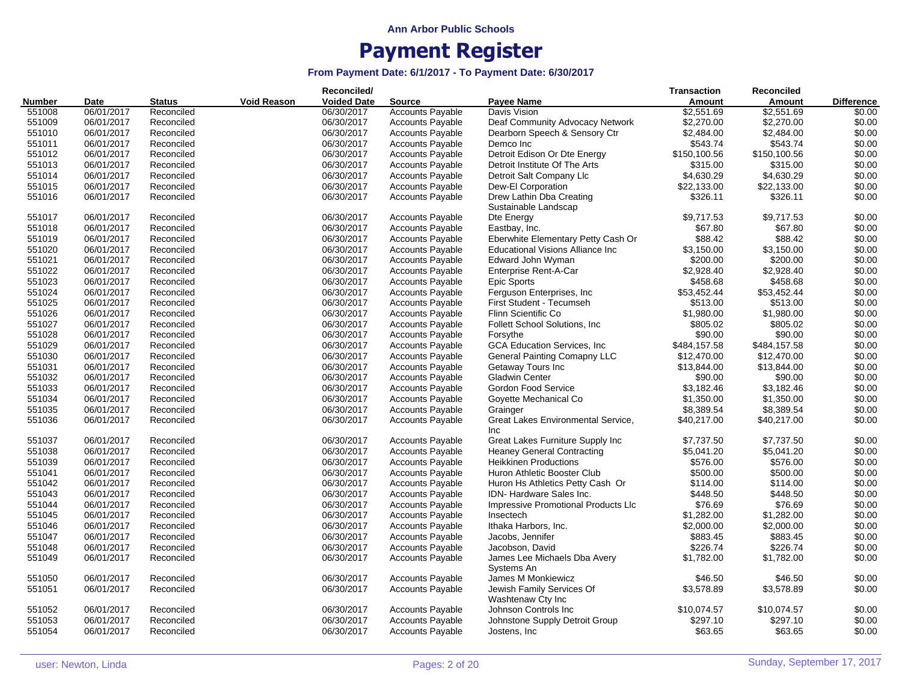|               |            |               |                    | Reconciled/        |                         |                                            | <b>Transaction</b> | <b>Reconciled</b> |                   |
|---------------|------------|---------------|--------------------|--------------------|-------------------------|--------------------------------------------|--------------------|-------------------|-------------------|
| <b>Number</b> | Date       | <b>Status</b> | <b>Void Reason</b> | <b>Voided Date</b> | <b>Source</b>           | <b>Pavee Name</b>                          | Amount             | Amount            | <b>Difference</b> |
| 551008        | 06/01/2017 | Reconciled    |                    | 06/30/2017         | <b>Accounts Payable</b> | Davis Vision                               | \$2,551.69         | \$2,551.69        | \$0.00            |
| 551009        | 06/01/2017 | Reconciled    |                    | 06/30/2017         | <b>Accounts Payable</b> | Deaf Community Advocacy Network            | \$2,270.00         | \$2,270.00        | \$0.00            |
| 551010        | 06/01/2017 | Reconciled    |                    | 06/30/2017         | <b>Accounts Payable</b> | Dearborn Speech & Sensory Ctr              | \$2,484.00         | \$2,484.00        | \$0.00            |
| 551011        | 06/01/2017 | Reconciled    |                    | 06/30/2017         | <b>Accounts Payable</b> | Demco Inc                                  | \$543.74           | \$543.74          | \$0.00            |
| 551012        | 06/01/2017 | Reconciled    |                    | 06/30/2017         | <b>Accounts Payable</b> | Detroit Edison Or Dte Energy               | \$150,100.56       | \$150,100.56      | \$0.00            |
| 551013        | 06/01/2017 | Reconciled    |                    | 06/30/2017         | <b>Accounts Payable</b> | Detroit Institute Of The Arts              | \$315.00           | \$315.00          | \$0.00            |
| 551014        | 06/01/2017 | Reconciled    |                    | 06/30/2017         | <b>Accounts Payable</b> | Detroit Salt Company Llc                   | \$4,630.29         | \$4,630.29        | \$0.00            |
| 551015        | 06/01/2017 | Reconciled    |                    | 06/30/2017         | <b>Accounts Payable</b> | Dew-El Corporation                         | \$22,133.00        | \$22,133.00       | \$0.00            |
| 551016        | 06/01/2017 | Reconciled    |                    | 06/30/2017         | <b>Accounts Payable</b> | Drew Lathin Dba Creating                   | \$326.11           | \$326.11          | \$0.00            |
|               |            |               |                    |                    |                         | Sustainable Landscap                       |                    |                   |                   |
| 551017        | 06/01/2017 | Reconciled    |                    | 06/30/2017         | <b>Accounts Payable</b> | Dte Energy                                 | \$9,717.53         | \$9,717.53        | \$0.00            |
| 551018        | 06/01/2017 | Reconciled    |                    | 06/30/2017         | <b>Accounts Payable</b> | Eastbay, Inc.                              | \$67.80            | \$67.80           | \$0.00            |
| 551019        | 06/01/2017 | Reconciled    |                    | 06/30/2017         | <b>Accounts Payable</b> | Eberwhite Elementary Petty Cash Or         | \$88.42            | \$88.42           | \$0.00            |
| 551020        | 06/01/2017 | Reconciled    |                    | 06/30/2017         | <b>Accounts Payable</b> | <b>Educational Visions Alliance Inc.</b>   | \$3,150.00         | \$3,150.00        | \$0.00            |
| 551021        | 06/01/2017 | Reconciled    |                    | 06/30/2017         | <b>Accounts Payable</b> | Edward John Wyman                          | \$200.00           | \$200.00          | \$0.00            |
| 551022        | 06/01/2017 | Reconciled    |                    | 06/30/2017         | Accounts Payable        | Enterprise Rent-A-Car                      | \$2,928.40         | \$2,928.40        | \$0.00            |
| 551023        | 06/01/2017 | Reconciled    |                    | 06/30/2017         | <b>Accounts Payable</b> | <b>Epic Sports</b>                         | \$458.68           | \$458.68          | \$0.00            |
| 551024        | 06/01/2017 | Reconciled    |                    | 06/30/2017         | <b>Accounts Payable</b> | Ferguson Enterprises, Inc.                 | \$53,452.44        | \$53,452.44       | \$0.00            |
| 551025        | 06/01/2017 | Reconciled    |                    | 06/30/2017         | <b>Accounts Payable</b> | First Student - Tecumseh                   | \$513.00           | \$513.00          | \$0.00            |
| 551026        | 06/01/2017 | Reconciled    |                    | 06/30/2017         | <b>Accounts Payable</b> | Flinn Scientific Co.                       | \$1,980.00         | \$1,980.00        | \$0.00            |
| 551027        | 06/01/2017 | Reconciled    |                    | 06/30/2017         | <b>Accounts Payable</b> | Follett School Solutions, Inc.             | \$805.02           | \$805.02          | \$0.00            |
| 551028        | 06/01/2017 | Reconciled    |                    | 06/30/2017         | Accounts Payable        | Forsythe                                   | \$90.00            | \$90.00           | \$0.00            |
| 551029        | 06/01/2017 | Reconciled    |                    | 06/30/2017         | <b>Accounts Payable</b> | <b>GCA Education Services, Inc.</b>        | \$484,157.58       | \$484,157.58      | \$0.00            |
| 551030        | 06/01/2017 | Reconciled    |                    | 06/30/2017         | <b>Accounts Payable</b> | <b>General Painting Comapny LLC</b>        | \$12,470.00        | \$12,470.00       | \$0.00            |
| 551031        | 06/01/2017 | Reconciled    |                    | 06/30/2017         | <b>Accounts Payable</b> | Getaway Tours Inc                          | \$13,844.00        | \$13,844.00       | \$0.00            |
|               |            |               |                    |                    |                         |                                            |                    |                   |                   |
| 551032        | 06/01/2017 | Reconciled    |                    | 06/30/2017         | <b>Accounts Payable</b> | <b>Gladwin Center</b>                      | \$90.00            | \$90.00           | \$0.00            |
| 551033        | 06/01/2017 | Reconciled    |                    | 06/30/2017         | <b>Accounts Payable</b> | Gordon Food Service                        | \$3,182.46         | \$3,182.46        | \$0.00            |
| 551034        | 06/01/2017 | Reconciled    |                    | 06/30/2017         | <b>Accounts Payable</b> | Goyette Mechanical Co                      | \$1,350.00         | \$1,350.00        | \$0.00            |
| 551035        | 06/01/2017 | Reconciled    |                    | 06/30/2017         | <b>Accounts Payable</b> | Grainger                                   | \$8,389.54         | \$8,389.54        | \$0.00            |
| 551036        | 06/01/2017 | Reconciled    |                    | 06/30/2017         | <b>Accounts Payable</b> | Great Lakes Environmental Service,<br>Inc  | \$40,217.00        | \$40,217.00       | \$0.00            |
| 551037        | 06/01/2017 | Reconciled    |                    | 06/30/2017         | <b>Accounts Payable</b> | Great Lakes Furniture Supply Inc           | \$7,737.50         | \$7,737.50        | \$0.00            |
| 551038        | 06/01/2017 | Reconciled    |                    | 06/30/2017         | <b>Accounts Payable</b> | <b>Heaney General Contracting</b>          | \$5,041.20         | \$5,041.20        | \$0.00            |
| 551039        | 06/01/2017 | Reconciled    |                    | 06/30/2017         | <b>Accounts Payable</b> | <b>Heikkinen Productions</b>               | \$576.00           | \$576.00          | \$0.00            |
| 551041        | 06/01/2017 | Reconciled    |                    | 06/30/2017         | <b>Accounts Payable</b> | Huron Athletic Booster Club                | \$500.00           | \$500.00          | \$0.00            |
| 551042        | 06/01/2017 | Reconciled    |                    | 06/30/2017         | <b>Accounts Payable</b> | Huron Hs Athletics Petty Cash Or           | \$114.00           | \$114.00          | \$0.00            |
| 551043        | 06/01/2017 | Reconciled    |                    | 06/30/2017         | <b>Accounts Payable</b> | IDN-Hardware Sales Inc.                    | \$448.50           | \$448.50          | \$0.00            |
| 551044        | 06/01/2017 | Reconciled    |                    | 06/30/2017         | <b>Accounts Payable</b> | <b>Impressive Promotional Products LIc</b> | \$76.69            | \$76.69           | \$0.00            |
| 551045        | 06/01/2017 | Reconciled    |                    | 06/30/2017         | <b>Accounts Payable</b> | Insectech                                  | \$1,282.00         | \$1,282.00        | \$0.00            |
| 551046        | 06/01/2017 | Reconciled    |                    | 06/30/2017         | <b>Accounts Payable</b> | Ithaka Harbors, Inc.                       | \$2,000.00         | \$2,000.00        | \$0.00            |
| 551047        | 06/01/2017 | Reconciled    |                    | 06/30/2017         | <b>Accounts Payable</b> |                                            | \$883.45           | \$883.45          | \$0.00            |
|               |            |               |                    |                    |                         | Jacobs, Jennifer                           |                    |                   |                   |
| 551048        | 06/01/2017 | Reconciled    |                    | 06/30/2017         | <b>Accounts Payable</b> | Jacobson, David                            | \$226.74           | \$226.74          | \$0.00            |
| 551049        | 06/01/2017 | Reconciled    |                    | 06/30/2017         | <b>Accounts Payable</b> | James Lee Michaels Dba Avery<br>Systems An | \$1,782.00         | \$1,782.00        | \$0.00            |
| 551050        | 06/01/2017 | Reconciled    |                    | 06/30/2017         | <b>Accounts Payable</b> | James M Monkiewicz                         | \$46.50            | \$46.50           | \$0.00            |
| 551051        | 06/01/2017 | Reconciled    |                    | 06/30/2017         | <b>Accounts Payable</b> | Jewish Family Services Of                  | \$3,578.89         | \$3,578.89        | \$0.00            |
|               |            |               |                    |                    |                         | Washtenaw Cty Inc                          |                    |                   |                   |
| 551052        | 06/01/2017 | Reconciled    |                    | 06/30/2017         | <b>Accounts Payable</b> | Johnson Controls Inc.                      | \$10,074.57        | \$10,074.57       | \$0.00            |
| 551053        | 06/01/2017 | Reconciled    |                    | 06/30/2017         | <b>Accounts Payable</b> | Johnstone Supply Detroit Group             | \$297.10           | \$297.10          | \$0.00            |
| 551054        | 06/01/2017 | Reconciled    |                    | 06/30/2017         | <b>Accounts Payable</b> | Jostens, Inc.                              | \$63.65            | \$63.65           | \$0.00            |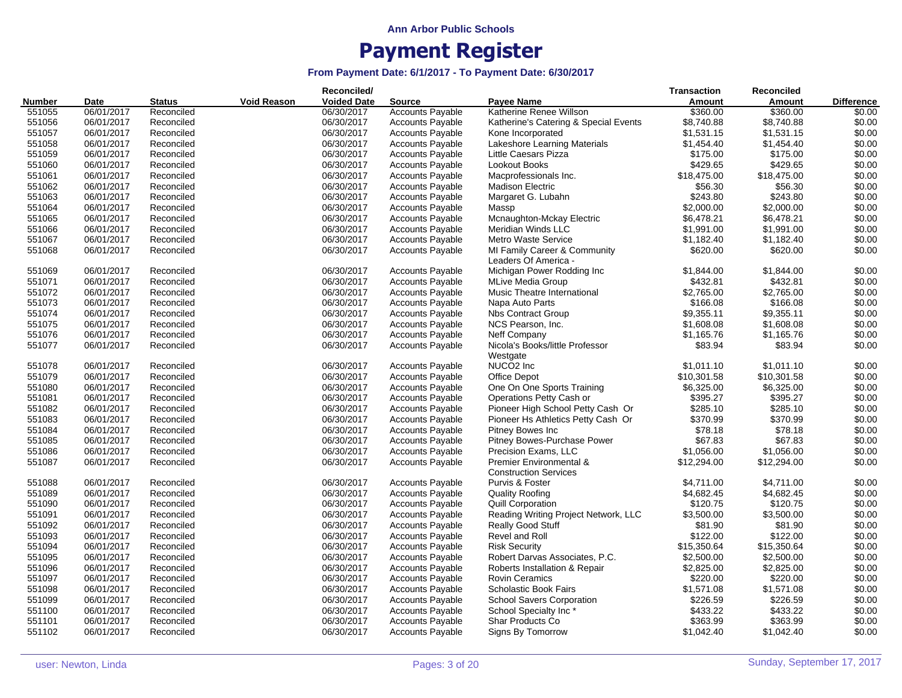|               |             |               |                    | Reconciled/        |                         |                                                                    | <b>Transaction</b> | Reconciled  |                   |
|---------------|-------------|---------------|--------------------|--------------------|-------------------------|--------------------------------------------------------------------|--------------------|-------------|-------------------|
| <b>Number</b> | <b>Date</b> | <b>Status</b> | <b>Void Reason</b> | <b>Voided Date</b> | <b>Source</b>           | Payee Name                                                         | Amount             | Amount      | <b>Difference</b> |
| 551055        | 06/01/2017  | Reconciled    |                    | 06/30/2017         | <b>Accounts Payable</b> | Katherine Renee Willson                                            | \$360.00           | \$360.00    | \$0.00            |
| 551056        | 06/01/2017  | Reconciled    |                    | 06/30/2017         | <b>Accounts Payable</b> | Katherine's Catering & Special Events                              | \$8,740.88         | \$8,740.88  | \$0.00            |
| 551057        | 06/01/2017  | Reconciled    |                    | 06/30/2017         | <b>Accounts Payable</b> | Kone Incorporated                                                  | \$1,531.15         | \$1,531.15  | \$0.00            |
| 551058        | 06/01/2017  | Reconciled    |                    | 06/30/2017         | <b>Accounts Payable</b> | Lakeshore Learning Materials                                       | \$1,454.40         | \$1,454.40  | \$0.00            |
| 551059        | 06/01/2017  | Reconciled    |                    | 06/30/2017         | <b>Accounts Payable</b> | Little Caesars Pizza                                               | \$175.00           | \$175.00    | \$0.00            |
| 551060        | 06/01/2017  | Reconciled    |                    | 06/30/2017         | <b>Accounts Payable</b> | Lookout Books                                                      | \$429.65           | \$429.65    | \$0.00            |
| 551061        | 06/01/2017  | Reconciled    |                    | 06/30/2017         | <b>Accounts Payable</b> | Macprofessionals Inc.                                              | \$18,475.00        | \$18,475.00 | \$0.00            |
| 551062        | 06/01/2017  | Reconciled    |                    | 06/30/2017         | <b>Accounts Payable</b> | <b>Madison Electric</b>                                            | \$56.30            | \$56.30     | \$0.00            |
| 551063        | 06/01/2017  | Reconciled    |                    | 06/30/2017         | <b>Accounts Payable</b> | Margaret G. Lubahn                                                 | \$243.80           | \$243.80    | \$0.00            |
| 551064        | 06/01/2017  | Reconciled    |                    | 06/30/2017         | <b>Accounts Payable</b> | Massp                                                              | \$2,000.00         | \$2,000.00  | \$0.00            |
| 551065        | 06/01/2017  | Reconciled    |                    | 06/30/2017         | <b>Accounts Payable</b> |                                                                    | \$6,478.21         | \$6,478.21  | \$0.00            |
|               |             |               |                    |                    |                         | Mcnaughton-Mckay Electric                                          |                    |             |                   |
| 551066        | 06/01/2017  | Reconciled    |                    | 06/30/2017         | <b>Accounts Payable</b> | Meridian Winds LLC                                                 | \$1,991.00         | \$1,991.00  | \$0.00            |
| 551067        | 06/01/2017  | Reconciled    |                    | 06/30/2017         | <b>Accounts Payable</b> | Metro Waste Service                                                | \$1,182.40         | \$1,182.40  | \$0.00            |
| 551068        | 06/01/2017  | Reconciled    |                    | 06/30/2017         | <b>Accounts Payable</b> | MI Family Career & Community<br>Leaders Of America -               | \$620.00           | \$620.00    | \$0.00            |
| 551069        | 06/01/2017  | Reconciled    |                    | 06/30/2017         | <b>Accounts Payable</b> | Michigan Power Rodding Inc                                         | \$1,844.00         | \$1,844.00  | \$0.00            |
| 551071        | 06/01/2017  | Reconciled    |                    | 06/30/2017         | <b>Accounts Payable</b> | <b>MLive Media Group</b>                                           | \$432.81           | \$432.81    | \$0.00            |
| 551072        | 06/01/2017  | Reconciled    |                    | 06/30/2017         | <b>Accounts Payable</b> | Music Theatre International                                        | \$2,765.00         | \$2,765.00  | \$0.00            |
| 551073        | 06/01/2017  | Reconciled    |                    | 06/30/2017         | <b>Accounts Payable</b> | Napa Auto Parts                                                    | \$166.08           | \$166.08    | \$0.00            |
| 551074        | 06/01/2017  | Reconciled    |                    | 06/30/2017         | <b>Accounts Payable</b> | <b>Nbs Contract Group</b>                                          | \$9,355.11         | \$9,355.11  | \$0.00            |
| 551075        | 06/01/2017  | Reconciled    |                    | 06/30/2017         | <b>Accounts Payable</b> | NCS Pearson, Inc.                                                  | \$1,608.08         | \$1,608.08  | \$0.00            |
| 551076        | 06/01/2017  | Reconciled    |                    | 06/30/2017         | <b>Accounts Payable</b> | Neff Company                                                       | \$1,165.76         | \$1,165.76  | \$0.00            |
| 551077        | 06/01/2017  | Reconciled    |                    | 06/30/2017         | <b>Accounts Payable</b> | Nicola's Books/little Professor<br>Westgate                        | \$83.94            | \$83.94     | \$0.00            |
| 551078        | 06/01/2017  | Reconciled    |                    | 06/30/2017         | <b>Accounts Payable</b> | NUCO <sub>2</sub> Inc                                              | \$1,011.10         | \$1,011.10  | \$0.00            |
| 551079        | 06/01/2017  | Reconciled    |                    | 06/30/2017         | <b>Accounts Payable</b> | Office Depot                                                       | \$10,301.58        | \$10,301.58 | \$0.00            |
| 551080        | 06/01/2017  | Reconciled    |                    | 06/30/2017         | <b>Accounts Payable</b> | One On One Sports Training                                         | \$6,325.00         | \$6,325.00  | \$0.00            |
| 551081        | 06/01/2017  | Reconciled    |                    | 06/30/2017         | <b>Accounts Payable</b> | Operations Petty Cash or                                           | \$395.27           | \$395.27    | \$0.00            |
| 551082        | 06/01/2017  | Reconciled    |                    | 06/30/2017         | <b>Accounts Payable</b> | Pioneer High School Petty Cash Or                                  | \$285.10           | \$285.10    | \$0.00            |
| 551083        | 06/01/2017  | Reconciled    |                    | 06/30/2017         | <b>Accounts Payable</b> | Pioneer Hs Athletics Petty Cash Or                                 | \$370.99           | \$370.99    | \$0.00            |
|               |             |               |                    |                    |                         |                                                                    |                    |             |                   |
| 551084        | 06/01/2017  | Reconciled    |                    | 06/30/2017         | <b>Accounts Payable</b> | Pitney Bowes Inc                                                   | \$78.18            | \$78.18     | \$0.00            |
| 551085        | 06/01/2017  | Reconciled    |                    | 06/30/2017         | <b>Accounts Payable</b> | Pitney Bowes-Purchase Power                                        | \$67.83            | \$67.83     | \$0.00            |
| 551086        | 06/01/2017  | Reconciled    |                    | 06/30/2017         | Accounts Payable        | Precision Exams, LLC                                               | \$1,056.00         | \$1,056.00  | \$0.00            |
| 551087        | 06/01/2017  | Reconciled    |                    | 06/30/2017         | <b>Accounts Payable</b> | <b>Premier Environmental &amp;</b><br><b>Construction Services</b> | \$12,294.00        | \$12,294.00 | \$0.00            |
| 551088        | 06/01/2017  | Reconciled    |                    | 06/30/2017         | <b>Accounts Payable</b> | Purvis & Foster                                                    | \$4,711.00         | \$4,711.00  | \$0.00            |
| 551089        | 06/01/2017  | Reconciled    |                    | 06/30/2017         | <b>Accounts Payable</b> | <b>Quality Roofing</b>                                             | \$4,682.45         | \$4,682.45  | \$0.00            |
| 551090        | 06/01/2017  | Reconciled    |                    | 06/30/2017         | <b>Accounts Payable</b> | <b>Quill Corporation</b>                                           | \$120.75           | \$120.75    | \$0.00            |
| 551091        | 06/01/2017  | Reconciled    |                    | 06/30/2017         | <b>Accounts Payable</b> | Reading Writing Project Network, LLC                               | \$3,500.00         | \$3,500.00  | \$0.00            |
| 551092        | 06/01/2017  | Reconciled    |                    | 06/30/2017         | <b>Accounts Payable</b> | <b>Really Good Stuff</b>                                           | \$81.90            | \$81.90     | \$0.00            |
| 551093        | 06/01/2017  | Reconciled    |                    | 06/30/2017         | <b>Accounts Payable</b> | Revel and Roll                                                     | \$122.00           | \$122.00    | \$0.00            |
| 551094        | 06/01/2017  | Reconciled    |                    | 06/30/2017         | <b>Accounts Payable</b> | <b>Risk Security</b>                                               | \$15,350.64        | \$15,350.64 | \$0.00            |
| 551095        | 06/01/2017  | Reconciled    |                    | 06/30/2017         | <b>Accounts Payable</b> | Robert Darvas Associates, P.C.                                     | \$2,500.00         | \$2,500.00  | \$0.00            |
| 551096        | 06/01/2017  | Reconciled    |                    | 06/30/2017         | <b>Accounts Payable</b> | Roberts Installation & Repair                                      | \$2,825.00         | \$2,825.00  | \$0.00            |
| 551097        | 06/01/2017  | Reconciled    |                    | 06/30/2017         | Accounts Payable        | <b>Rovin Ceramics</b>                                              | \$220.00           | \$220.00    | \$0.00            |
| 551098        | 06/01/2017  | Reconciled    |                    | 06/30/2017         | Accounts Payable        | <b>Scholastic Book Fairs</b>                                       | \$1,571.08         | \$1,571.08  | \$0.00            |
| 551099        | 06/01/2017  | Reconciled    |                    | 06/30/2017         | <b>Accounts Payable</b> | <b>School Savers Corporation</b>                                   | \$226.59           | \$226.59    | \$0.00            |
| 551100        | 06/01/2017  | Reconciled    |                    | 06/30/2017         | <b>Accounts Payable</b> | School Specialty Inc*                                              | \$433.22           | \$433.22    | \$0.00            |
| 551101        |             | Reconciled    |                    | 06/30/2017         |                         |                                                                    | \$363.99           | \$363.99    | \$0.00            |
|               | 06/01/2017  |               |                    |                    | <b>Accounts Payable</b> | Shar Products Co                                                   |                    |             |                   |
| 551102        | 06/01/2017  | Reconciled    |                    | 06/30/2017         | <b>Accounts Payable</b> | Signs By Tomorrow                                                  | \$1,042.40         | \$1,042.40  | \$0.00            |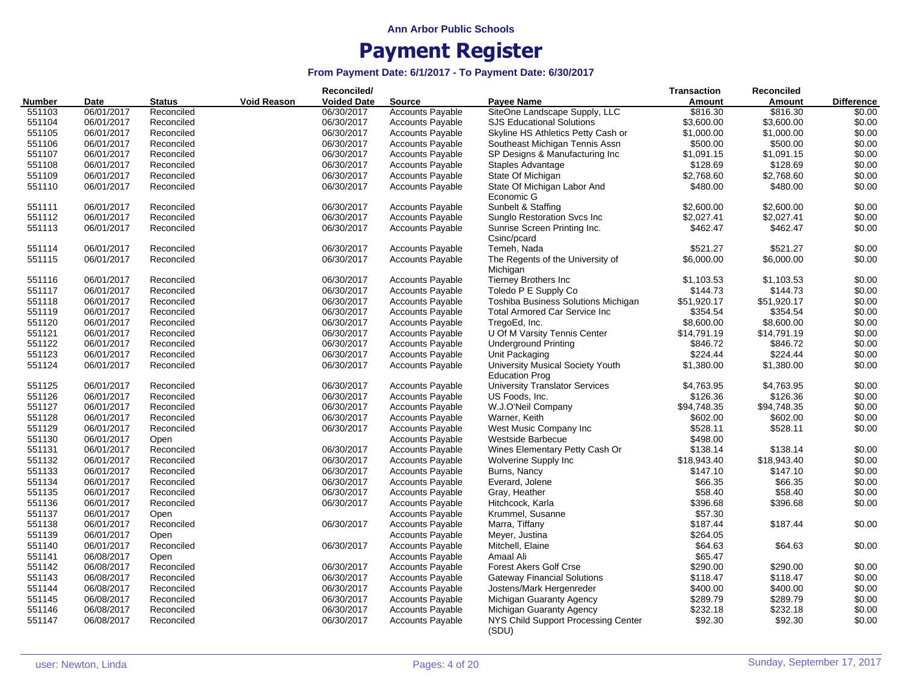|               |            |               |             | Reconciled/        |                         |                                              | <b>Transaction</b> | Reconciled    |                   |
|---------------|------------|---------------|-------------|--------------------|-------------------------|----------------------------------------------|--------------------|---------------|-------------------|
| <b>Number</b> | Date       | <b>Status</b> | Void Reason | <b>Voided Date</b> | <b>Source</b>           | Payee Name                                   | Amount             | <b>Amount</b> | <b>Difference</b> |
| 551103        | 06/01/2017 | Reconciled    |             | 06/30/2017         | <b>Accounts Payable</b> | SiteOne Landscape Supply, LLC                | \$816.30           | \$816.30      | \$0.00            |
| 551104        | 06/01/2017 | Reconciled    |             | 06/30/2017         | <b>Accounts Payable</b> | <b>SJS Educational Solutions</b>             | \$3,600.00         | \$3,600.00    | \$0.00            |
| 551105        | 06/01/2017 | Reconciled    |             | 06/30/2017         | <b>Accounts Payable</b> | Skyline HS Athletics Petty Cash or           | \$1,000.00         | \$1,000.00    | \$0.00            |
| 551106        | 06/01/2017 | Reconciled    |             | 06/30/2017         | <b>Accounts Payable</b> | Southeast Michigan Tennis Assn               | \$500.00           | \$500.00      | \$0.00            |
| 551107        | 06/01/2017 | Reconciled    |             | 06/30/2017         | <b>Accounts Payable</b> | SP Designs & Manufacturing Inc               | \$1,091.15         | \$1,091.15    | \$0.00            |
| 551108        | 06/01/2017 | Reconciled    |             | 06/30/2017         | <b>Accounts Payable</b> | Staples Advantage                            | \$128.69           | \$128.69      | \$0.00            |
| 551109        | 06/01/2017 | Reconciled    |             | 06/30/2017         | <b>Accounts Payable</b> | State Of Michigan                            | \$2,768.60         | \$2,768.60    | \$0.00            |
| 551110        | 06/01/2017 | Reconciled    |             | 06/30/2017         | <b>Accounts Payable</b> | State Of Michigan Labor And                  | \$480.00           | \$480.00      | \$0.00            |
|               |            |               |             |                    |                         | Economic G                                   |                    |               |                   |
| 551111        | 06/01/2017 | Reconciled    |             | 06/30/2017         | <b>Accounts Payable</b> | Sunbelt & Staffing                           | \$2,600.00         | \$2,600.00    | \$0.00            |
| 551112        | 06/01/2017 | Reconciled    |             | 06/30/2017         | <b>Accounts Payable</b> | Sunglo Restoration Svcs Inc                  | \$2,027.41         | \$2,027.41    | \$0.00            |
| 551113        | 06/01/2017 | Reconciled    |             | 06/30/2017         | <b>Accounts Payable</b> | Sunrise Screen Printing Inc.<br>Csinc/pcard  | \$462.47           | \$462.47      | \$0.00            |
| 551114        | 06/01/2017 | Reconciled    |             | 06/30/2017         | <b>Accounts Payable</b> | Temeh, Nada                                  | \$521.27           | \$521.27      | \$0.00            |
| 551115        | 06/01/2017 | Reconciled    |             | 06/30/2017         | <b>Accounts Payable</b> | The Regents of the University of<br>Michigan | \$6,000.00         | \$6,000.00    | \$0.00            |
| 551116        | 06/01/2017 | Reconciled    |             | 06/30/2017         | <b>Accounts Payable</b> | <b>Tierney Brothers Inc</b>                  | \$1,103.53         | \$1,103.53    | \$0.00            |
| 551117        | 06/01/2017 | Reconciled    |             | 06/30/2017         | <b>Accounts Payable</b> | Toledo P E Supply Co                         | \$144.73           | \$144.73      | \$0.00            |
| 551118        | 06/01/2017 | Reconciled    |             | 06/30/2017         | <b>Accounts Payable</b> | Toshiba Business Solutions Michigan          | \$51,920.17        | \$51,920.17   | \$0.00            |
| 551119        | 06/01/2017 | Reconciled    |             | 06/30/2017         | <b>Accounts Payable</b> | <b>Total Armored Car Service Inc</b>         | \$354.54           | \$354.54      | \$0.00            |
| 551120        | 06/01/2017 | Reconciled    |             | 06/30/2017         | <b>Accounts Payable</b> | TregoEd, Inc.                                | \$8,600.00         | \$8,600.00    | \$0.00            |
| 551121        | 06/01/2017 | Reconciled    |             | 06/30/2017         | <b>Accounts Payable</b> | U Of M Varsity Tennis Center                 | \$14,791.19        | \$14,791.19   | \$0.00            |
| 551122        | 06/01/2017 | Reconciled    |             | 06/30/2017         | <b>Accounts Payable</b> | <b>Underground Printing</b>                  | \$846.72           | \$846.72      | \$0.00            |
| 551123        | 06/01/2017 | Reconciled    |             | 06/30/2017         | <b>Accounts Payable</b> | Unit Packaging                               | \$224.44           | \$224.44      | \$0.00            |
| 551124        | 06/01/2017 | Reconciled    |             | 06/30/2017         | <b>Accounts Payable</b> | University Musical Society Youth             | \$1,380.00         | \$1,380.00    | \$0.00            |
|               |            |               |             |                    |                         | <b>Education Prog</b>                        |                    |               |                   |
| 551125        | 06/01/2017 | Reconciled    |             | 06/30/2017         | <b>Accounts Payable</b> | <b>University Translator Services</b>        | \$4,763.95         | \$4,763.95    | \$0.00            |
| 551126        | 06/01/2017 | Reconciled    |             | 06/30/2017         | <b>Accounts Payable</b> | US Foods, Inc.                               | \$126.36           | \$126.36      | \$0.00            |
| 551127        | 06/01/2017 | Reconciled    |             | 06/30/2017         | <b>Accounts Payable</b> | W.J.O'Neil Company                           | \$94,748.35        | \$94,748.35   | \$0.00            |
| 551128        | 06/01/2017 | Reconciled    |             | 06/30/2017         | <b>Accounts Payable</b> | Warner, Keith                                | \$602.00           | \$602.00      | \$0.00            |
| 551129        | 06/01/2017 | Reconciled    |             | 06/30/2017         | <b>Accounts Payable</b> | West Music Company Inc                       | \$528.11           | \$528.11      | \$0.00            |
| 551130        | 06/01/2017 | Open          |             |                    | <b>Accounts Payable</b> | Westside Barbecue                            | \$498.00           |               |                   |
| 551131        | 06/01/2017 | Reconciled    |             | 06/30/2017         | <b>Accounts Payable</b> | Wines Elementary Petty Cash Or               | \$138.14           | \$138.14      | \$0.00            |
| 551132        | 06/01/2017 | Reconciled    |             | 06/30/2017         | <b>Accounts Payable</b> | Wolverine Supply Inc                         | \$18,943.40        | \$18,943.40   | \$0.00            |
| 551133        | 06/01/2017 | Reconciled    |             | 06/30/2017         | <b>Accounts Payable</b> | Burns, Nancy                                 | \$147.10           | \$147.10      | \$0.00            |
| 551134        | 06/01/2017 | Reconciled    |             | 06/30/2017         | <b>Accounts Payable</b> | Everard, Jolene                              | \$66.35            | \$66.35       | \$0.00            |
| 551135        | 06/01/2017 | Reconciled    |             | 06/30/2017         | <b>Accounts Payable</b> | Gray, Heather                                | \$58.40            | \$58.40       | \$0.00            |
| 551136        | 06/01/2017 | Reconciled    |             | 06/30/2017         | <b>Accounts Payable</b> | Hitchcock, Karla                             | \$396.68           | \$396.68      | \$0.00            |
| 551137        | 06/01/2017 | Open          |             |                    | <b>Accounts Payable</b> | Krummel, Susanne                             | \$57.30            |               |                   |
| 551138        | 06/01/2017 | Reconciled    |             | 06/30/2017         | <b>Accounts Payable</b> | Marra, Tiffany                               | \$187.44           | \$187.44      | \$0.00            |
| 551139        | 06/01/2017 | Open          |             |                    | <b>Accounts Payable</b> | Meyer, Justina                               | \$264.05           |               |                   |
| 551140        | 06/01/2017 | Reconciled    |             | 06/30/2017         | <b>Accounts Payable</b> | Mitchell, Elaine                             | \$64.63            | \$64.63       | \$0.00            |
| 551141        | 06/08/2017 | Open          |             |                    | <b>Accounts Payable</b> | Amaal Ali                                    | \$65.47            |               |                   |
| 551142        | 06/08/2017 | Reconciled    |             | 06/30/2017         | <b>Accounts Payable</b> | <b>Forest Akers Golf Crse</b>                | \$290.00           | \$290.00      | \$0.00            |
| 551143        | 06/08/2017 |               |             | 06/30/2017         |                         | <b>Gateway Financial Solutions</b>           | \$118.47           | \$118.47      | \$0.00            |
|               |            | Reconciled    |             |                    | <b>Accounts Payable</b> |                                              |                    |               |                   |
| 551144        | 06/08/2017 | Reconciled    |             | 06/30/2017         | <b>Accounts Payable</b> | Jostens/Mark Hergenreder                     | \$400.00           | \$400.00      | \$0.00            |
| 551145        | 06/08/2017 | Reconciled    |             | 06/30/2017         | <b>Accounts Payable</b> | Michigan Guaranty Agency                     | \$289.79           | \$289.79      | \$0.00            |
| 551146        | 06/08/2017 | Reconciled    |             | 06/30/2017         | <b>Accounts Payable</b> | Michigan Guaranty Agency                     | \$232.18           | \$232.18      | \$0.00            |
| 551147        | 06/08/2017 | Reconciled    |             | 06/30/2017         | <b>Accounts Payable</b> | NYS Child Support Processing Center<br>(SDU) | \$92.30            | \$92.30       | \$0.00            |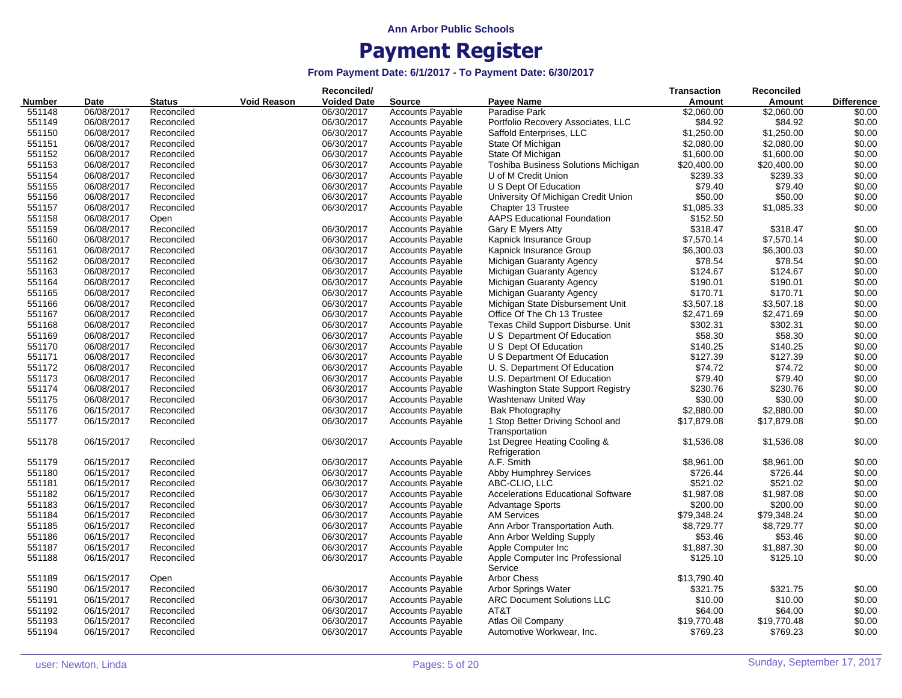|        |            |               |                    | Reconciled/        |                         |                                               | <b>Transaction</b> | <b>Reconciled</b> |                   |
|--------|------------|---------------|--------------------|--------------------|-------------------------|-----------------------------------------------|--------------------|-------------------|-------------------|
| Number | Date       | <b>Status</b> | <b>Void Reason</b> | <b>Voided Date</b> | <b>Source</b>           | <b>Payee Name</b>                             | Amount             | Amount            | <b>Difference</b> |
| 551148 | 06/08/2017 | Reconciled    |                    | 06/30/2017         | <b>Accounts Payable</b> | Paradise Park                                 | \$2,060.00         | \$2,060.00        | \$0.00            |
| 551149 | 06/08/2017 | Reconciled    |                    | 06/30/2017         | <b>Accounts Payable</b> | Portfolio Recovery Associates, LLC            | \$84.92            | \$84.92           | \$0.00            |
| 551150 | 06/08/2017 | Reconciled    |                    | 06/30/2017         | <b>Accounts Payable</b> | Saffold Enterprises, LLC                      | \$1,250.00         | \$1,250.00        | \$0.00            |
| 551151 | 06/08/2017 | Reconciled    |                    | 06/30/2017         | <b>Accounts Payable</b> | State Of Michigan                             | \$2,080.00         | \$2,080.00        | \$0.00            |
| 551152 | 06/08/2017 | Reconciled    |                    | 06/30/2017         | <b>Accounts Payable</b> | State Of Michigan                             | \$1,600.00         | \$1,600.00        | \$0.00            |
| 551153 | 06/08/2017 | Reconciled    |                    | 06/30/2017         | <b>Accounts Payable</b> | Toshiba Business Solutions Michigan           | \$20,400.00        | \$20,400.00       | \$0.00            |
| 551154 | 06/08/2017 | Reconciled    |                    | 06/30/2017         | <b>Accounts Payable</b> | U of M Credit Union                           | \$239.33           | \$239.33          | \$0.00            |
| 551155 | 06/08/2017 | Reconciled    |                    | 06/30/2017         | <b>Accounts Payable</b> | U S Dept Of Education                         | \$79.40            | \$79.40           | \$0.00            |
| 551156 | 06/08/2017 | Reconciled    |                    | 06/30/2017         | <b>Accounts Payable</b> | University Of Michigan Credit Union           | \$50.00            | \$50.00           | \$0.00            |
| 551157 | 06/08/2017 | Reconciled    |                    | 06/30/2017         | <b>Accounts Payable</b> | Chapter 13 Trustee                            | \$1,085.33         | \$1,085.33        | \$0.00            |
| 551158 | 06/08/2017 |               |                    |                    | Accounts Payable        | <b>AAPS Educational Foundation</b>            | \$152.50           |                   |                   |
|        |            | Open          |                    |                    |                         |                                               |                    |                   |                   |
| 551159 | 06/08/2017 | Reconciled    |                    | 06/30/2017         | <b>Accounts Payable</b> | Gary E Myers Atty                             | \$318.47           | \$318.47          | \$0.00            |
| 551160 | 06/08/2017 | Reconciled    |                    | 06/30/2017         | <b>Accounts Payable</b> | Kapnick Insurance Group                       | \$7,570.14         | \$7,570.14        | \$0.00            |
| 551161 | 06/08/2017 | Reconciled    |                    | 06/30/2017         | <b>Accounts Payable</b> | Kapnick Insurance Group                       | \$6,300.03         | \$6,300.03        | \$0.00            |
| 551162 | 06/08/2017 | Reconciled    |                    | 06/30/2017         | <b>Accounts Payable</b> | Michigan Guaranty Agency                      | \$78.54            | \$78.54           | \$0.00            |
| 551163 | 06/08/2017 | Reconciled    |                    | 06/30/2017         | Accounts Payable        | Michigan Guaranty Agency                      | \$124.67           | \$124.67          | \$0.00            |
| 551164 | 06/08/2017 | Reconciled    |                    | 06/30/2017         | <b>Accounts Payable</b> | Michigan Guaranty Agency                      | \$190.01           | \$190.01          | \$0.00            |
| 551165 | 06/08/2017 | Reconciled    |                    | 06/30/2017         | <b>Accounts Payable</b> | Michigan Guaranty Agency                      | \$170.71           | \$170.71          | \$0.00            |
| 551166 | 06/08/2017 | Reconciled    |                    | 06/30/2017         | <b>Accounts Payable</b> | Michigan State Disbursement Unit              | \$3,507.18         | \$3,507.18        | \$0.00            |
| 551167 | 06/08/2017 | Reconciled    |                    | 06/30/2017         | <b>Accounts Payable</b> | Office Of The Ch 13 Trustee                   | \$2,471.69         | \$2,471.69        | \$0.00            |
| 551168 | 06/08/2017 | Reconciled    |                    | 06/30/2017         | <b>Accounts Payable</b> | Texas Child Support Disburse. Unit            | \$302.31           | \$302.31          | \$0.00            |
| 551169 | 06/08/2017 | Reconciled    |                    | 06/30/2017         | <b>Accounts Payable</b> | U S Department Of Education                   | \$58.30            | \$58.30           | \$0.00            |
| 551170 | 06/08/2017 | Reconciled    |                    | 06/30/2017         | <b>Accounts Payable</b> | U S Dept Of Education                         | \$140.25           | \$140.25          | \$0.00            |
| 551171 | 06/08/2017 | Reconciled    |                    | 06/30/2017         | <b>Accounts Payable</b> | U S Department Of Education                   | \$127.39           | \$127.39          | \$0.00            |
| 551172 | 06/08/2017 | Reconciled    |                    | 06/30/2017         | <b>Accounts Payable</b> | U. S. Department Of Education                 | \$74.72            | \$74.72           | \$0.00            |
| 551173 | 06/08/2017 | Reconciled    |                    | 06/30/2017         | <b>Accounts Payable</b> | U.S. Department Of Education                  | \$79.40            | \$79.40           | \$0.00            |
| 551174 | 06/08/2017 | Reconciled    |                    | 06/30/2017         | <b>Accounts Payable</b> | <b>Washington State Support Registry</b>      | \$230.76           | \$230.76          | \$0.00            |
| 551175 | 06/08/2017 | Reconciled    |                    | 06/30/2017         | <b>Accounts Payable</b> | Washtenaw United Way                          | \$30.00            | \$30.00           | \$0.00            |
| 551176 | 06/15/2017 | Reconciled    |                    | 06/30/2017         | Accounts Payable        | <b>Bak Photography</b>                        | \$2,880.00         | \$2,880.00        | \$0.00            |
| 551177 | 06/15/2017 | Reconciled    |                    | 06/30/2017         | <b>Accounts Payable</b> | 1 Stop Better Driving School and              | \$17,879.08        | \$17,879.08       | \$0.00            |
|        |            |               |                    |                    |                         | Transportation                                |                    |                   |                   |
| 551178 | 06/15/2017 | Reconciled    |                    | 06/30/2017         | <b>Accounts Payable</b> | 1st Degree Heating Cooling &<br>Refrigeration | \$1,536.08         | \$1,536.08        | \$0.00            |
| 551179 | 06/15/2017 | Reconciled    |                    | 06/30/2017         | <b>Accounts Payable</b> | A.F. Smith                                    | \$8,961.00         | \$8,961.00        | \$0.00            |
| 551180 | 06/15/2017 | Reconciled    |                    | 06/30/2017         | <b>Accounts Payable</b> | Abby Humphrey Services                        | \$726.44           | \$726.44          | \$0.00            |
| 551181 | 06/15/2017 | Reconciled    |                    | 06/30/2017         | Accounts Payable        | ABC-CLIO, LLC                                 | \$521.02           | \$521.02          | \$0.00            |
| 551182 | 06/15/2017 | Reconciled    |                    | 06/30/2017         | <b>Accounts Payable</b> | <b>Accelerations Educational Software</b>     | \$1,987.08         | \$1,987.08        | \$0.00            |
| 551183 | 06/15/2017 | Reconciled    |                    | 06/30/2017         | <b>Accounts Payable</b> | <b>Advantage Sports</b>                       | \$200.00           | \$200.00          | \$0.00            |
| 551184 | 06/15/2017 | Reconciled    |                    | 06/30/2017         | <b>Accounts Payable</b> | <b>AM Services</b>                            | \$79,348.24        | \$79,348.24       | \$0.00            |
|        |            |               |                    |                    |                         |                                               |                    |                   |                   |
| 551185 | 06/15/2017 | Reconciled    |                    | 06/30/2017         | <b>Accounts Payable</b> | Ann Arbor Transportation Auth.                | \$8,729.77         | \$8,729.77        | \$0.00            |
| 551186 | 06/15/2017 | Reconciled    |                    | 06/30/2017         | <b>Accounts Payable</b> | Ann Arbor Welding Supply                      | \$53.46            | \$53.46           | \$0.00            |
| 551187 | 06/15/2017 | Reconciled    |                    | 06/30/2017         | <b>Accounts Payable</b> | Apple Computer Inc                            | \$1,887.30         | \$1,887.30        | \$0.00            |
| 551188 | 06/15/2017 | Reconciled    |                    | 06/30/2017         | <b>Accounts Payable</b> | Apple Computer Inc Professional<br>Service    | \$125.10           | \$125.10          | \$0.00            |
| 551189 | 06/15/2017 | Open          |                    |                    | <b>Accounts Payable</b> | <b>Arbor Chess</b>                            | \$13,790.40        |                   |                   |
| 551190 | 06/15/2017 | Reconciled    |                    | 06/30/2017         | <b>Accounts Payable</b> | Arbor Springs Water                           | \$321.75           | \$321.75          | \$0.00            |
| 551191 | 06/15/2017 | Reconciled    |                    | 06/30/2017         | <b>Accounts Payable</b> | <b>ARC Document Solutions LLC</b>             | \$10.00            | \$10.00           | \$0.00            |
| 551192 | 06/15/2017 | Reconciled    |                    | 06/30/2017         | <b>Accounts Payable</b> | AT&T                                          | \$64.00            | \$64.00           | \$0.00            |
| 551193 | 06/15/2017 | Reconciled    |                    | 06/30/2017         | <b>Accounts Payable</b> | Atlas Oil Company                             | \$19,770.48        | \$19,770.48       | \$0.00            |
| 551194 | 06/15/2017 | Reconciled    |                    | 06/30/2017         | <b>Accounts Payable</b> | Automotive Workwear, Inc.                     | \$769.23           | \$769.23          | \$0.00            |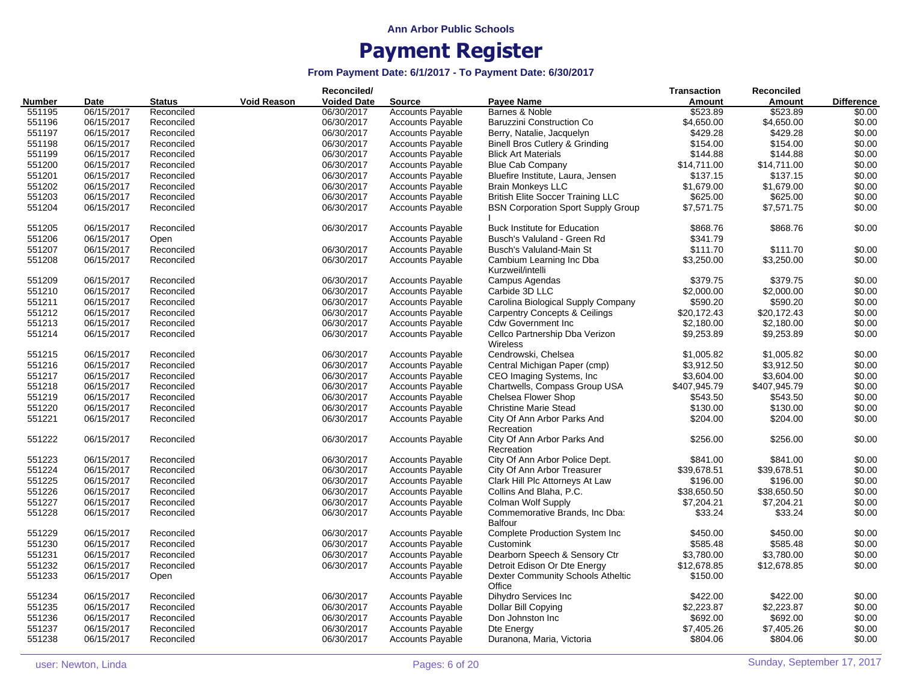| <b>Void Reason</b><br><b>Voided Date</b><br><b>Payee Name</b><br>Amount<br><b>Number</b><br><b>Status</b><br>Amount<br>Date<br><b>Source</b><br>551195<br>06/15/2017<br>06/30/2017<br><b>Accounts Payable</b><br>Barnes & Noble<br>\$523.89<br>\$523.89<br>Reconciled<br>06/30/2017<br>\$4,650.00<br>\$4,650.00<br>551196<br>06/15/2017<br>Reconciled<br><b>Accounts Payable</b><br>Baruzzini Construction Co<br>551197<br>06/15/2017<br>06/30/2017<br>\$429.28<br>\$429.28<br>\$0.00<br>Reconciled<br><b>Accounts Payable</b><br>Berry, Natalie, Jacquelyn<br>\$0.00<br>551198<br>06/15/2017<br>06/30/2017<br>\$154.00<br>\$154.00<br>Reconciled<br><b>Accounts Payable</b><br>Binell Bros Cutlery & Grinding<br>\$0.00<br>551199<br>06/15/2017<br>06/30/2017<br>\$144.88<br>\$144.88<br>Reconciled<br><b>Accounts Payable</b><br><b>Blick Art Materials</b><br>\$0.00<br>551200<br>06/15/2017<br>06/30/2017<br><b>Accounts Payable</b><br><b>Blue Cab Company</b><br>\$14,711.00<br>\$14,711.00<br>Reconciled<br>06/30/2017<br>\$0.00<br>551201<br>06/15/2017<br>Reconciled<br><b>Accounts Payable</b><br>Bluefire Institute, Laura, Jensen<br>\$137.15<br>\$137.15<br>\$0.00<br>551202<br>06/15/2017<br>06/30/2017<br><b>Accounts Payable</b><br><b>Brain Monkeys LLC</b><br>\$1,679.00<br>\$1,679.00<br>Reconciled<br>\$625.00<br>551203<br>06/15/2017<br>Reconciled<br>06/30/2017<br><b>British Elite Soccer Training LLC</b><br>\$625.00<br>\$0.00<br><b>Accounts Payable</b><br>551204<br>06/30/2017<br>\$0.00<br>06/15/2017<br>Reconciled<br><b>Accounts Payable</b><br><b>BSN Corporation Sport Supply Group</b><br>\$7,571.75<br>\$7,571.75<br>\$0.00<br>551205<br>06/15/2017<br>Reconciled<br>06/30/2017<br><b>Accounts Payable</b><br><b>Buck Institute for Education</b><br>\$868.76<br>\$868.76<br>551206<br><b>Accounts Payable</b><br>Busch's Valuland - Green Rd<br>06/15/2017<br>\$341.79<br>Open<br>\$111.70<br>551207<br>06/15/2017<br>Reconciled<br>06/30/2017<br><b>Accounts Payable</b><br>Busch's Valuland-Main St<br>\$111.70<br>551208<br>\$3,250.00<br>\$3,250.00<br>06/15/2017<br>Reconciled<br>06/30/2017<br><b>Accounts Payable</b><br>Cambium Learning Inc Dba<br>Kurzweil/intelli<br>\$379.75<br>\$379.75<br>\$0.00<br>551209<br>06/15/2017<br>Reconciled<br>06/30/2017<br><b>Accounts Payable</b><br>Campus Agendas<br>551210<br>06/15/2017<br>06/30/2017<br>Carbide 3D LLC<br>\$2,000.00<br>\$2,000.00<br>\$0.00<br>Reconciled<br><b>Accounts Payable</b><br>06/30/2017<br>Carolina Biological Supply Company<br>\$590.20<br>\$590.20<br>\$0.00<br>551211<br>06/15/2017<br>Reconciled<br><b>Accounts Payable</b><br>\$0.00<br>551212<br>06/30/2017<br><b>Carpentry Concepts &amp; Ceilings</b><br>\$20,172.43<br>\$20,172.43<br>06/15/2017<br>Reconciled<br><b>Accounts Payable</b><br>551213<br>06/15/2017<br>06/30/2017<br><b>Accounts Payable</b><br><b>Cdw Government Inc</b><br>\$2,180.00<br>\$2,180.00<br>\$0.00<br>Reconciled<br>\$0.00<br>551214<br>06/15/2017<br>06/30/2017<br><b>Accounts Payable</b><br>Cellco Partnership Dba Verizon<br>\$9,253.89<br>\$9,253.89<br>Reconciled<br>Wireless<br>551215<br>06/15/2017<br>06/30/2017<br><b>Accounts Payable</b><br>Cendrowski, Chelsea<br>\$1,005.82<br>\$1,005.82<br>Reconciled<br>551216<br>06/15/2017<br>Reconciled<br>06/30/2017<br><b>Accounts Payable</b><br>Central Michigan Paper (cmp)<br>\$3,912.50<br>\$3,912.50<br>551217<br>06/30/2017<br>\$3,604.00<br>06/15/2017<br>Reconciled<br><b>Accounts Payable</b><br>CEO Imaging Systems, Inc.<br>\$3,604.00<br>551218<br>06/30/2017<br>Chartwells, Compass Group USA<br>\$407,945.79<br>\$407,945.79<br>06/15/2017<br>Reconciled<br>Accounts Payable<br>06/30/2017<br>Chelsea Flower Shop<br>\$543.50<br>\$543.50<br>\$0.00<br>551219<br>06/15/2017<br>Reconciled<br><b>Accounts Payable</b><br>\$0.00<br>551220<br>06/15/2017<br>06/30/2017<br><b>Christine Marie Stead</b><br>\$130.00<br>\$130.00<br>Reconciled<br><b>Accounts Payable</b><br>551221<br>06/15/2017<br>06/30/2017<br><b>Accounts Payable</b><br>\$204.00<br>\$204.00<br>Reconciled<br>City Of Ann Arbor Parks And<br>Recreation<br>551222<br>06/15/2017<br>06/30/2017<br>City Of Ann Arbor Parks And<br>\$256.00<br>\$256.00<br>\$0.00<br>Reconciled<br><b>Accounts Payable</b><br>Recreation<br>551223<br>06/15/2017<br>06/30/2017<br><b>Accounts Payable</b><br>City Of Ann Arbor Police Dept.<br>\$841.00<br>\$841.00<br>Reconciled<br>551224<br>06/15/2017<br>06/30/2017<br><b>Accounts Payable</b><br>City Of Ann Arbor Treasurer<br>\$39,678.51<br>\$39,678.51<br>Reconciled<br>551225<br>06/30/2017<br><b>Accounts Payable</b><br>Clark Hill Plc Attorneys At Law<br>\$196.00<br>\$196.00<br>\$0.00<br>06/15/2017<br>Reconciled<br>551226<br>\$0.00<br>06/30/2017<br><b>Accounts Payable</b><br>Collins And Blaha, P.C.<br>\$38,650.50<br>\$38,650.50<br>06/15/2017<br>Reconciled<br>551227<br>\$7,204.21<br>\$0.00<br>06/15/2017<br>Reconciled<br>06/30/2017<br><b>Accounts Payable</b><br><b>Colman Wolf Supply</b><br>\$7,204.21<br>551228<br>06/15/2017<br>Reconciled<br>06/30/2017<br><b>Accounts Payable</b><br>Commemorative Brands, Inc Dba:<br>\$33.24<br>\$33.24<br><b>Balfour</b><br>551229<br>06/15/2017<br>Reconciled<br>06/30/2017<br><b>Accounts Payable</b><br><b>Complete Production System Inc.</b><br>\$450.00<br>\$450.00<br>\$0.00<br>551230<br>\$585.48<br>\$585.48<br>\$0.00<br>06/15/2017<br>Reconciled<br>06/30/2017<br><b>Accounts Payable</b><br>Customink<br>551231<br>06/15/2017<br>06/30/2017<br>Dearborn Speech & Sensory Ctr<br>\$3,780.00<br>\$3,780.00<br>\$0.00<br>Reconciled<br><b>Accounts Payable</b><br>551232<br>\$12,678.85<br>\$0.00<br>06/15/2017<br>Reconciled<br>06/30/2017<br><b>Accounts Payable</b><br>Detroit Edison Or Dte Energy<br>\$12,678.85<br>551233<br>Dexter Community Schools Atheltic<br>06/15/2017<br><b>Accounts Payable</b><br>\$150.00<br>Open<br>Office |  |  | Reconciled/ |  | <b>Transaction</b> | Reconciled |                   |
|-------------------------------------------------------------------------------------------------------------------------------------------------------------------------------------------------------------------------------------------------------------------------------------------------------------------------------------------------------------------------------------------------------------------------------------------------------------------------------------------------------------------------------------------------------------------------------------------------------------------------------------------------------------------------------------------------------------------------------------------------------------------------------------------------------------------------------------------------------------------------------------------------------------------------------------------------------------------------------------------------------------------------------------------------------------------------------------------------------------------------------------------------------------------------------------------------------------------------------------------------------------------------------------------------------------------------------------------------------------------------------------------------------------------------------------------------------------------------------------------------------------------------------------------------------------------------------------------------------------------------------------------------------------------------------------------------------------------------------------------------------------------------------------------------------------------------------------------------------------------------------------------------------------------------------------------------------------------------------------------------------------------------------------------------------------------------------------------------------------------------------------------------------------------------------------------------------------------------------------------------------------------------------------------------------------------------------------------------------------------------------------------------------------------------------------------------------------------------------------------------------------------------------------------------------------------------------------------------------------------------------------------------------------------------------------------------------------------------------------------------------------------------------------------------------------------------------------------------------------------------------------------------------------------------------------------------------------------------------------------------------------------------------------------------------------------------------------------------------------------------------------------------------------------------------------------------------------------------------------------------------------------------------------------------------------------------------------------------------------------------------------------------------------------------------------------------------------------------------------------------------------------------------------------------------------------------------------------------------------------------------------------------------------------------------------------------------------------------------------------------------------------------------------------------------------------------------------------------------------------------------------------------------------------------------------------------------------------------------------------------------------------------------------------------------------------------------------------------------------------------------------------------------------------------------------------------------------------------------------------------------------------------------------------------------------------------------------------------------------------------------------------------------------------------------------------------------------------------------------------------------------------------------------------------------------------------------------------------------------------------------------------------------------------------------------------------------------------------------------------------------------------------------------------------------------------------------------------------------------------------------------------------------------------------------------------------------------------------------------------------------------------------------------------------------------------------------------------------------------------------------------------------------------------------------------------------------------------------------------------------------------------------------------------------------------------------------------------------------------------------------------------------------------------------------------------------------------------------------------------------------------------------------------------------------------------------------------------------------------------------------------------------------------------------------------------------------------------------------------------------------------------------------------------------------------------------------------------------------------------------------------------------------------------------------------------------------|--|--|-------------|--|--------------------|------------|-------------------|
|                                                                                                                                                                                                                                                                                                                                                                                                                                                                                                                                                                                                                                                                                                                                                                                                                                                                                                                                                                                                                                                                                                                                                                                                                                                                                                                                                                                                                                                                                                                                                                                                                                                                                                                                                                                                                                                                                                                                                                                                                                                                                                                                                                                                                                                                                                                                                                                                                                                                                                                                                                                                                                                                                                                                                                                                                                                                                                                                                                                                                                                                                                                                                                                                                                                                                                                                                                                                                                                                                                                                                                                                                                                                                                                                                                                                                                                                                                                                                                                                                                                                                                                                                                                                                                                                                                                                                                                                                                                                                                                                                                                                                                                                                                                                                                                                                                                                                                                                                                                                                                                                                                                                                                                                                                                                                                                                                                                                                                                                                                                                                                                                                                                                                                                                                                                                                                                                                                                                                       |  |  |             |  |                    |            | <b>Difference</b> |
|                                                                                                                                                                                                                                                                                                                                                                                                                                                                                                                                                                                                                                                                                                                                                                                                                                                                                                                                                                                                                                                                                                                                                                                                                                                                                                                                                                                                                                                                                                                                                                                                                                                                                                                                                                                                                                                                                                                                                                                                                                                                                                                                                                                                                                                                                                                                                                                                                                                                                                                                                                                                                                                                                                                                                                                                                                                                                                                                                                                                                                                                                                                                                                                                                                                                                                                                                                                                                                                                                                                                                                                                                                                                                                                                                                                                                                                                                                                                                                                                                                                                                                                                                                                                                                                                                                                                                                                                                                                                                                                                                                                                                                                                                                                                                                                                                                                                                                                                                                                                                                                                                                                                                                                                                                                                                                                                                                                                                                                                                                                                                                                                                                                                                                                                                                                                                                                                                                                                                       |  |  |             |  |                    |            | \$0.00            |
|                                                                                                                                                                                                                                                                                                                                                                                                                                                                                                                                                                                                                                                                                                                                                                                                                                                                                                                                                                                                                                                                                                                                                                                                                                                                                                                                                                                                                                                                                                                                                                                                                                                                                                                                                                                                                                                                                                                                                                                                                                                                                                                                                                                                                                                                                                                                                                                                                                                                                                                                                                                                                                                                                                                                                                                                                                                                                                                                                                                                                                                                                                                                                                                                                                                                                                                                                                                                                                                                                                                                                                                                                                                                                                                                                                                                                                                                                                                                                                                                                                                                                                                                                                                                                                                                                                                                                                                                                                                                                                                                                                                                                                                                                                                                                                                                                                                                                                                                                                                                                                                                                                                                                                                                                                                                                                                                                                                                                                                                                                                                                                                                                                                                                                                                                                                                                                                                                                                                                       |  |  |             |  |                    |            | \$0.00            |
|                                                                                                                                                                                                                                                                                                                                                                                                                                                                                                                                                                                                                                                                                                                                                                                                                                                                                                                                                                                                                                                                                                                                                                                                                                                                                                                                                                                                                                                                                                                                                                                                                                                                                                                                                                                                                                                                                                                                                                                                                                                                                                                                                                                                                                                                                                                                                                                                                                                                                                                                                                                                                                                                                                                                                                                                                                                                                                                                                                                                                                                                                                                                                                                                                                                                                                                                                                                                                                                                                                                                                                                                                                                                                                                                                                                                                                                                                                                                                                                                                                                                                                                                                                                                                                                                                                                                                                                                                                                                                                                                                                                                                                                                                                                                                                                                                                                                                                                                                                                                                                                                                                                                                                                                                                                                                                                                                                                                                                                                                                                                                                                                                                                                                                                                                                                                                                                                                                                                                       |  |  |             |  |                    |            |                   |
|                                                                                                                                                                                                                                                                                                                                                                                                                                                                                                                                                                                                                                                                                                                                                                                                                                                                                                                                                                                                                                                                                                                                                                                                                                                                                                                                                                                                                                                                                                                                                                                                                                                                                                                                                                                                                                                                                                                                                                                                                                                                                                                                                                                                                                                                                                                                                                                                                                                                                                                                                                                                                                                                                                                                                                                                                                                                                                                                                                                                                                                                                                                                                                                                                                                                                                                                                                                                                                                                                                                                                                                                                                                                                                                                                                                                                                                                                                                                                                                                                                                                                                                                                                                                                                                                                                                                                                                                                                                                                                                                                                                                                                                                                                                                                                                                                                                                                                                                                                                                                                                                                                                                                                                                                                                                                                                                                                                                                                                                                                                                                                                                                                                                                                                                                                                                                                                                                                                                                       |  |  |             |  |                    |            |                   |
|                                                                                                                                                                                                                                                                                                                                                                                                                                                                                                                                                                                                                                                                                                                                                                                                                                                                                                                                                                                                                                                                                                                                                                                                                                                                                                                                                                                                                                                                                                                                                                                                                                                                                                                                                                                                                                                                                                                                                                                                                                                                                                                                                                                                                                                                                                                                                                                                                                                                                                                                                                                                                                                                                                                                                                                                                                                                                                                                                                                                                                                                                                                                                                                                                                                                                                                                                                                                                                                                                                                                                                                                                                                                                                                                                                                                                                                                                                                                                                                                                                                                                                                                                                                                                                                                                                                                                                                                                                                                                                                                                                                                                                                                                                                                                                                                                                                                                                                                                                                                                                                                                                                                                                                                                                                                                                                                                                                                                                                                                                                                                                                                                                                                                                                                                                                                                                                                                                                                                       |  |  |             |  |                    |            |                   |
|                                                                                                                                                                                                                                                                                                                                                                                                                                                                                                                                                                                                                                                                                                                                                                                                                                                                                                                                                                                                                                                                                                                                                                                                                                                                                                                                                                                                                                                                                                                                                                                                                                                                                                                                                                                                                                                                                                                                                                                                                                                                                                                                                                                                                                                                                                                                                                                                                                                                                                                                                                                                                                                                                                                                                                                                                                                                                                                                                                                                                                                                                                                                                                                                                                                                                                                                                                                                                                                                                                                                                                                                                                                                                                                                                                                                                                                                                                                                                                                                                                                                                                                                                                                                                                                                                                                                                                                                                                                                                                                                                                                                                                                                                                                                                                                                                                                                                                                                                                                                                                                                                                                                                                                                                                                                                                                                                                                                                                                                                                                                                                                                                                                                                                                                                                                                                                                                                                                                                       |  |  |             |  |                    |            |                   |
|                                                                                                                                                                                                                                                                                                                                                                                                                                                                                                                                                                                                                                                                                                                                                                                                                                                                                                                                                                                                                                                                                                                                                                                                                                                                                                                                                                                                                                                                                                                                                                                                                                                                                                                                                                                                                                                                                                                                                                                                                                                                                                                                                                                                                                                                                                                                                                                                                                                                                                                                                                                                                                                                                                                                                                                                                                                                                                                                                                                                                                                                                                                                                                                                                                                                                                                                                                                                                                                                                                                                                                                                                                                                                                                                                                                                                                                                                                                                                                                                                                                                                                                                                                                                                                                                                                                                                                                                                                                                                                                                                                                                                                                                                                                                                                                                                                                                                                                                                                                                                                                                                                                                                                                                                                                                                                                                                                                                                                                                                                                                                                                                                                                                                                                                                                                                                                                                                                                                                       |  |  |             |  |                    |            |                   |
|                                                                                                                                                                                                                                                                                                                                                                                                                                                                                                                                                                                                                                                                                                                                                                                                                                                                                                                                                                                                                                                                                                                                                                                                                                                                                                                                                                                                                                                                                                                                                                                                                                                                                                                                                                                                                                                                                                                                                                                                                                                                                                                                                                                                                                                                                                                                                                                                                                                                                                                                                                                                                                                                                                                                                                                                                                                                                                                                                                                                                                                                                                                                                                                                                                                                                                                                                                                                                                                                                                                                                                                                                                                                                                                                                                                                                                                                                                                                                                                                                                                                                                                                                                                                                                                                                                                                                                                                                                                                                                                                                                                                                                                                                                                                                                                                                                                                                                                                                                                                                                                                                                                                                                                                                                                                                                                                                                                                                                                                                                                                                                                                                                                                                                                                                                                                                                                                                                                                                       |  |  |             |  |                    |            |                   |
|                                                                                                                                                                                                                                                                                                                                                                                                                                                                                                                                                                                                                                                                                                                                                                                                                                                                                                                                                                                                                                                                                                                                                                                                                                                                                                                                                                                                                                                                                                                                                                                                                                                                                                                                                                                                                                                                                                                                                                                                                                                                                                                                                                                                                                                                                                                                                                                                                                                                                                                                                                                                                                                                                                                                                                                                                                                                                                                                                                                                                                                                                                                                                                                                                                                                                                                                                                                                                                                                                                                                                                                                                                                                                                                                                                                                                                                                                                                                                                                                                                                                                                                                                                                                                                                                                                                                                                                                                                                                                                                                                                                                                                                                                                                                                                                                                                                                                                                                                                                                                                                                                                                                                                                                                                                                                                                                                                                                                                                                                                                                                                                                                                                                                                                                                                                                                                                                                                                                                       |  |  |             |  |                    |            |                   |
|                                                                                                                                                                                                                                                                                                                                                                                                                                                                                                                                                                                                                                                                                                                                                                                                                                                                                                                                                                                                                                                                                                                                                                                                                                                                                                                                                                                                                                                                                                                                                                                                                                                                                                                                                                                                                                                                                                                                                                                                                                                                                                                                                                                                                                                                                                                                                                                                                                                                                                                                                                                                                                                                                                                                                                                                                                                                                                                                                                                                                                                                                                                                                                                                                                                                                                                                                                                                                                                                                                                                                                                                                                                                                                                                                                                                                                                                                                                                                                                                                                                                                                                                                                                                                                                                                                                                                                                                                                                                                                                                                                                                                                                                                                                                                                                                                                                                                                                                                                                                                                                                                                                                                                                                                                                                                                                                                                                                                                                                                                                                                                                                                                                                                                                                                                                                                                                                                                                                                       |  |  |             |  |                    |            |                   |
|                                                                                                                                                                                                                                                                                                                                                                                                                                                                                                                                                                                                                                                                                                                                                                                                                                                                                                                                                                                                                                                                                                                                                                                                                                                                                                                                                                                                                                                                                                                                                                                                                                                                                                                                                                                                                                                                                                                                                                                                                                                                                                                                                                                                                                                                                                                                                                                                                                                                                                                                                                                                                                                                                                                                                                                                                                                                                                                                                                                                                                                                                                                                                                                                                                                                                                                                                                                                                                                                                                                                                                                                                                                                                                                                                                                                                                                                                                                                                                                                                                                                                                                                                                                                                                                                                                                                                                                                                                                                                                                                                                                                                                                                                                                                                                                                                                                                                                                                                                                                                                                                                                                                                                                                                                                                                                                                                                                                                                                                                                                                                                                                                                                                                                                                                                                                                                                                                                                                                       |  |  |             |  |                    |            |                   |
|                                                                                                                                                                                                                                                                                                                                                                                                                                                                                                                                                                                                                                                                                                                                                                                                                                                                                                                                                                                                                                                                                                                                                                                                                                                                                                                                                                                                                                                                                                                                                                                                                                                                                                                                                                                                                                                                                                                                                                                                                                                                                                                                                                                                                                                                                                                                                                                                                                                                                                                                                                                                                                                                                                                                                                                                                                                                                                                                                                                                                                                                                                                                                                                                                                                                                                                                                                                                                                                                                                                                                                                                                                                                                                                                                                                                                                                                                                                                                                                                                                                                                                                                                                                                                                                                                                                                                                                                                                                                                                                                                                                                                                                                                                                                                                                                                                                                                                                                                                                                                                                                                                                                                                                                                                                                                                                                                                                                                                                                                                                                                                                                                                                                                                                                                                                                                                                                                                                                                       |  |  |             |  |                    |            |                   |
|                                                                                                                                                                                                                                                                                                                                                                                                                                                                                                                                                                                                                                                                                                                                                                                                                                                                                                                                                                                                                                                                                                                                                                                                                                                                                                                                                                                                                                                                                                                                                                                                                                                                                                                                                                                                                                                                                                                                                                                                                                                                                                                                                                                                                                                                                                                                                                                                                                                                                                                                                                                                                                                                                                                                                                                                                                                                                                                                                                                                                                                                                                                                                                                                                                                                                                                                                                                                                                                                                                                                                                                                                                                                                                                                                                                                                                                                                                                                                                                                                                                                                                                                                                                                                                                                                                                                                                                                                                                                                                                                                                                                                                                                                                                                                                                                                                                                                                                                                                                                                                                                                                                                                                                                                                                                                                                                                                                                                                                                                                                                                                                                                                                                                                                                                                                                                                                                                                                                                       |  |  |             |  |                    |            |                   |
|                                                                                                                                                                                                                                                                                                                                                                                                                                                                                                                                                                                                                                                                                                                                                                                                                                                                                                                                                                                                                                                                                                                                                                                                                                                                                                                                                                                                                                                                                                                                                                                                                                                                                                                                                                                                                                                                                                                                                                                                                                                                                                                                                                                                                                                                                                                                                                                                                                                                                                                                                                                                                                                                                                                                                                                                                                                                                                                                                                                                                                                                                                                                                                                                                                                                                                                                                                                                                                                                                                                                                                                                                                                                                                                                                                                                                                                                                                                                                                                                                                                                                                                                                                                                                                                                                                                                                                                                                                                                                                                                                                                                                                                                                                                                                                                                                                                                                                                                                                                                                                                                                                                                                                                                                                                                                                                                                                                                                                                                                                                                                                                                                                                                                                                                                                                                                                                                                                                                                       |  |  |             |  |                    |            | \$0.00            |
|                                                                                                                                                                                                                                                                                                                                                                                                                                                                                                                                                                                                                                                                                                                                                                                                                                                                                                                                                                                                                                                                                                                                                                                                                                                                                                                                                                                                                                                                                                                                                                                                                                                                                                                                                                                                                                                                                                                                                                                                                                                                                                                                                                                                                                                                                                                                                                                                                                                                                                                                                                                                                                                                                                                                                                                                                                                                                                                                                                                                                                                                                                                                                                                                                                                                                                                                                                                                                                                                                                                                                                                                                                                                                                                                                                                                                                                                                                                                                                                                                                                                                                                                                                                                                                                                                                                                                                                                                                                                                                                                                                                                                                                                                                                                                                                                                                                                                                                                                                                                                                                                                                                                                                                                                                                                                                                                                                                                                                                                                                                                                                                                                                                                                                                                                                                                                                                                                                                                                       |  |  |             |  |                    |            | \$0.00            |
|                                                                                                                                                                                                                                                                                                                                                                                                                                                                                                                                                                                                                                                                                                                                                                                                                                                                                                                                                                                                                                                                                                                                                                                                                                                                                                                                                                                                                                                                                                                                                                                                                                                                                                                                                                                                                                                                                                                                                                                                                                                                                                                                                                                                                                                                                                                                                                                                                                                                                                                                                                                                                                                                                                                                                                                                                                                                                                                                                                                                                                                                                                                                                                                                                                                                                                                                                                                                                                                                                                                                                                                                                                                                                                                                                                                                                                                                                                                                                                                                                                                                                                                                                                                                                                                                                                                                                                                                                                                                                                                                                                                                                                                                                                                                                                                                                                                                                                                                                                                                                                                                                                                                                                                                                                                                                                                                                                                                                                                                                                                                                                                                                                                                                                                                                                                                                                                                                                                                                       |  |  |             |  |                    |            |                   |
|                                                                                                                                                                                                                                                                                                                                                                                                                                                                                                                                                                                                                                                                                                                                                                                                                                                                                                                                                                                                                                                                                                                                                                                                                                                                                                                                                                                                                                                                                                                                                                                                                                                                                                                                                                                                                                                                                                                                                                                                                                                                                                                                                                                                                                                                                                                                                                                                                                                                                                                                                                                                                                                                                                                                                                                                                                                                                                                                                                                                                                                                                                                                                                                                                                                                                                                                                                                                                                                                                                                                                                                                                                                                                                                                                                                                                                                                                                                                                                                                                                                                                                                                                                                                                                                                                                                                                                                                                                                                                                                                                                                                                                                                                                                                                                                                                                                                                                                                                                                                                                                                                                                                                                                                                                                                                                                                                                                                                                                                                                                                                                                                                                                                                                                                                                                                                                                                                                                                                       |  |  |             |  |                    |            |                   |
|                                                                                                                                                                                                                                                                                                                                                                                                                                                                                                                                                                                                                                                                                                                                                                                                                                                                                                                                                                                                                                                                                                                                                                                                                                                                                                                                                                                                                                                                                                                                                                                                                                                                                                                                                                                                                                                                                                                                                                                                                                                                                                                                                                                                                                                                                                                                                                                                                                                                                                                                                                                                                                                                                                                                                                                                                                                                                                                                                                                                                                                                                                                                                                                                                                                                                                                                                                                                                                                                                                                                                                                                                                                                                                                                                                                                                                                                                                                                                                                                                                                                                                                                                                                                                                                                                                                                                                                                                                                                                                                                                                                                                                                                                                                                                                                                                                                                                                                                                                                                                                                                                                                                                                                                                                                                                                                                                                                                                                                                                                                                                                                                                                                                                                                                                                                                                                                                                                                                                       |  |  |             |  |                    |            |                   |
|                                                                                                                                                                                                                                                                                                                                                                                                                                                                                                                                                                                                                                                                                                                                                                                                                                                                                                                                                                                                                                                                                                                                                                                                                                                                                                                                                                                                                                                                                                                                                                                                                                                                                                                                                                                                                                                                                                                                                                                                                                                                                                                                                                                                                                                                                                                                                                                                                                                                                                                                                                                                                                                                                                                                                                                                                                                                                                                                                                                                                                                                                                                                                                                                                                                                                                                                                                                                                                                                                                                                                                                                                                                                                                                                                                                                                                                                                                                                                                                                                                                                                                                                                                                                                                                                                                                                                                                                                                                                                                                                                                                                                                                                                                                                                                                                                                                                                                                                                                                                                                                                                                                                                                                                                                                                                                                                                                                                                                                                                                                                                                                                                                                                                                                                                                                                                                                                                                                                                       |  |  |             |  |                    |            |                   |
|                                                                                                                                                                                                                                                                                                                                                                                                                                                                                                                                                                                                                                                                                                                                                                                                                                                                                                                                                                                                                                                                                                                                                                                                                                                                                                                                                                                                                                                                                                                                                                                                                                                                                                                                                                                                                                                                                                                                                                                                                                                                                                                                                                                                                                                                                                                                                                                                                                                                                                                                                                                                                                                                                                                                                                                                                                                                                                                                                                                                                                                                                                                                                                                                                                                                                                                                                                                                                                                                                                                                                                                                                                                                                                                                                                                                                                                                                                                                                                                                                                                                                                                                                                                                                                                                                                                                                                                                                                                                                                                                                                                                                                                                                                                                                                                                                                                                                                                                                                                                                                                                                                                                                                                                                                                                                                                                                                                                                                                                                                                                                                                                                                                                                                                                                                                                                                                                                                                                                       |  |  |             |  |                    |            |                   |
|                                                                                                                                                                                                                                                                                                                                                                                                                                                                                                                                                                                                                                                                                                                                                                                                                                                                                                                                                                                                                                                                                                                                                                                                                                                                                                                                                                                                                                                                                                                                                                                                                                                                                                                                                                                                                                                                                                                                                                                                                                                                                                                                                                                                                                                                                                                                                                                                                                                                                                                                                                                                                                                                                                                                                                                                                                                                                                                                                                                                                                                                                                                                                                                                                                                                                                                                                                                                                                                                                                                                                                                                                                                                                                                                                                                                                                                                                                                                                                                                                                                                                                                                                                                                                                                                                                                                                                                                                                                                                                                                                                                                                                                                                                                                                                                                                                                                                                                                                                                                                                                                                                                                                                                                                                                                                                                                                                                                                                                                                                                                                                                                                                                                                                                                                                                                                                                                                                                                                       |  |  |             |  |                    |            |                   |
|                                                                                                                                                                                                                                                                                                                                                                                                                                                                                                                                                                                                                                                                                                                                                                                                                                                                                                                                                                                                                                                                                                                                                                                                                                                                                                                                                                                                                                                                                                                                                                                                                                                                                                                                                                                                                                                                                                                                                                                                                                                                                                                                                                                                                                                                                                                                                                                                                                                                                                                                                                                                                                                                                                                                                                                                                                                                                                                                                                                                                                                                                                                                                                                                                                                                                                                                                                                                                                                                                                                                                                                                                                                                                                                                                                                                                                                                                                                                                                                                                                                                                                                                                                                                                                                                                                                                                                                                                                                                                                                                                                                                                                                                                                                                                                                                                                                                                                                                                                                                                                                                                                                                                                                                                                                                                                                                                                                                                                                                                                                                                                                                                                                                                                                                                                                                                                                                                                                                                       |  |  |             |  |                    |            |                   |
|                                                                                                                                                                                                                                                                                                                                                                                                                                                                                                                                                                                                                                                                                                                                                                                                                                                                                                                                                                                                                                                                                                                                                                                                                                                                                                                                                                                                                                                                                                                                                                                                                                                                                                                                                                                                                                                                                                                                                                                                                                                                                                                                                                                                                                                                                                                                                                                                                                                                                                                                                                                                                                                                                                                                                                                                                                                                                                                                                                                                                                                                                                                                                                                                                                                                                                                                                                                                                                                                                                                                                                                                                                                                                                                                                                                                                                                                                                                                                                                                                                                                                                                                                                                                                                                                                                                                                                                                                                                                                                                                                                                                                                                                                                                                                                                                                                                                                                                                                                                                                                                                                                                                                                                                                                                                                                                                                                                                                                                                                                                                                                                                                                                                                                                                                                                                                                                                                                                                                       |  |  |             |  |                    |            | \$0.00            |
|                                                                                                                                                                                                                                                                                                                                                                                                                                                                                                                                                                                                                                                                                                                                                                                                                                                                                                                                                                                                                                                                                                                                                                                                                                                                                                                                                                                                                                                                                                                                                                                                                                                                                                                                                                                                                                                                                                                                                                                                                                                                                                                                                                                                                                                                                                                                                                                                                                                                                                                                                                                                                                                                                                                                                                                                                                                                                                                                                                                                                                                                                                                                                                                                                                                                                                                                                                                                                                                                                                                                                                                                                                                                                                                                                                                                                                                                                                                                                                                                                                                                                                                                                                                                                                                                                                                                                                                                                                                                                                                                                                                                                                                                                                                                                                                                                                                                                                                                                                                                                                                                                                                                                                                                                                                                                                                                                                                                                                                                                                                                                                                                                                                                                                                                                                                                                                                                                                                                                       |  |  |             |  |                    |            | \$0.00            |
|                                                                                                                                                                                                                                                                                                                                                                                                                                                                                                                                                                                                                                                                                                                                                                                                                                                                                                                                                                                                                                                                                                                                                                                                                                                                                                                                                                                                                                                                                                                                                                                                                                                                                                                                                                                                                                                                                                                                                                                                                                                                                                                                                                                                                                                                                                                                                                                                                                                                                                                                                                                                                                                                                                                                                                                                                                                                                                                                                                                                                                                                                                                                                                                                                                                                                                                                                                                                                                                                                                                                                                                                                                                                                                                                                                                                                                                                                                                                                                                                                                                                                                                                                                                                                                                                                                                                                                                                                                                                                                                                                                                                                                                                                                                                                                                                                                                                                                                                                                                                                                                                                                                                                                                                                                                                                                                                                                                                                                                                                                                                                                                                                                                                                                                                                                                                                                                                                                                                                       |  |  |             |  |                    |            | \$0.00            |
|                                                                                                                                                                                                                                                                                                                                                                                                                                                                                                                                                                                                                                                                                                                                                                                                                                                                                                                                                                                                                                                                                                                                                                                                                                                                                                                                                                                                                                                                                                                                                                                                                                                                                                                                                                                                                                                                                                                                                                                                                                                                                                                                                                                                                                                                                                                                                                                                                                                                                                                                                                                                                                                                                                                                                                                                                                                                                                                                                                                                                                                                                                                                                                                                                                                                                                                                                                                                                                                                                                                                                                                                                                                                                                                                                                                                                                                                                                                                                                                                                                                                                                                                                                                                                                                                                                                                                                                                                                                                                                                                                                                                                                                                                                                                                                                                                                                                                                                                                                                                                                                                                                                                                                                                                                                                                                                                                                                                                                                                                                                                                                                                                                                                                                                                                                                                                                                                                                                                                       |  |  |             |  |                    |            | \$0.00            |
|                                                                                                                                                                                                                                                                                                                                                                                                                                                                                                                                                                                                                                                                                                                                                                                                                                                                                                                                                                                                                                                                                                                                                                                                                                                                                                                                                                                                                                                                                                                                                                                                                                                                                                                                                                                                                                                                                                                                                                                                                                                                                                                                                                                                                                                                                                                                                                                                                                                                                                                                                                                                                                                                                                                                                                                                                                                                                                                                                                                                                                                                                                                                                                                                                                                                                                                                                                                                                                                                                                                                                                                                                                                                                                                                                                                                                                                                                                                                                                                                                                                                                                                                                                                                                                                                                                                                                                                                                                                                                                                                                                                                                                                                                                                                                                                                                                                                                                                                                                                                                                                                                                                                                                                                                                                                                                                                                                                                                                                                                                                                                                                                                                                                                                                                                                                                                                                                                                                                                       |  |  |             |  |                    |            |                   |
|                                                                                                                                                                                                                                                                                                                                                                                                                                                                                                                                                                                                                                                                                                                                                                                                                                                                                                                                                                                                                                                                                                                                                                                                                                                                                                                                                                                                                                                                                                                                                                                                                                                                                                                                                                                                                                                                                                                                                                                                                                                                                                                                                                                                                                                                                                                                                                                                                                                                                                                                                                                                                                                                                                                                                                                                                                                                                                                                                                                                                                                                                                                                                                                                                                                                                                                                                                                                                                                                                                                                                                                                                                                                                                                                                                                                                                                                                                                                                                                                                                                                                                                                                                                                                                                                                                                                                                                                                                                                                                                                                                                                                                                                                                                                                                                                                                                                                                                                                                                                                                                                                                                                                                                                                                                                                                                                                                                                                                                                                                                                                                                                                                                                                                                                                                                                                                                                                                                                                       |  |  |             |  |                    |            |                   |
|                                                                                                                                                                                                                                                                                                                                                                                                                                                                                                                                                                                                                                                                                                                                                                                                                                                                                                                                                                                                                                                                                                                                                                                                                                                                                                                                                                                                                                                                                                                                                                                                                                                                                                                                                                                                                                                                                                                                                                                                                                                                                                                                                                                                                                                                                                                                                                                                                                                                                                                                                                                                                                                                                                                                                                                                                                                                                                                                                                                                                                                                                                                                                                                                                                                                                                                                                                                                                                                                                                                                                                                                                                                                                                                                                                                                                                                                                                                                                                                                                                                                                                                                                                                                                                                                                                                                                                                                                                                                                                                                                                                                                                                                                                                                                                                                                                                                                                                                                                                                                                                                                                                                                                                                                                                                                                                                                                                                                                                                                                                                                                                                                                                                                                                                                                                                                                                                                                                                                       |  |  |             |  |                    |            | \$0.00            |
|                                                                                                                                                                                                                                                                                                                                                                                                                                                                                                                                                                                                                                                                                                                                                                                                                                                                                                                                                                                                                                                                                                                                                                                                                                                                                                                                                                                                                                                                                                                                                                                                                                                                                                                                                                                                                                                                                                                                                                                                                                                                                                                                                                                                                                                                                                                                                                                                                                                                                                                                                                                                                                                                                                                                                                                                                                                                                                                                                                                                                                                                                                                                                                                                                                                                                                                                                                                                                                                                                                                                                                                                                                                                                                                                                                                                                                                                                                                                                                                                                                                                                                                                                                                                                                                                                                                                                                                                                                                                                                                                                                                                                                                                                                                                                                                                                                                                                                                                                                                                                                                                                                                                                                                                                                                                                                                                                                                                                                                                                                                                                                                                                                                                                                                                                                                                                                                                                                                                                       |  |  |             |  |                    |            |                   |
|                                                                                                                                                                                                                                                                                                                                                                                                                                                                                                                                                                                                                                                                                                                                                                                                                                                                                                                                                                                                                                                                                                                                                                                                                                                                                                                                                                                                                                                                                                                                                                                                                                                                                                                                                                                                                                                                                                                                                                                                                                                                                                                                                                                                                                                                                                                                                                                                                                                                                                                                                                                                                                                                                                                                                                                                                                                                                                                                                                                                                                                                                                                                                                                                                                                                                                                                                                                                                                                                                                                                                                                                                                                                                                                                                                                                                                                                                                                                                                                                                                                                                                                                                                                                                                                                                                                                                                                                                                                                                                                                                                                                                                                                                                                                                                                                                                                                                                                                                                                                                                                                                                                                                                                                                                                                                                                                                                                                                                                                                                                                                                                                                                                                                                                                                                                                                                                                                                                                                       |  |  |             |  |                    |            |                   |
|                                                                                                                                                                                                                                                                                                                                                                                                                                                                                                                                                                                                                                                                                                                                                                                                                                                                                                                                                                                                                                                                                                                                                                                                                                                                                                                                                                                                                                                                                                                                                                                                                                                                                                                                                                                                                                                                                                                                                                                                                                                                                                                                                                                                                                                                                                                                                                                                                                                                                                                                                                                                                                                                                                                                                                                                                                                                                                                                                                                                                                                                                                                                                                                                                                                                                                                                                                                                                                                                                                                                                                                                                                                                                                                                                                                                                                                                                                                                                                                                                                                                                                                                                                                                                                                                                                                                                                                                                                                                                                                                                                                                                                                                                                                                                                                                                                                                                                                                                                                                                                                                                                                                                                                                                                                                                                                                                                                                                                                                                                                                                                                                                                                                                                                                                                                                                                                                                                                                                       |  |  |             |  |                    |            | \$0.00            |
|                                                                                                                                                                                                                                                                                                                                                                                                                                                                                                                                                                                                                                                                                                                                                                                                                                                                                                                                                                                                                                                                                                                                                                                                                                                                                                                                                                                                                                                                                                                                                                                                                                                                                                                                                                                                                                                                                                                                                                                                                                                                                                                                                                                                                                                                                                                                                                                                                                                                                                                                                                                                                                                                                                                                                                                                                                                                                                                                                                                                                                                                                                                                                                                                                                                                                                                                                                                                                                                                                                                                                                                                                                                                                                                                                                                                                                                                                                                                                                                                                                                                                                                                                                                                                                                                                                                                                                                                                                                                                                                                                                                                                                                                                                                                                                                                                                                                                                                                                                                                                                                                                                                                                                                                                                                                                                                                                                                                                                                                                                                                                                                                                                                                                                                                                                                                                                                                                                                                                       |  |  |             |  |                    |            | \$0.00            |
|                                                                                                                                                                                                                                                                                                                                                                                                                                                                                                                                                                                                                                                                                                                                                                                                                                                                                                                                                                                                                                                                                                                                                                                                                                                                                                                                                                                                                                                                                                                                                                                                                                                                                                                                                                                                                                                                                                                                                                                                                                                                                                                                                                                                                                                                                                                                                                                                                                                                                                                                                                                                                                                                                                                                                                                                                                                                                                                                                                                                                                                                                                                                                                                                                                                                                                                                                                                                                                                                                                                                                                                                                                                                                                                                                                                                                                                                                                                                                                                                                                                                                                                                                                                                                                                                                                                                                                                                                                                                                                                                                                                                                                                                                                                                                                                                                                                                                                                                                                                                                                                                                                                                                                                                                                                                                                                                                                                                                                                                                                                                                                                                                                                                                                                                                                                                                                                                                                                                                       |  |  |             |  |                    |            |                   |
|                                                                                                                                                                                                                                                                                                                                                                                                                                                                                                                                                                                                                                                                                                                                                                                                                                                                                                                                                                                                                                                                                                                                                                                                                                                                                                                                                                                                                                                                                                                                                                                                                                                                                                                                                                                                                                                                                                                                                                                                                                                                                                                                                                                                                                                                                                                                                                                                                                                                                                                                                                                                                                                                                                                                                                                                                                                                                                                                                                                                                                                                                                                                                                                                                                                                                                                                                                                                                                                                                                                                                                                                                                                                                                                                                                                                                                                                                                                                                                                                                                                                                                                                                                                                                                                                                                                                                                                                                                                                                                                                                                                                                                                                                                                                                                                                                                                                                                                                                                                                                                                                                                                                                                                                                                                                                                                                                                                                                                                                                                                                                                                                                                                                                                                                                                                                                                                                                                                                                       |  |  |             |  |                    |            |                   |
|                                                                                                                                                                                                                                                                                                                                                                                                                                                                                                                                                                                                                                                                                                                                                                                                                                                                                                                                                                                                                                                                                                                                                                                                                                                                                                                                                                                                                                                                                                                                                                                                                                                                                                                                                                                                                                                                                                                                                                                                                                                                                                                                                                                                                                                                                                                                                                                                                                                                                                                                                                                                                                                                                                                                                                                                                                                                                                                                                                                                                                                                                                                                                                                                                                                                                                                                                                                                                                                                                                                                                                                                                                                                                                                                                                                                                                                                                                                                                                                                                                                                                                                                                                                                                                                                                                                                                                                                                                                                                                                                                                                                                                                                                                                                                                                                                                                                                                                                                                                                                                                                                                                                                                                                                                                                                                                                                                                                                                                                                                                                                                                                                                                                                                                                                                                                                                                                                                                                                       |  |  |             |  |                    |            |                   |
|                                                                                                                                                                                                                                                                                                                                                                                                                                                                                                                                                                                                                                                                                                                                                                                                                                                                                                                                                                                                                                                                                                                                                                                                                                                                                                                                                                                                                                                                                                                                                                                                                                                                                                                                                                                                                                                                                                                                                                                                                                                                                                                                                                                                                                                                                                                                                                                                                                                                                                                                                                                                                                                                                                                                                                                                                                                                                                                                                                                                                                                                                                                                                                                                                                                                                                                                                                                                                                                                                                                                                                                                                                                                                                                                                                                                                                                                                                                                                                                                                                                                                                                                                                                                                                                                                                                                                                                                                                                                                                                                                                                                                                                                                                                                                                                                                                                                                                                                                                                                                                                                                                                                                                                                                                                                                                                                                                                                                                                                                                                                                                                                                                                                                                                                                                                                                                                                                                                                                       |  |  |             |  |                    |            | \$0.00            |
|                                                                                                                                                                                                                                                                                                                                                                                                                                                                                                                                                                                                                                                                                                                                                                                                                                                                                                                                                                                                                                                                                                                                                                                                                                                                                                                                                                                                                                                                                                                                                                                                                                                                                                                                                                                                                                                                                                                                                                                                                                                                                                                                                                                                                                                                                                                                                                                                                                                                                                                                                                                                                                                                                                                                                                                                                                                                                                                                                                                                                                                                                                                                                                                                                                                                                                                                                                                                                                                                                                                                                                                                                                                                                                                                                                                                                                                                                                                                                                                                                                                                                                                                                                                                                                                                                                                                                                                                                                                                                                                                                                                                                                                                                                                                                                                                                                                                                                                                                                                                                                                                                                                                                                                                                                                                                                                                                                                                                                                                                                                                                                                                                                                                                                                                                                                                                                                                                                                                                       |  |  |             |  |                    |            |                   |
|                                                                                                                                                                                                                                                                                                                                                                                                                                                                                                                                                                                                                                                                                                                                                                                                                                                                                                                                                                                                                                                                                                                                                                                                                                                                                                                                                                                                                                                                                                                                                                                                                                                                                                                                                                                                                                                                                                                                                                                                                                                                                                                                                                                                                                                                                                                                                                                                                                                                                                                                                                                                                                                                                                                                                                                                                                                                                                                                                                                                                                                                                                                                                                                                                                                                                                                                                                                                                                                                                                                                                                                                                                                                                                                                                                                                                                                                                                                                                                                                                                                                                                                                                                                                                                                                                                                                                                                                                                                                                                                                                                                                                                                                                                                                                                                                                                                                                                                                                                                                                                                                                                                                                                                                                                                                                                                                                                                                                                                                                                                                                                                                                                                                                                                                                                                                                                                                                                                                                       |  |  |             |  |                    |            |                   |
|                                                                                                                                                                                                                                                                                                                                                                                                                                                                                                                                                                                                                                                                                                                                                                                                                                                                                                                                                                                                                                                                                                                                                                                                                                                                                                                                                                                                                                                                                                                                                                                                                                                                                                                                                                                                                                                                                                                                                                                                                                                                                                                                                                                                                                                                                                                                                                                                                                                                                                                                                                                                                                                                                                                                                                                                                                                                                                                                                                                                                                                                                                                                                                                                                                                                                                                                                                                                                                                                                                                                                                                                                                                                                                                                                                                                                                                                                                                                                                                                                                                                                                                                                                                                                                                                                                                                                                                                                                                                                                                                                                                                                                                                                                                                                                                                                                                                                                                                                                                                                                                                                                                                                                                                                                                                                                                                                                                                                                                                                                                                                                                                                                                                                                                                                                                                                                                                                                                                                       |  |  |             |  |                    |            |                   |
|                                                                                                                                                                                                                                                                                                                                                                                                                                                                                                                                                                                                                                                                                                                                                                                                                                                                                                                                                                                                                                                                                                                                                                                                                                                                                                                                                                                                                                                                                                                                                                                                                                                                                                                                                                                                                                                                                                                                                                                                                                                                                                                                                                                                                                                                                                                                                                                                                                                                                                                                                                                                                                                                                                                                                                                                                                                                                                                                                                                                                                                                                                                                                                                                                                                                                                                                                                                                                                                                                                                                                                                                                                                                                                                                                                                                                                                                                                                                                                                                                                                                                                                                                                                                                                                                                                                                                                                                                                                                                                                                                                                                                                                                                                                                                                                                                                                                                                                                                                                                                                                                                                                                                                                                                                                                                                                                                                                                                                                                                                                                                                                                                                                                                                                                                                                                                                                                                                                                                       |  |  |             |  |                    |            |                   |
|                                                                                                                                                                                                                                                                                                                                                                                                                                                                                                                                                                                                                                                                                                                                                                                                                                                                                                                                                                                                                                                                                                                                                                                                                                                                                                                                                                                                                                                                                                                                                                                                                                                                                                                                                                                                                                                                                                                                                                                                                                                                                                                                                                                                                                                                                                                                                                                                                                                                                                                                                                                                                                                                                                                                                                                                                                                                                                                                                                                                                                                                                                                                                                                                                                                                                                                                                                                                                                                                                                                                                                                                                                                                                                                                                                                                                                                                                                                                                                                                                                                                                                                                                                                                                                                                                                                                                                                                                                                                                                                                                                                                                                                                                                                                                                                                                                                                                                                                                                                                                                                                                                                                                                                                                                                                                                                                                                                                                                                                                                                                                                                                                                                                                                                                                                                                                                                                                                                                                       |  |  |             |  |                    |            |                   |
|                                                                                                                                                                                                                                                                                                                                                                                                                                                                                                                                                                                                                                                                                                                                                                                                                                                                                                                                                                                                                                                                                                                                                                                                                                                                                                                                                                                                                                                                                                                                                                                                                                                                                                                                                                                                                                                                                                                                                                                                                                                                                                                                                                                                                                                                                                                                                                                                                                                                                                                                                                                                                                                                                                                                                                                                                                                                                                                                                                                                                                                                                                                                                                                                                                                                                                                                                                                                                                                                                                                                                                                                                                                                                                                                                                                                                                                                                                                                                                                                                                                                                                                                                                                                                                                                                                                                                                                                                                                                                                                                                                                                                                                                                                                                                                                                                                                                                                                                                                                                                                                                                                                                                                                                                                                                                                                                                                                                                                                                                                                                                                                                                                                                                                                                                                                                                                                                                                                                                       |  |  |             |  |                    |            |                   |
| \$422.00<br>551234<br>06/15/2017<br>Reconciled<br>06/30/2017<br><b>Accounts Payable</b><br>Dihydro Services Inc<br>\$422.00                                                                                                                                                                                                                                                                                                                                                                                                                                                                                                                                                                                                                                                                                                                                                                                                                                                                                                                                                                                                                                                                                                                                                                                                                                                                                                                                                                                                                                                                                                                                                                                                                                                                                                                                                                                                                                                                                                                                                                                                                                                                                                                                                                                                                                                                                                                                                                                                                                                                                                                                                                                                                                                                                                                                                                                                                                                                                                                                                                                                                                                                                                                                                                                                                                                                                                                                                                                                                                                                                                                                                                                                                                                                                                                                                                                                                                                                                                                                                                                                                                                                                                                                                                                                                                                                                                                                                                                                                                                                                                                                                                                                                                                                                                                                                                                                                                                                                                                                                                                                                                                                                                                                                                                                                                                                                                                                                                                                                                                                                                                                                                                                                                                                                                                                                                                                                           |  |  |             |  |                    |            | \$0.00            |
| 551235<br>\$2,223.87<br>\$2,223.87<br>06/15/2017<br>Reconciled<br>06/30/2017<br><b>Accounts Payable</b><br>Dollar Bill Copying                                                                                                                                                                                                                                                                                                                                                                                                                                                                                                                                                                                                                                                                                                                                                                                                                                                                                                                                                                                                                                                                                                                                                                                                                                                                                                                                                                                                                                                                                                                                                                                                                                                                                                                                                                                                                                                                                                                                                                                                                                                                                                                                                                                                                                                                                                                                                                                                                                                                                                                                                                                                                                                                                                                                                                                                                                                                                                                                                                                                                                                                                                                                                                                                                                                                                                                                                                                                                                                                                                                                                                                                                                                                                                                                                                                                                                                                                                                                                                                                                                                                                                                                                                                                                                                                                                                                                                                                                                                                                                                                                                                                                                                                                                                                                                                                                                                                                                                                                                                                                                                                                                                                                                                                                                                                                                                                                                                                                                                                                                                                                                                                                                                                                                                                                                                                                        |  |  |             |  |                    |            | \$0.00            |
| \$692.00<br>\$692.00<br>551236<br>06/15/2017<br>06/30/2017<br><b>Accounts Payable</b><br>Reconciled<br>Don Johnston Inc                                                                                                                                                                                                                                                                                                                                                                                                                                                                                                                                                                                                                                                                                                                                                                                                                                                                                                                                                                                                                                                                                                                                                                                                                                                                                                                                                                                                                                                                                                                                                                                                                                                                                                                                                                                                                                                                                                                                                                                                                                                                                                                                                                                                                                                                                                                                                                                                                                                                                                                                                                                                                                                                                                                                                                                                                                                                                                                                                                                                                                                                                                                                                                                                                                                                                                                                                                                                                                                                                                                                                                                                                                                                                                                                                                                                                                                                                                                                                                                                                                                                                                                                                                                                                                                                                                                                                                                                                                                                                                                                                                                                                                                                                                                                                                                                                                                                                                                                                                                                                                                                                                                                                                                                                                                                                                                                                                                                                                                                                                                                                                                                                                                                                                                                                                                                                               |  |  |             |  |                    |            | \$0.00            |
| 551237<br>06/15/2017<br>06/30/2017<br>\$7,405.26<br>\$7,405.26<br>Reconciled<br><b>Accounts Payable</b><br>Dte Energy                                                                                                                                                                                                                                                                                                                                                                                                                                                                                                                                                                                                                                                                                                                                                                                                                                                                                                                                                                                                                                                                                                                                                                                                                                                                                                                                                                                                                                                                                                                                                                                                                                                                                                                                                                                                                                                                                                                                                                                                                                                                                                                                                                                                                                                                                                                                                                                                                                                                                                                                                                                                                                                                                                                                                                                                                                                                                                                                                                                                                                                                                                                                                                                                                                                                                                                                                                                                                                                                                                                                                                                                                                                                                                                                                                                                                                                                                                                                                                                                                                                                                                                                                                                                                                                                                                                                                                                                                                                                                                                                                                                                                                                                                                                                                                                                                                                                                                                                                                                                                                                                                                                                                                                                                                                                                                                                                                                                                                                                                                                                                                                                                                                                                                                                                                                                                                 |  |  |             |  |                    |            | \$0.00            |
| 551238<br>06/15/2017<br>06/30/2017<br>\$804.06<br>\$804.06<br>Reconciled<br><b>Accounts Payable</b><br>Duranona, Maria, Victoria                                                                                                                                                                                                                                                                                                                                                                                                                                                                                                                                                                                                                                                                                                                                                                                                                                                                                                                                                                                                                                                                                                                                                                                                                                                                                                                                                                                                                                                                                                                                                                                                                                                                                                                                                                                                                                                                                                                                                                                                                                                                                                                                                                                                                                                                                                                                                                                                                                                                                                                                                                                                                                                                                                                                                                                                                                                                                                                                                                                                                                                                                                                                                                                                                                                                                                                                                                                                                                                                                                                                                                                                                                                                                                                                                                                                                                                                                                                                                                                                                                                                                                                                                                                                                                                                                                                                                                                                                                                                                                                                                                                                                                                                                                                                                                                                                                                                                                                                                                                                                                                                                                                                                                                                                                                                                                                                                                                                                                                                                                                                                                                                                                                                                                                                                                                                                      |  |  |             |  |                    |            | \$0.00            |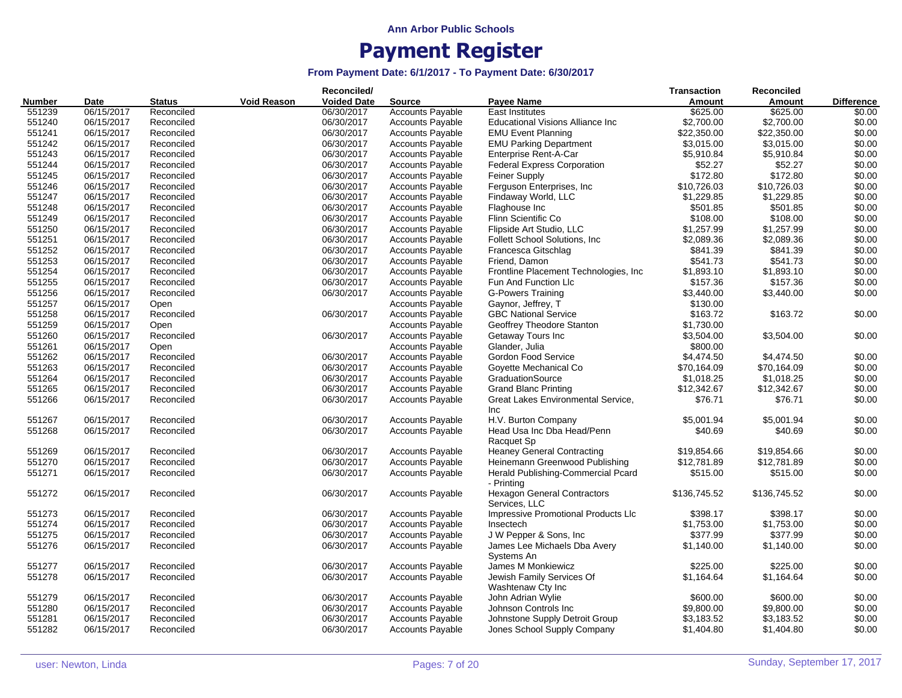|               |             |               |             | Reconciled/        |                         |                                                     | <b>Transaction</b> | Reconciled   |                   |
|---------------|-------------|---------------|-------------|--------------------|-------------------------|-----------------------------------------------------|--------------------|--------------|-------------------|
| <b>Number</b> | <b>Date</b> | <b>Status</b> | Void Reason | <b>Voided Date</b> | <b>Source</b>           | <b>Payee Name</b>                                   | Amount             | Amount       | <b>Difference</b> |
| 551239        | 06/15/2017  | Reconciled    |             | 06/30/2017         | <b>Accounts Payable</b> | <b>East Institutes</b>                              | \$625.00           | \$625.00     | \$0.00            |
| 551240        | 06/15/2017  | Reconciled    |             | 06/30/2017         | <b>Accounts Payable</b> | <b>Educational Visions Alliance Inc</b>             | \$2,700.00         | \$2,700.00   | \$0.00            |
| 551241        | 06/15/2017  | Reconciled    |             | 06/30/2017         | <b>Accounts Payable</b> | <b>EMU Event Planning</b>                           | \$22,350.00        | \$22,350.00  | \$0.00            |
| 551242        | 06/15/2017  | Reconciled    |             | 06/30/2017         | <b>Accounts Payable</b> | <b>EMU Parking Department</b>                       | \$3,015.00         | \$3,015.00   | \$0.00            |
| 551243        | 06/15/2017  | Reconciled    |             | 06/30/2017         | Accounts Payable        | Enterprise Rent-A-Car                               | \$5,910.84         | \$5,910.84   | \$0.00            |
| 551244        | 06/15/2017  | Reconciled    |             | 06/30/2017         | Accounts Payable        | <b>Federal Express Corporation</b>                  | \$52.27            | \$52.27      | \$0.00            |
| 551245        | 06/15/2017  | Reconciled    |             | 06/30/2017         | <b>Accounts Payable</b> | <b>Feiner Supply</b>                                | \$172.80           | \$172.80     | \$0.00            |
| 551246        | 06/15/2017  | Reconciled    |             | 06/30/2017         | <b>Accounts Payable</b> | Ferguson Enterprises, Inc                           | \$10,726.03        | \$10,726.03  | \$0.00            |
| 551247        | 06/15/2017  | Reconciled    |             | 06/30/2017         | <b>Accounts Payable</b> | Findaway World, LLC                                 | \$1,229.85         | \$1,229.85   | \$0.00            |
| 551248        | 06/15/2017  | Reconciled    |             | 06/30/2017         | <b>Accounts Payable</b> | Flaghouse Inc                                       | \$501.85           | \$501.85     | \$0.00            |
| 551249        | 06/15/2017  | Reconciled    |             | 06/30/2017         | Accounts Payable        | Flinn Scientific Co                                 | \$108.00           | \$108.00     | \$0.00            |
| 551250        | 06/15/2017  | Reconciled    |             | 06/30/2017         | <b>Accounts Payable</b> | Flipside Art Studio, LLC                            | \$1,257.99         | \$1,257.99   | \$0.00            |
| 551251        | 06/15/2017  | Reconciled    |             | 06/30/2017         | <b>Accounts Payable</b> | Follett School Solutions, Inc.                      | \$2,089.36         | \$2,089.36   | \$0.00            |
| 551252        | 06/15/2017  | Reconciled    |             | 06/30/2017         | <b>Accounts Payable</b> | Francesca Gitschlag                                 | \$841.39           | \$841.39     | \$0.00            |
| 551253        | 06/15/2017  | Reconciled    |             | 06/30/2017         | <b>Accounts Payable</b> | Friend, Damon                                       | \$541.73           | \$541.73     | \$0.00            |
| 551254        | 06/15/2017  | Reconciled    |             | 06/30/2017         | <b>Accounts Payable</b> | Frontline Placement Technologies, Inc.              | \$1,893.10         | \$1,893.10   | \$0.00            |
| 551255        | 06/15/2017  | Reconciled    |             | 06/30/2017         | Accounts Payable        | Fun And Function Llc                                | \$157.36           | \$157.36     | \$0.00            |
| 551256        | 06/15/2017  | Reconciled    |             | 06/30/2017         | <b>Accounts Payable</b> | <b>G-Powers Training</b>                            | \$3,440.00         | \$3,440.00   | \$0.00            |
| 551257        | 06/15/2017  | Open          |             |                    | <b>Accounts Payable</b> | Gaynor, Jeffrey, T                                  | \$130.00           |              |                   |
| 551258        | 06/15/2017  | Reconciled    |             | 06/30/2017         | <b>Accounts Payable</b> | <b>GBC National Service</b>                         | \$163.72           | \$163.72     | \$0.00            |
| 551259        | 06/15/2017  | Open          |             |                    | <b>Accounts Payable</b> | Geoffrey Theodore Stanton                           | \$1,730.00         |              |                   |
| 551260        | 06/15/2017  | Reconciled    |             | 06/30/2017         | Accounts Payable        |                                                     | \$3,504.00         | \$3,504.00   | \$0.00            |
| 551261        | 06/15/2017  | Open          |             |                    | Accounts Payable        | Getaway Tours Inc<br>Glander, Julia                 | \$800.00           |              |                   |
| 551262        |             |               |             |                    |                         |                                                     |                    |              |                   |
|               | 06/15/2017  | Reconciled    |             | 06/30/2017         | <b>Accounts Payable</b> | Gordon Food Service                                 | \$4,474.50         | \$4,474.50   | \$0.00<br>\$0.00  |
| 551263        | 06/15/2017  | Reconciled    |             | 06/30/2017         | <b>Accounts Payable</b> | Goyette Mechanical Co                               | \$70,164.09        | \$70,164.09  |                   |
| 551264        | 06/15/2017  | Reconciled    |             | 06/30/2017         | <b>Accounts Payable</b> | GraduationSource                                    | \$1,018.25         | \$1,018.25   | \$0.00            |
| 551265        | 06/15/2017  | Reconciled    |             | 06/30/2017         | <b>Accounts Payable</b> | <b>Grand Blanc Printing</b>                         | \$12,342.67        | \$12,342.67  | \$0.00            |
| 551266        | 06/15/2017  | Reconciled    |             | 06/30/2017         | <b>Accounts Payable</b> | Great Lakes Environmental Service,<br>Inc           | \$76.71            | \$76.71      | \$0.00            |
| 551267        | 06/15/2017  | Reconciled    |             | 06/30/2017         | <b>Accounts Payable</b> | H.V. Burton Company                                 | \$5,001.94         | \$5,001.94   | \$0.00            |
| 551268        | 06/15/2017  | Reconciled    |             | 06/30/2017         | <b>Accounts Payable</b> | Head Usa Inc Dba Head/Penn<br>Racquet Sp            | \$40.69            | \$40.69      | \$0.00            |
| 551269        | 06/15/2017  | Reconciled    |             | 06/30/2017         | <b>Accounts Payable</b> | <b>Heaney General Contracting</b>                   | \$19,854.66        | \$19,854.66  | \$0.00            |
| 551270        | 06/15/2017  | Reconciled    |             | 06/30/2017         | Accounts Payable        | Heinemann Greenwood Publishing                      | \$12,781.89        | \$12,781.89  | \$0.00            |
| 551271        | 06/15/2017  | Reconciled    |             | 06/30/2017         | <b>Accounts Payable</b> | Herald Publishing-Commercial Pcard<br>- Printing    | \$515.00           | \$515.00     | \$0.00            |
| 551272        | 06/15/2017  | Reconciled    |             | 06/30/2017         | <b>Accounts Payable</b> | <b>Hexagon General Contractors</b><br>Services, LLC | \$136,745.52       | \$136,745.52 | \$0.00            |
| 551273        | 06/15/2017  | Reconciled    |             | 06/30/2017         | <b>Accounts Payable</b> | Impressive Promotional Products Llc                 | \$398.17           | \$398.17     | \$0.00            |
| 551274        | 06/15/2017  | Reconciled    |             | 06/30/2017         | <b>Accounts Payable</b> | Insectech                                           | \$1,753.00         | \$1,753.00   | \$0.00            |
| 551275        | 06/15/2017  | Reconciled    |             | 06/30/2017         | Accounts Payable        | J W Pepper & Sons, Inc                              | \$377.99           | \$377.99     | \$0.00            |
| 551276        | 06/15/2017  | Reconciled    |             | 06/30/2017         | <b>Accounts Payable</b> | James Lee Michaels Dba Avery                        | \$1,140.00         | \$1,140.00   | \$0.00            |
| 551277        | 06/15/2017  | Reconciled    |             | 06/30/2017         | <b>Accounts Payable</b> | Systems An<br>James M Monkiewicz                    | \$225.00           | \$225.00     | \$0.00            |
| 551278        | 06/15/2017  | Reconciled    |             | 06/30/2017         | <b>Accounts Payable</b> | Jewish Family Services Of<br>Washtenaw Cty Inc      | \$1,164.64         | \$1,164.64   | \$0.00            |
| 551279        | 06/15/2017  | Reconciled    |             | 06/30/2017         | <b>Accounts Payable</b> | John Adrian Wylie                                   | \$600.00           | \$600.00     | \$0.00            |
| 551280        | 06/15/2017  | Reconciled    |             | 06/30/2017         | <b>Accounts Payable</b> | Johnson Controls Inc                                | \$9,800.00         | \$9,800.00   | \$0.00            |
| 551281        | 06/15/2017  | Reconciled    |             | 06/30/2017         | <b>Accounts Payable</b> | Johnstone Supply Detroit Group                      | \$3,183.52         | \$3,183.52   | \$0.00            |
| 551282        | 06/15/2017  | Reconciled    |             | 06/30/2017         | <b>Accounts Payable</b> | Jones School Supply Company                         | \$1,404.80         | \$1,404.80   | \$0.00            |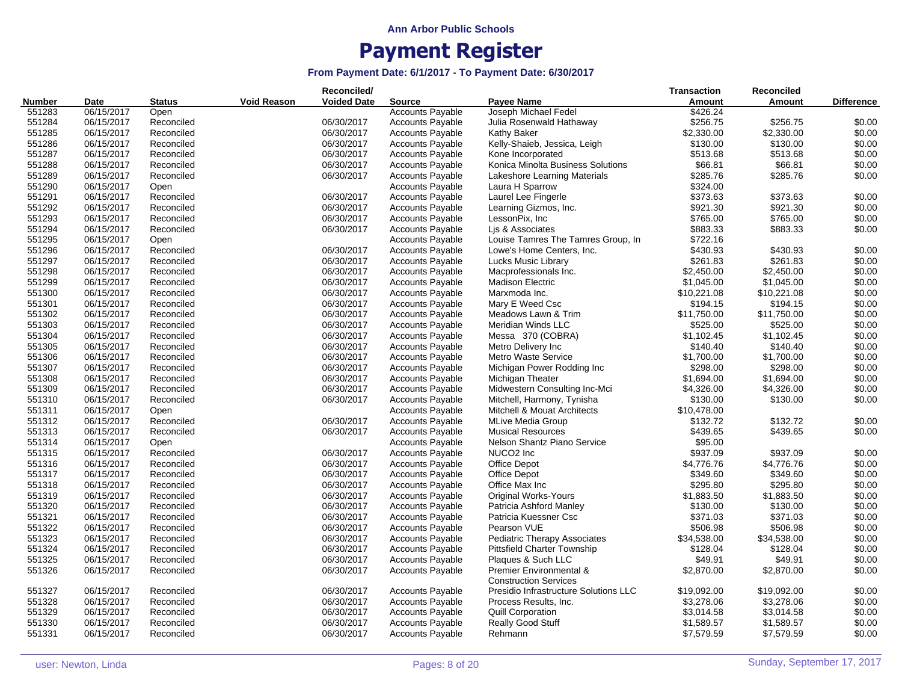|                  |                          |               |                    | Reconciled/        |                         |                                                         | <b>Transaction</b>   | Reconciled  |                   |
|------------------|--------------------------|---------------|--------------------|--------------------|-------------------------|---------------------------------------------------------|----------------------|-------------|-------------------|
| <b>Number</b>    | Date                     | <b>Status</b> | <b>Void Reason</b> | <b>Voided Date</b> | <b>Source</b>           | Payee Name                                              | Amount               | Amount      | <b>Difference</b> |
| 551283           | 06/15/2017               | Open          |                    |                    | <b>Accounts Payable</b> | Joseph Michael Fedel                                    | \$426.24             |             |                   |
| 551284           | 06/15/2017               | Reconciled    |                    | 06/30/2017         | <b>Accounts Payable</b> | Julia Rosenwald Hathaway                                | \$256.75             | \$256.75    | \$0.00            |
| 551285           | 06/15/2017               | Reconciled    |                    | 06/30/2017         | <b>Accounts Payable</b> | Kathy Baker                                             | \$2,330.00           | \$2,330.00  | \$0.00            |
| 551286           | 06/15/2017               | Reconciled    |                    | 06/30/2017         | <b>Accounts Payable</b> | Kelly-Shaieb, Jessica, Leigh                            | \$130.00             | \$130.00    | \$0.00            |
| 551287           | 06/15/2017               | Reconciled    |                    | 06/30/2017         | <b>Accounts Payable</b> | Kone Incorporated                                       | \$513.68             | \$513.68    | \$0.00            |
| 551288           | 06/15/2017               | Reconciled    |                    | 06/30/2017         | <b>Accounts Payable</b> | Konica Minolta Business Solutions                       | \$66.81              | \$66.81     | \$0.00            |
| 551289           | 06/15/2017               | Reconciled    |                    | 06/30/2017         | <b>Accounts Payable</b> | Lakeshore Learning Materials                            | \$285.76             | \$285.76    | \$0.00            |
| 551290           | 06/15/2017               | Open          |                    |                    | <b>Accounts Payable</b> | Laura H Sparrow                                         | \$324.00             |             |                   |
| 551291           | 06/15/2017               | Reconciled    |                    | 06/30/2017         | <b>Accounts Payable</b> | Laurel Lee Fingerle                                     | \$373.63             | \$373.63    | \$0.00            |
| 551292           | 06/15/2017               | Reconciled    |                    | 06/30/2017         | <b>Accounts Payable</b> | Learning Gizmos, Inc.                                   | \$921.30             | \$921.30    | \$0.00            |
| 551293           | 06/15/2017               | Reconciled    |                    | 06/30/2017         | <b>Accounts Payable</b> | LessonPix, Inc.                                         | \$765.00             | \$765.00    | \$0.00            |
| 551294           | 06/15/2017               | Reconciled    |                    | 06/30/2017         | <b>Accounts Payable</b> | Lis & Associates                                        | \$883.33             | \$883.33    | \$0.00            |
| 551295           | 06/15/2017               | Open          |                    |                    | <b>Accounts Payable</b> | Louise Tamres The Tamres Group, In                      | \$722.16             |             |                   |
| 551296           | 06/15/2017               | Reconciled    |                    | 06/30/2017         | <b>Accounts Payable</b> | Lowe's Home Centers, Inc.                               | \$430.93             | \$430.93    | \$0.00            |
| 551297           | 06/15/2017               | Reconciled    |                    | 06/30/2017         | <b>Accounts Payable</b> | Lucks Music Library                                     | \$261.83             | \$261.83    | \$0.00            |
| 551298           | 06/15/2017               | Reconciled    |                    | 06/30/2017         | <b>Accounts Payable</b> | Macprofessionals Inc.                                   | \$2,450.00           | \$2,450.00  | \$0.00            |
| 551299           | 06/15/2017               | Reconciled    |                    | 06/30/2017         | <b>Accounts Payable</b> | <b>Madison Electric</b>                                 | \$1,045.00           | \$1,045.00  | \$0.00            |
| 551300           | 06/15/2017               | Reconciled    |                    | 06/30/2017         | <b>Accounts Payable</b> | Marxmoda Inc.                                           | \$10,221.08          | \$10,221.08 | \$0.00            |
| 551301           | 06/15/2017               | Reconciled    |                    | 06/30/2017         | <b>Accounts Payable</b> | Mary E Weed Csc                                         | \$194.15             | \$194.15    | \$0.00            |
| 551302           | 06/15/2017               | Reconciled    |                    | 06/30/2017         | <b>Accounts Payable</b> | Meadows Lawn & Trim                                     | \$11,750.00          | \$11,750.00 | \$0.00            |
| 551303           | 06/15/2017               | Reconciled    |                    | 06/30/2017         | <b>Accounts Payable</b> | Meridian Winds LLC                                      | \$525.00             | \$525.00    | \$0.00            |
| 551304           | 06/15/2017               | Reconciled    |                    | 06/30/2017         | <b>Accounts Payable</b> | Messa 370 (COBRA)                                       | \$1,102.45           | \$1,102.45  | \$0.00            |
| 551305           | 06/15/2017               | Reconciled    |                    | 06/30/2017         | <b>Accounts Payable</b> | Metro Delivery Inc                                      | \$140.40             | \$140.40    | \$0.00            |
| 551306           | 06/15/2017               | Reconciled    |                    | 06/30/2017         | <b>Accounts Payable</b> | <b>Metro Waste Service</b>                              | \$1,700.00           | \$1,700.00  | \$0.00            |
| 551307           | 06/15/2017               | Reconciled    |                    | 06/30/2017         | <b>Accounts Payable</b> | Michigan Power Rodding Inc                              | \$298.00             | \$298.00    | \$0.00            |
| 551308           | 06/15/2017               | Reconciled    |                    | 06/30/2017         | <b>Accounts Payable</b> | Michigan Theater                                        | \$1,694.00           | \$1,694.00  | \$0.00            |
| 551309           | 06/15/2017               | Reconciled    |                    | 06/30/2017         | Accounts Payable        | Midwestern Consulting Inc-Mci                           | \$4,326.00           | \$4,326.00  | \$0.00            |
| 551310           | 06/15/2017               | Reconciled    |                    | 06/30/2017         | <b>Accounts Payable</b> | Mitchell, Harmony, Tynisha                              | \$130.00             | \$130.00    | \$0.00            |
| 551311           | 06/15/2017               | Open          |                    |                    | <b>Accounts Payable</b> | Mitchell & Mouat Architects                             | \$10,478.00          |             |                   |
|                  |                          |               |                    |                    |                         |                                                         |                      |             | \$0.00            |
| 551312           | 06/15/2017<br>06/15/2017 | Reconciled    |                    | 06/30/2017         | <b>Accounts Payable</b> | <b>MLive Media Group</b>                                | \$132.72<br>\$439.65 | \$132.72    |                   |
| 551313<br>551314 |                          | Reconciled    |                    | 06/30/2017         | <b>Accounts Payable</b> | <b>Musical Resources</b>                                | \$95.00              | \$439.65    | \$0.00            |
|                  | 06/15/2017               | Open          |                    |                    | Accounts Payable        | Nelson Shantz Piano Service                             |                      |             |                   |
| 551315           | 06/15/2017               | Reconciled    |                    | 06/30/2017         | <b>Accounts Payable</b> | NUCO <sub>2</sub> Inc                                   | \$937.09             | \$937.09    | \$0.00            |
| 551316           | 06/15/2017               | Reconciled    |                    | 06/30/2017         | <b>Accounts Payable</b> | Office Depot                                            | \$4,776.76           | \$4,776.76  | \$0.00            |
| 551317           | 06/15/2017               | Reconciled    |                    | 06/30/2017         | <b>Accounts Payable</b> | <b>Office Depot</b>                                     | \$349.60             | \$349.60    | \$0.00            |
| 551318           | 06/15/2017               | Reconciled    |                    | 06/30/2017         | <b>Accounts Payable</b> | Office Max Inc                                          | \$295.80             | \$295.80    | \$0.00            |
| 551319           | 06/15/2017               | Reconciled    |                    | 06/30/2017         | <b>Accounts Payable</b> | <b>Original Works-Yours</b>                             | \$1,883.50           | \$1,883.50  | \$0.00            |
| 551320           | 06/15/2017               | Reconciled    |                    | 06/30/2017         | <b>Accounts Payable</b> | Patricia Ashford Manley                                 | \$130.00             | \$130.00    | \$0.00            |
| 551321           | 06/15/2017               | Reconciled    |                    | 06/30/2017         | <b>Accounts Payable</b> | Patricia Kuessner Csc                                   | \$371.03             | \$371.03    | \$0.00            |
| 551322           | 06/15/2017               | Reconciled    |                    | 06/30/2017         | <b>Accounts Payable</b> | Pearson VUE                                             | \$506.98             | \$506.98    | \$0.00            |
| 551323           | 06/15/2017               | Reconciled    |                    | 06/30/2017         | <b>Accounts Payable</b> | <b>Pediatric Therapy Associates</b>                     | \$34,538.00          | \$34,538.00 | \$0.00            |
| 551324           | 06/15/2017               | Reconciled    |                    | 06/30/2017         | <b>Accounts Payable</b> | <b>Pittsfield Charter Township</b>                      | \$128.04             | \$128.04    | \$0.00            |
| 551325           | 06/15/2017               | Reconciled    |                    | 06/30/2017         | <b>Accounts Payable</b> | Plaques & Such LLC                                      | \$49.91              | \$49.91     | \$0.00            |
| 551326           | 06/15/2017               | Reconciled    |                    | 06/30/2017         | <b>Accounts Payable</b> | Premier Environmental &<br><b>Construction Services</b> | \$2,870.00           | \$2,870.00  | \$0.00            |
| 551327           | 06/15/2017               | Reconciled    |                    | 06/30/2017         | <b>Accounts Payable</b> | Presidio Infrastructure Solutions LLC                   | \$19,092.00          | \$19,092.00 | \$0.00            |
| 551328           | 06/15/2017               | Reconciled    |                    | 06/30/2017         | <b>Accounts Payable</b> | Process Results, Inc.                                   | \$3,278.06           | \$3,278.06  | \$0.00            |
| 551329           | 06/15/2017               | Reconciled    |                    | 06/30/2017         | <b>Accounts Payable</b> | <b>Quill Corporation</b>                                | \$3,014.58           | \$3,014.58  | \$0.00            |
| 551330           | 06/15/2017               | Reconciled    |                    | 06/30/2017         | <b>Accounts Payable</b> | <b>Really Good Stuff</b>                                | \$1,589.57           | \$1,589.57  | \$0.00            |
| 551331           | 06/15/2017               | Reconciled    |                    | 06/30/2017         | <b>Accounts Payable</b> | Rehmann                                                 | \$7,579.59           | \$7,579.59  | \$0.00            |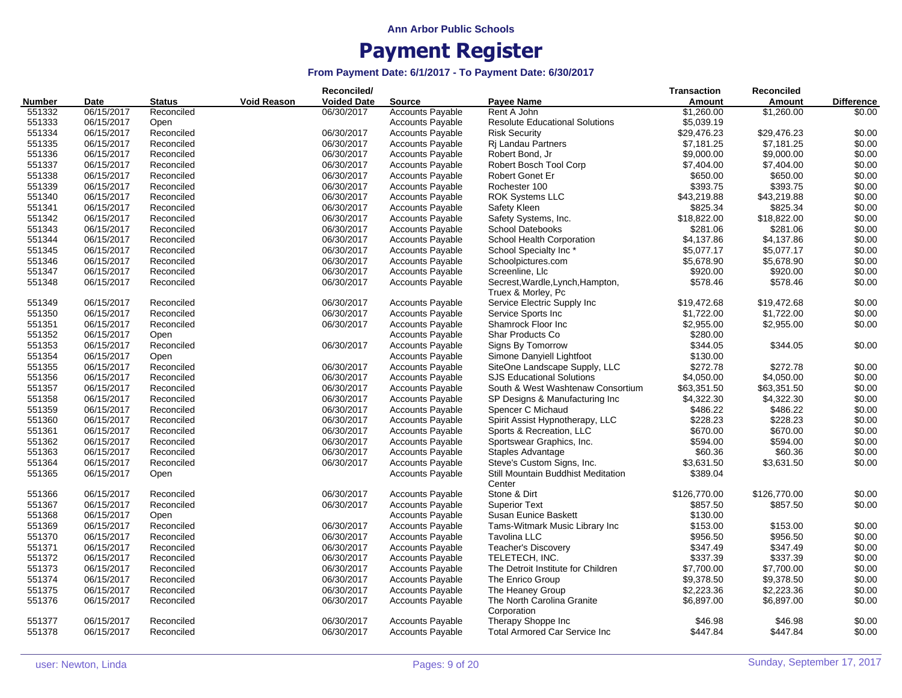|               |            |               |                    | Reconciled/        |                         |                                           | <b>Transaction</b>   | Reconciled   |                   |
|---------------|------------|---------------|--------------------|--------------------|-------------------------|-------------------------------------------|----------------------|--------------|-------------------|
| <b>Number</b> | Date       | <b>Status</b> | <b>Void Reason</b> | <b>Voided Date</b> | <b>Source</b>           | <b>Payee Name</b>                         | Amount               | Amount       | <b>Difference</b> |
| 551332        | 06/15/2017 | Reconciled    |                    | 06/30/2017         | <b>Accounts Payable</b> | Rent A John                               | \$1,260.00           | \$1,260.00   | \$0.00            |
| 551333        | 06/15/2017 | Open          |                    |                    | <b>Accounts Payable</b> | <b>Resolute Educational Solutions</b>     | \$5,039.19           |              |                   |
| 551334        | 06/15/2017 | Reconciled    |                    | 06/30/2017         | <b>Accounts Payable</b> | <b>Risk Security</b>                      | \$29,476.23          | \$29,476.23  | \$0.00            |
| 551335        | 06/15/2017 | Reconciled    |                    | 06/30/2017         | <b>Accounts Payable</b> | Ri Landau Partners                        | \$7,181.25           | \$7,181.25   | \$0.00            |
| 551336        | 06/15/2017 | Reconciled    |                    | 06/30/2017         | <b>Accounts Payable</b> | Robert Bond, Jr                           | \$9,000.00           | \$9,000.00   | \$0.00            |
| 551337        | 06/15/2017 | Reconciled    |                    | 06/30/2017         | <b>Accounts Payable</b> | Robert Bosch Tool Corp                    | \$7,404.00           | \$7,404.00   | \$0.00            |
| 551338        | 06/15/2017 | Reconciled    |                    | 06/30/2017         | <b>Accounts Payable</b> | Robert Gonet Er                           | \$650.00             | \$650.00     | \$0.00            |
| 551339        | 06/15/2017 | Reconciled    |                    | 06/30/2017         | <b>Accounts Payable</b> | Rochester 100                             | \$393.75             | \$393.75     | \$0.00            |
| 551340        | 06/15/2017 | Reconciled    |                    | 06/30/2017         | <b>Accounts Payable</b> | <b>ROK Systems LLC</b>                    | \$43,219.88          | \$43,219.88  | \$0.00            |
| 551341        | 06/15/2017 | Reconciled    |                    | 06/30/2017         | <b>Accounts Payable</b> | Safety Kleen                              | \$825.34             | \$825.34     | \$0.00            |
| 551342        | 06/15/2017 | Reconciled    |                    | 06/30/2017         | Accounts Payable        | Safety Systems, Inc.                      | \$18,822.00          | \$18,822.00  | \$0.00            |
| 551343        | 06/15/2017 | Reconciled    |                    | 06/30/2017         | Accounts Payable        | <b>School Datebooks</b>                   | \$281.06             | \$281.06     | \$0.00            |
| 551344        | 06/15/2017 | Reconciled    |                    | 06/30/2017         | <b>Accounts Payable</b> | School Health Corporation                 | \$4,137.86           | \$4,137.86   | \$0.00            |
| 551345        | 06/15/2017 | Reconciled    |                    | 06/30/2017         | <b>Accounts Payable</b> | School Specialty Inc*                     | \$5,077.17           | \$5,077.17   | \$0.00            |
| 551346        | 06/15/2017 | Reconciled    |                    | 06/30/2017         | <b>Accounts Payable</b> | Schoolpictures.com                        | \$5,678.90           | \$5,678.90   | \$0.00            |
| 551347        | 06/15/2017 | Reconciled    |                    | 06/30/2017         | <b>Accounts Payable</b> | Screenline, Llc                           | \$920.00             | \$920.00     | \$0.00            |
| 551348        | 06/15/2017 | Reconciled    |                    | 06/30/2017         | <b>Accounts Payable</b> | Secrest, Wardle, Lynch, Hampton,          | \$578.46             | \$578.46     | \$0.00            |
|               |            |               |                    |                    |                         | Truex & Morley, Pc                        |                      |              |                   |
| 551349        | 06/15/2017 | Reconciled    |                    | 06/30/2017         | <b>Accounts Payable</b> | Service Electric Supply Inc               | \$19,472.68          | \$19,472.68  | \$0.00            |
| 551350        | 06/15/2017 | Reconciled    |                    | 06/30/2017         | <b>Accounts Payable</b> | Service Sports Inc                        | \$1,722.00           | \$1,722.00   | \$0.00            |
| 551351        | 06/15/2017 | Reconciled    |                    | 06/30/2017         | <b>Accounts Payable</b> | Shamrock Floor Inc                        | \$2,955.00           | \$2,955.00   | \$0.00            |
| 551352        | 06/15/2017 | Open          |                    |                    | <b>Accounts Payable</b> | Shar Products Co                          | \$280.00             |              |                   |
| 551353        | 06/15/2017 | Reconciled    |                    | 06/30/2017         | Accounts Payable        | Signs By Tomorrow                         | \$344.05             | \$344.05     | \$0.00            |
| 551354        | 06/15/2017 | Open          |                    |                    | <b>Accounts Payable</b> | Simone Danyiell Lightfoot                 | \$130.00             |              |                   |
| 551355        | 06/15/2017 | Reconciled    |                    | 06/30/2017         | <b>Accounts Payable</b> | SiteOne Landscape Supply, LLC             | \$272.78             | \$272.78     | \$0.00            |
| 551356        | 06/15/2017 | Reconciled    |                    | 06/30/2017         | <b>Accounts Payable</b> | <b>SJS Educational Solutions</b>          | \$4,050.00           | \$4,050.00   | \$0.00            |
| 551357        | 06/15/2017 | Reconciled    |                    | 06/30/2017         | <b>Accounts Payable</b> | South & West Washtenaw Consortium         | \$63,351.50          | \$63,351.50  | \$0.00            |
| 551358        | 06/15/2017 | Reconciled    |                    | 06/30/2017         | <b>Accounts Payable</b> | SP Designs & Manufacturing Inc            | \$4,322.30           | \$4,322.30   | \$0.00            |
| 551359        | 06/15/2017 | Reconciled    |                    | 06/30/2017         | Accounts Payable        | Spencer C Michaud                         | \$486.22             | \$486.22     | \$0.00            |
| 551360        | 06/15/2017 | Reconciled    |                    | 06/30/2017         | <b>Accounts Payable</b> | Spirit Assist Hypnotherapy, LLC           | \$228.23             | \$228.23     | \$0.00            |
| 551361        | 06/15/2017 | Reconciled    |                    | 06/30/2017         | <b>Accounts Payable</b> | Sports & Recreation, LLC                  | \$670.00             | \$670.00     | \$0.00            |
| 551362        | 06/15/2017 | Reconciled    |                    | 06/30/2017         | <b>Accounts Payable</b> | Sportswear Graphics, Inc.                 | \$594.00             | \$594.00     | \$0.00            |
| 551363        | 06/15/2017 | Reconciled    |                    | 06/30/2017         | <b>Accounts Payable</b> | Staples Advantage                         | \$60.36              | \$60.36      | \$0.00            |
| 551364        | 06/15/2017 | Reconciled    |                    | 06/30/2017         | Accounts Payable        | Steve's Custom Signs, Inc.                | \$3,631.50           | \$3,631.50   | \$0.00            |
| 551365        | 06/15/2017 |               |                    |                    | <b>Accounts Payable</b> | Still Mountain Buddhist Meditation        | \$389.04             |              |                   |
|               |            | Open          |                    |                    |                         | Center                                    |                      |              |                   |
| 551366        | 06/15/2017 | Reconciled    |                    | 06/30/2017         | <b>Accounts Payable</b> | Stone & Dirt                              | \$126,770.00         | \$126,770.00 | \$0.00            |
| 551367        | 06/15/2017 | Reconciled    |                    | 06/30/2017         | <b>Accounts Payable</b> | <b>Superior Text</b>                      | \$857.50             | \$857.50     | \$0.00            |
| 551368        | 06/15/2017 | Open          |                    |                    | <b>Accounts Payable</b> | Susan Eunice Baskett                      | \$130.00             |              |                   |
| 551369        | 06/15/2017 | Reconciled    |                    | 06/30/2017         |                         |                                           |                      | \$153.00     | \$0.00            |
| 551370        | 06/15/2017 |               |                    |                    | <b>Accounts Payable</b> | Tams-Witmark Music Library Inc            | \$153.00<br>\$956.50 | \$956.50     | \$0.00            |
|               | 06/15/2017 | Reconciled    |                    | 06/30/2017         | <b>Accounts Payable</b> | Tavolina LLC                              |                      |              |                   |
| 551371        |            | Reconciled    |                    | 06/30/2017         | <b>Accounts Payable</b> | <b>Teacher's Discovery</b>                | \$347.49             | \$347.49     | \$0.00<br>\$0.00  |
| 551372        | 06/15/2017 | Reconciled    |                    | 06/30/2017         | <b>Accounts Payable</b> | TELETECH, INC.                            | \$337.39             | \$337.39     |                   |
| 551373        | 06/15/2017 | Reconciled    |                    | 06/30/2017         | <b>Accounts Payable</b> | The Detroit Institute for Children        | \$7,700.00           | \$7,700.00   | \$0.00            |
| 551374        | 06/15/2017 | Reconciled    |                    | 06/30/2017         | <b>Accounts Payable</b> | The Enrico Group                          | \$9,378.50           | \$9,378.50   | \$0.00            |
| 551375        | 06/15/2017 | Reconciled    |                    | 06/30/2017         | <b>Accounts Payable</b> | The Heaney Group                          | \$2,223.36           | \$2,223.36   | \$0.00            |
| 551376        | 06/15/2017 | Reconciled    |                    | 06/30/2017         | <b>Accounts Payable</b> | The North Carolina Granite<br>Corporation | \$6,897.00           | \$6,897.00   | \$0.00            |
| 551377        | 06/15/2017 | Reconciled    |                    | 06/30/2017         | <b>Accounts Payable</b> | Therapy Shoppe Inc                        | \$46.98              | \$46.98      | \$0.00            |
| 551378        | 06/15/2017 | Reconciled    |                    | 06/30/2017         | <b>Accounts Payable</b> | Total Armored Car Service Inc             | \$447.84             | \$447.84     | \$0.00            |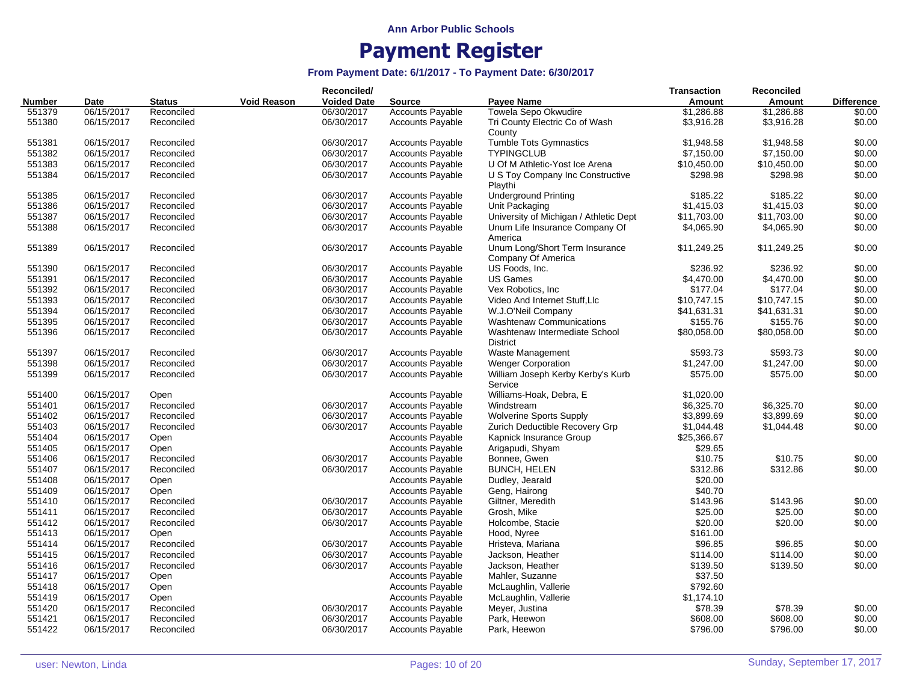|               |            |               |                    | Reconciled/        |                         |                                                      | <b>Transaction</b> | Reconciled  |                   |
|---------------|------------|---------------|--------------------|--------------------|-------------------------|------------------------------------------------------|--------------------|-------------|-------------------|
| <b>Number</b> | Date       | <b>Status</b> | <b>Void Reason</b> | <b>Voided Date</b> | <b>Source</b>           | Payee Name                                           | Amount             | Amount      | <b>Difference</b> |
| 551379        | 06/15/2017 | Reconciled    |                    | 06/30/2017         | <b>Accounts Payable</b> | Towela Sepo Okwudire                                 | \$1,286.88         | \$1,286.88  | \$0.00            |
| 551380        | 06/15/2017 | Reconciled    |                    | 06/30/2017         | <b>Accounts Payable</b> | Tri County Electric Co of Wash<br>County             | \$3,916.28         | \$3,916.28  | \$0.00            |
| 551381        | 06/15/2017 | Reconciled    |                    | 06/30/2017         | <b>Accounts Payable</b> | <b>Tumble Tots Gymnastics</b>                        | \$1,948.58         | \$1,948.58  | \$0.00            |
| 551382        | 06/15/2017 | Reconciled    |                    | 06/30/2017         | <b>Accounts Payable</b> | <b>TYPINGCLUB</b>                                    | \$7,150.00         | \$7,150.00  | \$0.00            |
| 551383        | 06/15/2017 | Reconciled    |                    | 06/30/2017         | <b>Accounts Payable</b> | U Of M Athletic-Yost Ice Arena                       | \$10,450.00        | \$10,450.00 | \$0.00            |
| 551384        | 06/15/2017 | Reconciled    |                    | 06/30/2017         | <b>Accounts Payable</b> | U S Toy Company Inc Constructive<br>Playthi          | \$298.98           | \$298.98    | \$0.00            |
| 551385        | 06/15/2017 | Reconciled    |                    | 06/30/2017         | Accounts Payable        | <b>Underground Printing</b>                          | \$185.22           | \$185.22    | \$0.00            |
| 551386        | 06/15/2017 | Reconciled    |                    | 06/30/2017         | <b>Accounts Payable</b> | Unit Packaging                                       | \$1,415.03         | \$1,415.03  | \$0.00            |
| 551387        | 06/15/2017 | Reconciled    |                    | 06/30/2017         | <b>Accounts Payable</b> | University of Michigan / Athletic Dept               | \$11,703.00        | \$11,703.00 | \$0.00            |
| 551388        | 06/15/2017 | Reconciled    |                    | 06/30/2017         | <b>Accounts Payable</b> | Unum Life Insurance Company Of<br>America            | \$4,065.90         | \$4,065.90  | \$0.00            |
| 551389        | 06/15/2017 | Reconciled    |                    | 06/30/2017         | <b>Accounts Payable</b> | Unum Long/Short Term Insurance<br>Company Of America | \$11,249.25        | \$11,249.25 | \$0.00            |
| 551390        | 06/15/2017 | Reconciled    |                    | 06/30/2017         | <b>Accounts Payable</b> | US Foods, Inc.                                       | \$236.92           | \$236.92    | \$0.00            |
| 551391        | 06/15/2017 | Reconciled    |                    | 06/30/2017         | <b>Accounts Payable</b> | <b>US Games</b>                                      | \$4,470.00         | \$4,470.00  | \$0.00            |
| 551392        | 06/15/2017 | Reconciled    |                    | 06/30/2017         | <b>Accounts Payable</b> | Vex Robotics, Inc.                                   | \$177.04           | \$177.04    | \$0.00            |
| 551393        | 06/15/2017 | Reconciled    |                    | 06/30/2017         | <b>Accounts Payable</b> | Video And Internet Stuff, Llc                        | \$10,747.15        | \$10,747.15 | \$0.00            |
| 551394        | 06/15/2017 | Reconciled    |                    | 06/30/2017         | <b>Accounts Payable</b> | W.J.O'Neil Company                                   | \$41,631.31        | \$41,631.31 | \$0.00            |
| 551395        | 06/15/2017 | Reconciled    |                    | 06/30/2017         | <b>Accounts Payable</b> | <b>Washtenaw Communications</b>                      | \$155.76           | \$155.76    | \$0.00            |
| 551396        | 06/15/2017 | Reconciled    |                    | 06/30/2017         | <b>Accounts Payable</b> | Washtenaw Intermediate School                        | \$80,058.00        | \$80,058.00 | \$0.00            |
|               |            |               |                    |                    |                         | <b>District</b>                                      |                    |             |                   |
| 551397        | 06/15/2017 | Reconciled    |                    | 06/30/2017         | <b>Accounts Payable</b> | Waste Management                                     | \$593.73           | \$593.73    | \$0.00            |
| 551398        | 06/15/2017 | Reconciled    |                    | 06/30/2017         | <b>Accounts Payable</b> | <b>Wenger Corporation</b>                            | \$1,247.00         | \$1,247.00  | \$0.00            |
| 551399        | 06/15/2017 | Reconciled    |                    | 06/30/2017         | <b>Accounts Payable</b> | William Joseph Kerby Kerby's Kurb<br>Service         | \$575.00           | \$575.00    | \$0.00            |
| 551400        | 06/15/2017 | Open          |                    |                    | <b>Accounts Payable</b> | Williams-Hoak, Debra, E                              | \$1,020.00         |             |                   |
| 551401        | 06/15/2017 | Reconciled    |                    | 06/30/2017         | <b>Accounts Payable</b> | Windstream                                           | \$6,325.70         | \$6,325.70  | \$0.00            |
| 551402        | 06/15/2017 | Reconciled    |                    | 06/30/2017         | <b>Accounts Payable</b> | <b>Wolverine Sports Supply</b>                       | \$3,899.69         | \$3,899.69  | \$0.00            |
| 551403        | 06/15/2017 | Reconciled    |                    | 06/30/2017         | <b>Accounts Payable</b> | Zurich Deductible Recovery Grp                       | \$1,044.48         | \$1,044.48  | \$0.00            |
| 551404        | 06/15/2017 | Open          |                    |                    | <b>Accounts Payable</b> | Kapnick Insurance Group                              | \$25,366.67        |             |                   |
| 551405        | 06/15/2017 | Open          |                    |                    | <b>Accounts Payable</b> | Arigapudi, Shyam                                     | \$29.65            |             |                   |
| 551406        | 06/15/2017 | Reconciled    |                    | 06/30/2017         | <b>Accounts Payable</b> | Bonnee, Gwen                                         | \$10.75            | \$10.75     | \$0.00            |
| 551407        | 06/15/2017 | Reconciled    |                    | 06/30/2017         | <b>Accounts Payable</b> | <b>BUNCH, HELEN</b>                                  | \$312.86           | \$312.86    | \$0.00            |
| 551408        | 06/15/2017 | Open          |                    |                    | <b>Accounts Payable</b> | Dudley, Jearald                                      | \$20.00            |             |                   |
| 551409        | 06/15/2017 | Open          |                    |                    | <b>Accounts Payable</b> | Geng, Hairong                                        | \$40.70            |             |                   |
| 551410        | 06/15/2017 | Reconciled    |                    | 06/30/2017         | <b>Accounts Payable</b> | Giltner, Meredith                                    | \$143.96           | \$143.96    | \$0.00            |
| 551411        | 06/15/2017 | Reconciled    |                    | 06/30/2017         | <b>Accounts Payable</b> | Grosh, Mike                                          | \$25.00            | \$25.00     | \$0.00            |
| 551412        | 06/15/2017 | Reconciled    |                    | 06/30/2017         | <b>Accounts Payable</b> | Holcombe, Stacie                                     | \$20.00            | \$20.00     | \$0.00            |
| 551413        | 06/15/2017 | Open          |                    |                    | <b>Accounts Payable</b> | Hood, Nyree                                          | \$161.00           |             |                   |
| 551414        | 06/15/2017 | Reconciled    |                    | 06/30/2017         | <b>Accounts Payable</b> | Hristeva, Mariana                                    | \$96.85            | \$96.85     | \$0.00            |
| 551415        | 06/15/2017 | Reconciled    |                    | 06/30/2017         | <b>Accounts Payable</b> | Jackson, Heather                                     | \$114.00           | \$114.00    | \$0.00            |
|               |            |               |                    |                    |                         |                                                      |                    |             | \$0.00            |
| 551416        | 06/15/2017 | Reconciled    |                    | 06/30/2017         | <b>Accounts Payable</b> | Jackson, Heather                                     | \$139.50           | \$139.50    |                   |
| 551417        | 06/15/2017 | Open          |                    |                    | <b>Accounts Payable</b> | Mahler, Suzanne                                      | \$37.50            |             |                   |
| 551418        | 06/15/2017 | Open          |                    |                    | <b>Accounts Payable</b> | McLaughlin, Vallerie                                 | \$792.60           |             |                   |
| 551419        | 06/15/2017 | Open          |                    |                    | <b>Accounts Payable</b> | McLaughlin, Vallerie                                 | \$1,174.10         |             |                   |
| 551420        | 06/15/2017 | Reconciled    |                    | 06/30/2017         | <b>Accounts Payable</b> | Meyer, Justina                                       | \$78.39            | \$78.39     | \$0.00            |
| 551421        | 06/15/2017 | Reconciled    |                    | 06/30/2017         | <b>Accounts Payable</b> | Park, Heewon                                         | \$608.00           | \$608.00    | \$0.00            |
| 551422        | 06/15/2017 | Reconciled    |                    | 06/30/2017         | <b>Accounts Payable</b> | Park, Heewon                                         | \$796.00           | \$796.00    | \$0.00            |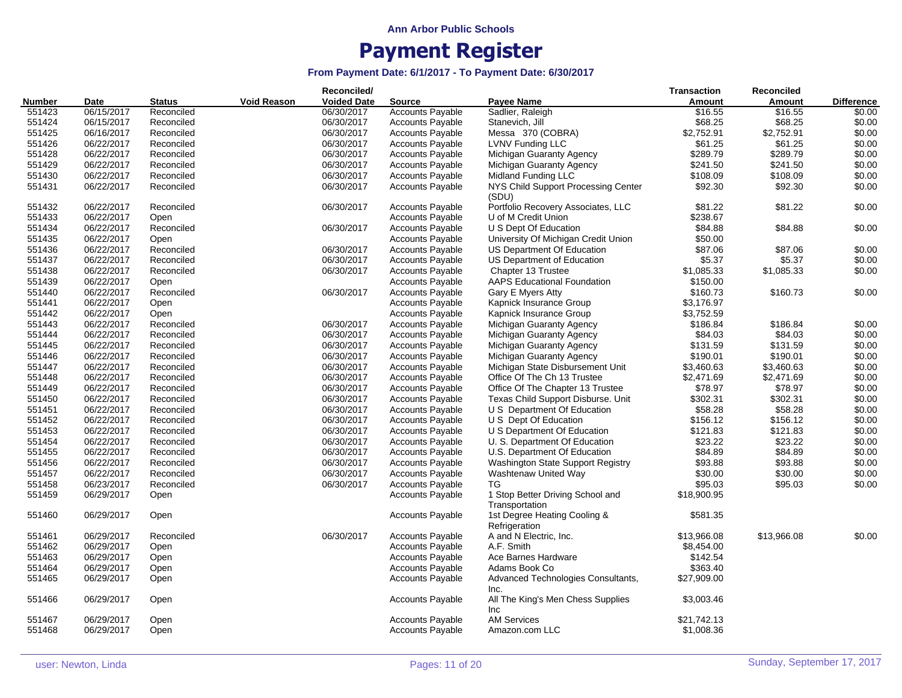|        |            |               |                    | Reconciled/        |                         |                                                                 | Transaction   | <b>Reconciled</b> |                   |
|--------|------------|---------------|--------------------|--------------------|-------------------------|-----------------------------------------------------------------|---------------|-------------------|-------------------|
| Number | Date       | <b>Status</b> | <b>Void Reason</b> | <b>Voided Date</b> | <b>Source</b>           | Payee Name                                                      | <b>Amount</b> | <b>Amount</b>     | <b>Difference</b> |
| 551423 | 06/15/2017 | Reconciled    |                    | 06/30/2017         | <b>Accounts Payable</b> | Sadlier, Raleigh                                                | \$16.55       | \$16.55           | \$0.00            |
| 551424 | 06/15/2017 | Reconciled    |                    | 06/30/2017         | <b>Accounts Payable</b> | Stanevich, Jill                                                 | \$68.25       | \$68.25           | \$0.00            |
| 551425 | 06/16/2017 | Reconciled    |                    | 06/30/2017         | <b>Accounts Payable</b> | Messa 370 (COBRA)                                               | \$2,752.91    | \$2,752.91        | \$0.00            |
| 551426 | 06/22/2017 | Reconciled    |                    | 06/30/2017         | <b>Accounts Payable</b> | LVNV Funding LLC                                                | \$61.25       | \$61.25           | \$0.00            |
| 551428 | 06/22/2017 | Reconciled    |                    | 06/30/2017         | <b>Accounts Payable</b> | Michigan Guaranty Agency                                        | \$289.79      | \$289.79          | \$0.00            |
| 551429 | 06/22/2017 | Reconciled    |                    | 06/30/2017         | <b>Accounts Payable</b> | Michigan Guaranty Agency                                        | \$241.50      | \$241.50          | \$0.00            |
| 551430 | 06/22/2017 | Reconciled    |                    | 06/30/2017         | <b>Accounts Payable</b> | Midland Funding LLC                                             | \$108.09      | \$108.09          | \$0.00            |
| 551431 | 06/22/2017 | Reconciled    |                    | 06/30/2017         | <b>Accounts Payable</b> | NYS Child Support Processing Center<br>(SDU)                    | \$92.30       | \$92.30           | \$0.00            |
| 551432 | 06/22/2017 | Reconciled    |                    | 06/30/2017         | <b>Accounts Payable</b> | Portfolio Recovery Associates, LLC                              | \$81.22       | \$81.22           | \$0.00            |
| 551433 | 06/22/2017 | Open          |                    |                    | <b>Accounts Payable</b> | U of M Credit Union                                             | \$238.67      |                   |                   |
| 551434 | 06/22/2017 | Reconciled    |                    | 06/30/2017         | <b>Accounts Payable</b> | U S Dept Of Education                                           | \$84.88       | \$84.88           | \$0.00            |
| 551435 | 06/22/2017 | Open          |                    |                    | <b>Accounts Payable</b> | University Of Michigan Credit Union                             | \$50.00       |                   |                   |
| 551436 | 06/22/2017 |               |                    | 06/30/2017         | <b>Accounts Payable</b> | US Department Of Education                                      | \$87.06       | \$87.06           | \$0.00            |
|        |            | Reconciled    |                    |                    |                         |                                                                 |               |                   |                   |
| 551437 | 06/22/2017 | Reconciled    |                    | 06/30/2017         | <b>Accounts Payable</b> | US Department of Education                                      | \$5.37        | \$5.37            | \$0.00            |
| 551438 | 06/22/2017 | Reconciled    |                    | 06/30/2017         | <b>Accounts Payable</b> | Chapter 13 Trustee                                              | \$1,085.33    | \$1,085.33        | \$0.00            |
| 551439 | 06/22/2017 | Open          |                    |                    | <b>Accounts Payable</b> | <b>AAPS Educational Foundation</b>                              | \$150.00      |                   |                   |
| 551440 | 06/22/2017 | Reconciled    |                    | 06/30/2017         | <b>Accounts Payable</b> | Gary E Myers Atty                                               | \$160.73      | \$160.73          | \$0.00            |
| 551441 | 06/22/2017 | Open          |                    |                    | <b>Accounts Payable</b> | Kapnick Insurance Group                                         | \$3,176.97    |                   |                   |
| 551442 | 06/22/2017 | Open          |                    |                    | <b>Accounts Payable</b> | Kapnick Insurance Group                                         | \$3,752.59    |                   |                   |
| 551443 | 06/22/2017 | Reconciled    |                    | 06/30/2017         | <b>Accounts Payable</b> | Michigan Guaranty Agency                                        | \$186.84      | \$186.84          | \$0.00            |
| 551444 | 06/22/2017 | Reconciled    |                    | 06/30/2017         | <b>Accounts Payable</b> | Michigan Guaranty Agency                                        | \$84.03       | \$84.03           | \$0.00            |
| 551445 | 06/22/2017 | Reconciled    |                    | 06/30/2017         | <b>Accounts Payable</b> | Michigan Guaranty Agency                                        | \$131.59      | \$131.59          | \$0.00            |
| 551446 | 06/22/2017 | Reconciled    |                    | 06/30/2017         | <b>Accounts Payable</b> | Michigan Guaranty Agency                                        | \$190.01      | \$190.01          | \$0.00            |
| 551447 | 06/22/2017 | Reconciled    |                    | 06/30/2017         | <b>Accounts Payable</b> | Michigan State Disbursement Unit                                | \$3,460.63    | \$3,460.63        | \$0.00            |
| 551448 | 06/22/2017 | Reconciled    |                    | 06/30/2017         | <b>Accounts Payable</b> | Office Of The Ch 13 Trustee                                     | \$2,471.69    | \$2,471.69        | \$0.00            |
| 551449 | 06/22/2017 | Reconciled    |                    | 06/30/2017         | <b>Accounts Payable</b> | Office Of The Chapter 13 Trustee                                | \$78.97       | \$78.97           | \$0.00            |
| 551450 | 06/22/2017 | Reconciled    |                    | 06/30/2017         | <b>Accounts Payable</b> | Texas Child Support Disburse. Unit                              | \$302.31      | \$302.31          | \$0.00            |
| 551451 | 06/22/2017 | Reconciled    |                    | 06/30/2017         | <b>Accounts Payable</b> | U S Department Of Education                                     | \$58.28       | \$58.28           | \$0.00            |
| 551452 | 06/22/2017 | Reconciled    |                    | 06/30/2017         | <b>Accounts Payable</b> | U S Dept Of Education                                           | \$156.12      | \$156.12          | \$0.00            |
| 551453 | 06/22/2017 | Reconciled    |                    | 06/30/2017         | <b>Accounts Payable</b> | U S Department Of Education                                     | \$121.83      | \$121.83          | \$0.00            |
| 551454 | 06/22/2017 | Reconciled    |                    | 06/30/2017         | <b>Accounts Payable</b> | U. S. Department Of Education                                   | \$23.22       | \$23.22           | \$0.00            |
| 551455 | 06/22/2017 | Reconciled    |                    | 06/30/2017         | <b>Accounts Payable</b> | U.S. Department Of Education                                    | \$84.89       | \$84.89           | \$0.00            |
| 551456 | 06/22/2017 | Reconciled    |                    | 06/30/2017         | <b>Accounts Payable</b> | Washington State Support Registry                               | \$93.88       | \$93.88           | \$0.00            |
| 551457 | 06/22/2017 | Reconciled    |                    | 06/30/2017         | <b>Accounts Payable</b> | Washtenaw United Way                                            | \$30.00       | \$30.00           | \$0.00            |
| 551458 | 06/23/2017 | Reconciled    |                    | 06/30/2017         | <b>Accounts Payable</b> | TG                                                              | \$95.03       | \$95.03           | \$0.00            |
| 551459 | 06/29/2017 | Open          |                    |                    | Accounts Payable        | 1 Stop Better Driving School and                                | \$18,900.95   |                   |                   |
| 551460 | 06/29/2017 | Open          |                    |                    | <b>Accounts Payable</b> | Transportation<br>1st Degree Heating Cooling &<br>Refrigeration | \$581.35      |                   |                   |
| 551461 | 06/29/2017 | Reconciled    |                    | 06/30/2017         | <b>Accounts Payable</b> | A and N Electric, Inc.                                          | \$13,966.08   | \$13,966.08       | \$0.00            |
| 551462 | 06/29/2017 | Open          |                    |                    | <b>Accounts Payable</b> | A.F. Smith                                                      | \$8,454.00    |                   |                   |
| 551463 | 06/29/2017 | Open          |                    |                    | <b>Accounts Payable</b> | Ace Barnes Hardware                                             | \$142.54      |                   |                   |
| 551464 | 06/29/2017 | Open          |                    |                    | <b>Accounts Payable</b> | Adams Book Co                                                   | \$363.40      |                   |                   |
| 551465 | 06/29/2017 | Open          |                    |                    | <b>Accounts Payable</b> | Advanced Technologies Consultants,                              | \$27,909.00   |                   |                   |
|        |            |               |                    |                    |                         | Inc.                                                            |               |                   |                   |
| 551466 | 06/29/2017 | Open          |                    |                    | <b>Accounts Payable</b> | All The King's Men Chess Supplies<br>Inc                        | \$3,003.46    |                   |                   |
| 551467 | 06/29/2017 | Open          |                    |                    | <b>Accounts Payable</b> | <b>AM Services</b>                                              | \$21,742.13   |                   |                   |
| 551468 | 06/29/2017 | Open          |                    |                    | <b>Accounts Payable</b> | Amazon.com LLC                                                  | \$1,008.36    |                   |                   |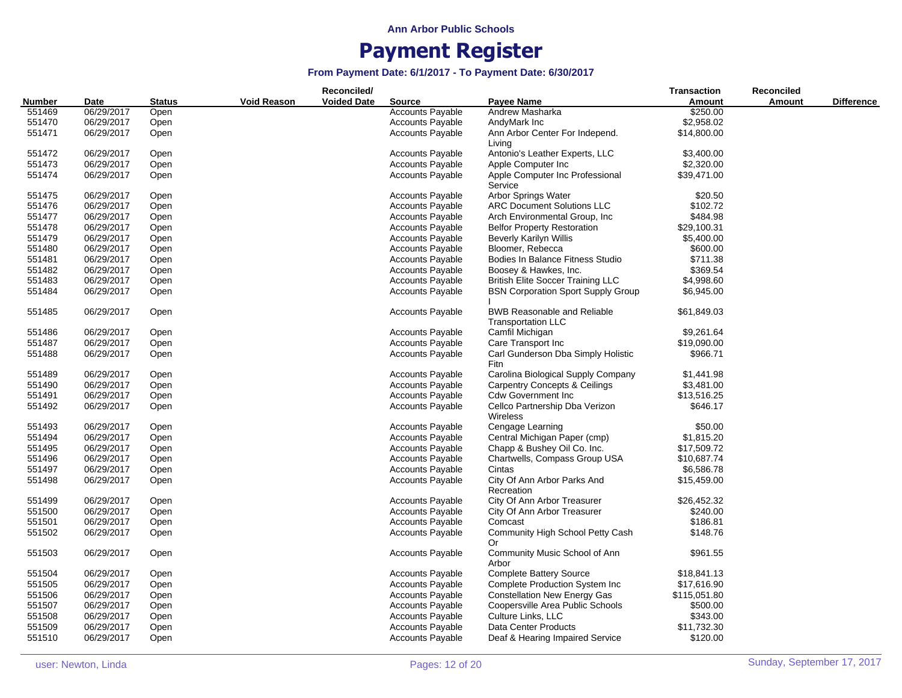|        |            |               |                    | Reconciled/        |                         |                                                   | Transaction  | <b>Reconciled</b> |                   |
|--------|------------|---------------|--------------------|--------------------|-------------------------|---------------------------------------------------|--------------|-------------------|-------------------|
| Number | Date       | <b>Status</b> | <b>Void Reason</b> | <b>Voided Date</b> | <b>Source</b>           | Payee Name                                        | Amount       | <b>Amount</b>     | <b>Difference</b> |
| 551469 | 06/29/2017 | Open          |                    |                    | <b>Accounts Payable</b> | Andrew Masharka                                   | \$250.00     |                   |                   |
| 551470 | 06/29/2017 | Open          |                    |                    | <b>Accounts Payable</b> | AndyMark Inc                                      | \$2,958.02   |                   |                   |
| 551471 | 06/29/2017 | Open          |                    |                    | <b>Accounts Payable</b> | Ann Arbor Center For Independ.                    | \$14,800.00  |                   |                   |
|        |            |               |                    |                    |                         | Living                                            |              |                   |                   |
| 551472 | 06/29/2017 | Open          |                    |                    | <b>Accounts Payable</b> | Antonio's Leather Experts, LLC                    | \$3,400.00   |                   |                   |
| 551473 | 06/29/2017 | Open          |                    |                    | <b>Accounts Payable</b> | Apple Computer Inc                                | \$2,320.00   |                   |                   |
| 551474 | 06/29/2017 | Open          |                    |                    | <b>Accounts Payable</b> | Apple Computer Inc Professional                   | \$39,471.00  |                   |                   |
|        |            |               |                    |                    |                         | Service                                           |              |                   |                   |
| 551475 | 06/29/2017 | Open          |                    |                    | <b>Accounts Payable</b> | <b>Arbor Springs Water</b>                        | \$20.50      |                   |                   |
| 551476 | 06/29/2017 | Open          |                    |                    | <b>Accounts Payable</b> | <b>ARC Document Solutions LLC</b>                 | \$102.72     |                   |                   |
| 551477 | 06/29/2017 | Open          |                    |                    | <b>Accounts Payable</b> | Arch Environmental Group, Inc.                    | \$484.98     |                   |                   |
| 551478 | 06/29/2017 | Open          |                    |                    | <b>Accounts Payable</b> | <b>Belfor Property Restoration</b>                | \$29,100.31  |                   |                   |
| 551479 | 06/29/2017 | Open          |                    |                    | <b>Accounts Payable</b> | <b>Beverly Karilyn Willis</b>                     | \$5,400.00   |                   |                   |
| 551480 | 06/29/2017 | Open          |                    |                    | <b>Accounts Payable</b> | Bloomer, Rebecca                                  | \$600.00     |                   |                   |
| 551481 | 06/29/2017 | Open          |                    |                    | <b>Accounts Payable</b> | Bodies In Balance Fitness Studio                  | \$711.38     |                   |                   |
| 551482 | 06/29/2017 | Open          |                    |                    | <b>Accounts Payable</b> | Boosey & Hawkes, Inc.                             | \$369.54     |                   |                   |
| 551483 | 06/29/2017 | Open          |                    |                    | <b>Accounts Payable</b> | <b>British Elite Soccer Training LLC</b>          | \$4,998.60   |                   |                   |
| 551484 | 06/29/2017 | Open          |                    |                    | <b>Accounts Payable</b> | <b>BSN Corporation Sport Supply Group</b>         | \$6,945.00   |                   |                   |
|        |            |               |                    |                    |                         |                                                   |              |                   |                   |
| 551485 | 06/29/2017 | Open          |                    |                    | <b>Accounts Payable</b> | <b>BWB Reasonable and Reliable</b>                | \$61,849.03  |                   |                   |
|        |            |               |                    |                    |                         | <b>Transportation LLC</b>                         |              |                   |                   |
| 551486 | 06/29/2017 | Open          |                    |                    | <b>Accounts Payable</b> | Camfil Michigan                                   | \$9,261.64   |                   |                   |
| 551487 | 06/29/2017 | Open          |                    |                    | <b>Accounts Payable</b> | Care Transport Inc                                | \$19,090.00  |                   |                   |
| 551488 | 06/29/2017 | Open          |                    |                    | <b>Accounts Payable</b> | Carl Gunderson Dba Simply Holistic                | \$966.71     |                   |                   |
|        |            |               |                    |                    |                         | Fitn                                              |              |                   |                   |
| 551489 | 06/29/2017 | Open          |                    |                    | <b>Accounts Payable</b> | Carolina Biological Supply Company                | \$1,441.98   |                   |                   |
| 551490 | 06/29/2017 | Open          |                    |                    | <b>Accounts Payable</b> | <b>Carpentry Concepts &amp; Ceilings</b>          | \$3,481.00   |                   |                   |
| 551491 | 06/29/2017 | Open          |                    |                    | <b>Accounts Payable</b> | <b>Cdw Government Inc</b>                         | \$13,516.25  |                   |                   |
| 551492 | 06/29/2017 | Open          |                    |                    | <b>Accounts Payable</b> | Cellco Partnership Dba Verizon<br><b>Wireless</b> | \$646.17     |                   |                   |
| 551493 | 06/29/2017 | Open          |                    |                    | <b>Accounts Payable</b> | Cengage Learning                                  | \$50.00      |                   |                   |
| 551494 | 06/29/2017 | Open          |                    |                    | <b>Accounts Payable</b> | Central Michigan Paper (cmp)                      | \$1,815.20   |                   |                   |
| 551495 | 06/29/2017 | Open          |                    |                    | <b>Accounts Payable</b> | Chapp & Bushey Oil Co. Inc.                       | \$17,509.72  |                   |                   |
| 551496 | 06/29/2017 | Open          |                    |                    | <b>Accounts Payable</b> | Chartwells, Compass Group USA                     | \$10,687.74  |                   |                   |
| 551497 | 06/29/2017 | Open          |                    |                    | <b>Accounts Payable</b> | Cintas                                            | \$6,586.78   |                   |                   |
| 551498 | 06/29/2017 | Open          |                    |                    | <b>Accounts Payable</b> | City Of Ann Arbor Parks And                       | \$15,459.00  |                   |                   |
|        |            |               |                    |                    |                         | Recreation                                        |              |                   |                   |
| 551499 | 06/29/2017 | Open          |                    |                    | <b>Accounts Payable</b> | City Of Ann Arbor Treasurer                       | \$26,452.32  |                   |                   |
| 551500 | 06/29/2017 | Open          |                    |                    | <b>Accounts Payable</b> | City Of Ann Arbor Treasurer                       | \$240.00     |                   |                   |
| 551501 | 06/29/2017 | Open          |                    |                    | <b>Accounts Payable</b> | Comcast                                           | \$186.81     |                   |                   |
| 551502 | 06/29/2017 | Open          |                    |                    | <b>Accounts Payable</b> | Community High School Petty Cash                  | \$148.76     |                   |                   |
| 551503 | 06/29/2017 | Open          |                    |                    | <b>Accounts Payable</b> | 0r<br>Community Music School of Ann               | \$961.55     |                   |                   |
|        |            |               |                    |                    |                         | Arbor                                             |              |                   |                   |
| 551504 | 06/29/2017 | Open          |                    |                    | <b>Accounts Payable</b> | <b>Complete Battery Source</b>                    | \$18,841.13  |                   |                   |
| 551505 | 06/29/2017 | Open          |                    |                    | <b>Accounts Payable</b> | Complete Production System Inc                    | \$17,616.90  |                   |                   |
| 551506 | 06/29/2017 | Open          |                    |                    | <b>Accounts Payable</b> | <b>Constellation New Energy Gas</b>               | \$115,051.80 |                   |                   |
| 551507 | 06/29/2017 | Open          |                    |                    | <b>Accounts Payable</b> | Coopersville Area Public Schools                  | \$500.00     |                   |                   |
| 551508 | 06/29/2017 | Open          |                    |                    | <b>Accounts Payable</b> | Culture Links, LLC                                | \$343.00     |                   |                   |
| 551509 | 06/29/2017 | Open          |                    |                    | <b>Accounts Payable</b> | Data Center Products                              | \$11,732.30  |                   |                   |
| 551510 | 06/29/2017 | Open          |                    |                    | <b>Accounts Payable</b> | Deaf & Hearing Impaired Service                   | \$120.00     |                   |                   |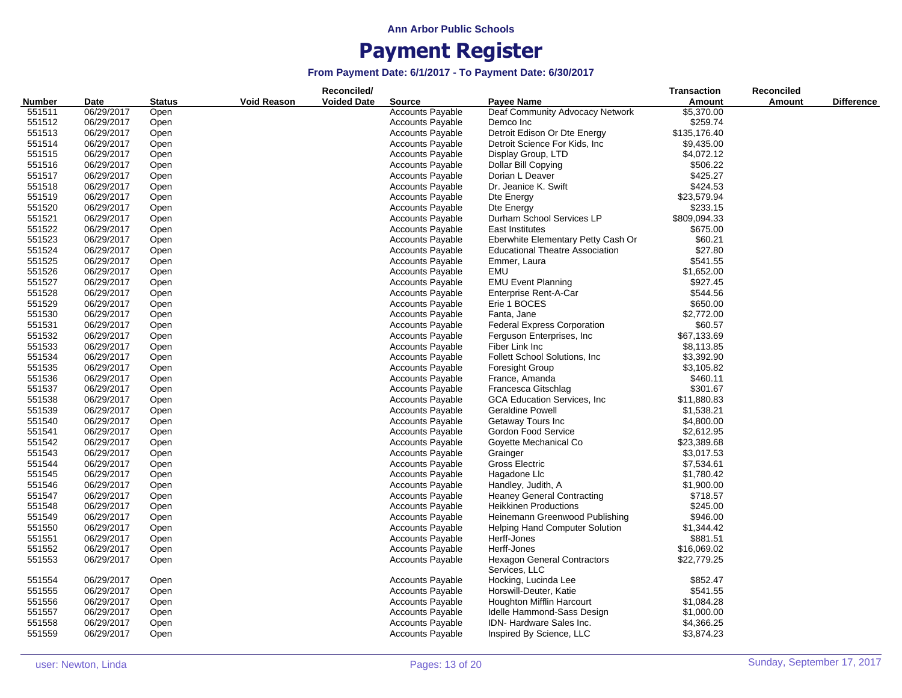|               |            |               |                    | Reconciled/        |                         |                                        | <b>Transaction</b> | <b>Reconciled</b> |                   |
|---------------|------------|---------------|--------------------|--------------------|-------------------------|----------------------------------------|--------------------|-------------------|-------------------|
| <b>Number</b> | Date       | <b>Status</b> | <b>Void Reason</b> | <b>Voided Date</b> | Source                  | <b>Payee Name</b>                      | Amount             | Amount            | <b>Difference</b> |
| 551511        | 06/29/2017 | Open          |                    |                    | <b>Accounts Payable</b> | Deaf Community Advocacy Network        | \$5,370.00         |                   |                   |
| 551512        | 06/29/2017 | Open          |                    |                    | <b>Accounts Payable</b> | Demco Inc                              | \$259.74           |                   |                   |
| 551513        | 06/29/2017 | Open          |                    |                    | <b>Accounts Payable</b> | Detroit Edison Or Dte Energy           | \$135,176.40       |                   |                   |
| 551514        | 06/29/2017 | Open          |                    |                    | <b>Accounts Payable</b> | Detroit Science For Kids, Inc.         | \$9,435.00         |                   |                   |
| 551515        | 06/29/2017 | Open          |                    |                    | <b>Accounts Payable</b> | Display Group, LTD                     | \$4,072.12         |                   |                   |
| 551516        | 06/29/2017 | Open          |                    |                    | <b>Accounts Payable</b> | Dollar Bill Copying                    | \$506.22           |                   |                   |
| 551517        | 06/29/2017 | Open          |                    |                    | <b>Accounts Payable</b> | Dorian L Deaver                        | \$425.27           |                   |                   |
| 551518        | 06/29/2017 | Open          |                    |                    | <b>Accounts Payable</b> | Dr. Jeanice K. Swift                   | \$424.53           |                   |                   |
| 551519        | 06/29/2017 | Open          |                    |                    | <b>Accounts Payable</b> | Dte Energy                             | \$23,579.94        |                   |                   |
| 551520        | 06/29/2017 | Open          |                    |                    | <b>Accounts Payable</b> | Dte Energy                             | \$233.15           |                   |                   |
| 551521        | 06/29/2017 | Open          |                    |                    | <b>Accounts Payable</b> | Durham School Services LP              | \$809,094.33       |                   |                   |
| 551522        | 06/29/2017 | Open          |                    |                    | <b>Accounts Payable</b> | East Institutes                        | \$675.00           |                   |                   |
| 551523        | 06/29/2017 |               |                    |                    |                         |                                        | \$60.21            |                   |                   |
| 551524        |            | Open          |                    |                    | <b>Accounts Payable</b> | Eberwhite Elementary Petty Cash Or     | \$27.80            |                   |                   |
|               | 06/29/2017 | Open          |                    |                    | <b>Accounts Payable</b> | <b>Educational Theatre Association</b> |                    |                   |                   |
| 551525        | 06/29/2017 | Open          |                    |                    | <b>Accounts Payable</b> | Emmer, Laura                           | \$541.55           |                   |                   |
| 551526        | 06/29/2017 | Open          |                    |                    | <b>Accounts Payable</b> | <b>EMU</b>                             | \$1,652.00         |                   |                   |
| 551527        | 06/29/2017 | Open          |                    |                    | Accounts Payable        | <b>EMU Event Planning</b>              | \$927.45           |                   |                   |
| 551528        | 06/29/2017 | Open          |                    |                    | <b>Accounts Payable</b> | Enterprise Rent-A-Car                  | \$544.56           |                   |                   |
| 551529        | 06/29/2017 | Open          |                    |                    | <b>Accounts Payable</b> | Erie 1 BOCES                           | \$650.00           |                   |                   |
| 551530        | 06/29/2017 | Open          |                    |                    | <b>Accounts Payable</b> | Fanta, Jane                            | \$2,772.00         |                   |                   |
| 551531        | 06/29/2017 | Open          |                    |                    | <b>Accounts Payable</b> | <b>Federal Express Corporation</b>     | \$60.57            |                   |                   |
| 551532        | 06/29/2017 | Open          |                    |                    | <b>Accounts Payable</b> | Ferguson Enterprises, Inc.             | \$67,133.69        |                   |                   |
| 551533        | 06/29/2017 | Open          |                    |                    | <b>Accounts Payable</b> | Fiber Link Inc                         | \$8,113.85         |                   |                   |
| 551534        | 06/29/2017 | Open          |                    |                    | <b>Accounts Payable</b> | Follett School Solutions, Inc          | \$3,392.90         |                   |                   |
| 551535        | 06/29/2017 | Open          |                    |                    | <b>Accounts Payable</b> | Foresight Group                        | \$3,105.82         |                   |                   |
| 551536        | 06/29/2017 | Open          |                    |                    | <b>Accounts Payable</b> | France, Amanda                         | \$460.11           |                   |                   |
| 551537        | 06/29/2017 | Open          |                    |                    | <b>Accounts Payable</b> | Francesca Gitschlag                    | \$301.67           |                   |                   |
| 551538        | 06/29/2017 | Open          |                    |                    | <b>Accounts Payable</b> | <b>GCA Education Services, Inc.</b>    | \$11,880.83        |                   |                   |
| 551539        | 06/29/2017 | Open          |                    |                    | <b>Accounts Payable</b> | <b>Geraldine Powell</b>                | \$1,538.21         |                   |                   |
| 551540        | 06/29/2017 | Open          |                    |                    | <b>Accounts Payable</b> | Getaway Tours Inc                      | \$4,800.00         |                   |                   |
| 551541        | 06/29/2017 | Open          |                    |                    | <b>Accounts Payable</b> | Gordon Food Service                    | \$2,612.95         |                   |                   |
| 551542        | 06/29/2017 | Open          |                    |                    | <b>Accounts Payable</b> | Goyette Mechanical Co                  | \$23,389.68        |                   |                   |
| 551543        | 06/29/2017 | Open          |                    |                    | <b>Accounts Payable</b> | Grainger                               | \$3,017.53         |                   |                   |
| 551544        | 06/29/2017 | Open          |                    |                    | <b>Accounts Payable</b> | Gross Electric                         | \$7,534.61         |                   |                   |
| 551545        | 06/29/2017 | Open          |                    |                    | <b>Accounts Payable</b> | Hagadone Llc                           | \$1,780.42         |                   |                   |
| 551546        | 06/29/2017 | Open          |                    |                    | <b>Accounts Payable</b> | Handley, Judith, A                     | \$1,900.00         |                   |                   |
| 551547        | 06/29/2017 | Open          |                    |                    | <b>Accounts Payable</b> | <b>Heaney General Contracting</b>      | \$718.57           |                   |                   |
| 551548        | 06/29/2017 | Open          |                    |                    | <b>Accounts Payable</b> | <b>Heikkinen Productions</b>           | \$245.00           |                   |                   |
| 551549        | 06/29/2017 | Open          |                    |                    | <b>Accounts Payable</b> | Heinemann Greenwood Publishing         | \$946.00           |                   |                   |
| 551550        | 06/29/2017 | Open          |                    |                    | <b>Accounts Payable</b> | Helping Hand Computer Solution         | \$1,344.42         |                   |                   |
| 551551        | 06/29/2017 | Open          |                    |                    | <b>Accounts Payable</b> | Herff-Jones                            | \$881.51           |                   |                   |
| 551552        | 06/29/2017 | Open          |                    |                    | <b>Accounts Payable</b> | Herff-Jones                            | \$16,069.02        |                   |                   |
| 551553        | 06/29/2017 | Open          |                    |                    | <b>Accounts Payable</b> | <b>Hexagon General Contractors</b>     | \$22,779.25        |                   |                   |
|               |            |               |                    |                    |                         | Services, LLC                          |                    |                   |                   |
| 551554        | 06/29/2017 | Open          |                    |                    | <b>Accounts Payable</b> | Hocking, Lucinda Lee                   | \$852.47           |                   |                   |
| 551555        | 06/29/2017 | Open          |                    |                    | <b>Accounts Payable</b> | Horswill-Deuter, Katie                 | \$541.55           |                   |                   |
| 551556        | 06/29/2017 | Open          |                    |                    | <b>Accounts Payable</b> | Houghton Mifflin Harcourt              | \$1,084.28         |                   |                   |
| 551557        | 06/29/2017 | Open          |                    |                    | <b>Accounts Payable</b> | Idelle Hammond-Sass Design             | \$1,000.00         |                   |                   |
| 551558        | 06/29/2017 | Open          |                    |                    | <b>Accounts Payable</b> | IDN-Hardware Sales Inc.                | \$4,366.25         |                   |                   |
| 551559        | 06/29/2017 | Open          |                    |                    | <b>Accounts Payable</b> | Inspired By Science, LLC               | \$3,874.23         |                   |                   |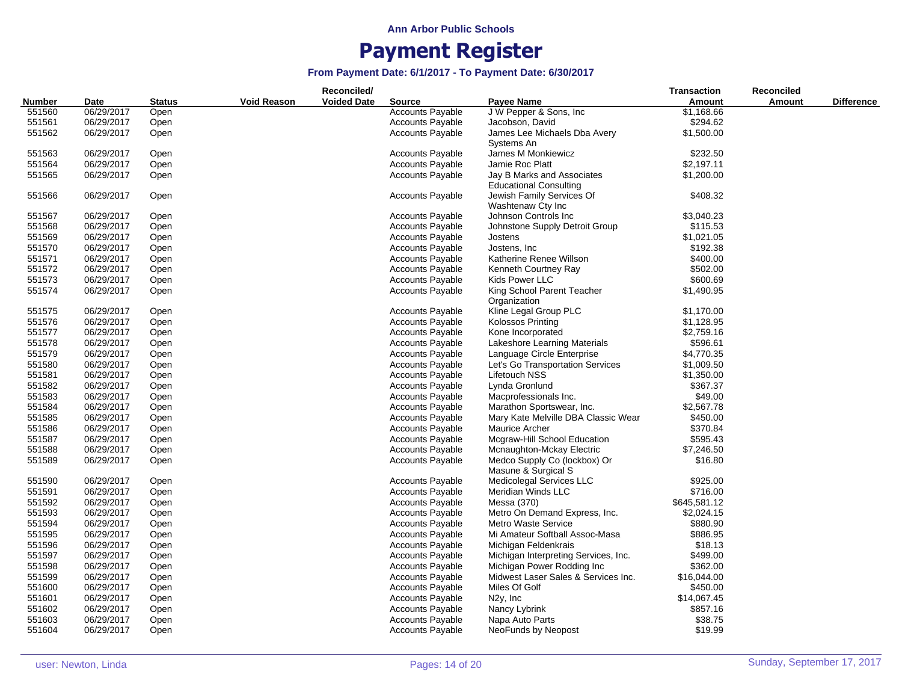|               |            |               |                    | Reconciled/        |                         |                                                     | <b>Transaction</b> | Reconciled |                   |
|---------------|------------|---------------|--------------------|--------------------|-------------------------|-----------------------------------------------------|--------------------|------------|-------------------|
| <b>Number</b> | Date       | <b>Status</b> | <b>Void Reason</b> | <b>Voided Date</b> | <b>Source</b>           | Payee Name                                          | <b>Amount</b>      | Amount     | <b>Difference</b> |
| 551560        | 06/29/2017 | Open          |                    |                    | <b>Accounts Payable</b> | J W Pepper & Sons, Inc.                             | \$1,168.66         |            |                   |
| 551561        | 06/29/2017 | Open          |                    |                    | <b>Accounts Payable</b> | Jacobson, David                                     | \$294.62           |            |                   |
| 551562        | 06/29/2017 | Open          |                    |                    | <b>Accounts Payable</b> | James Lee Michaels Dba Avery                        | \$1,500.00         |            |                   |
|               |            |               |                    |                    |                         | Systems An                                          |                    |            |                   |
| 551563        | 06/29/2017 | Open          |                    |                    | <b>Accounts Payable</b> | James M Monkiewicz                                  | \$232.50           |            |                   |
| 551564        | 06/29/2017 | Open          |                    |                    | <b>Accounts Payable</b> | Jamie Roc Platt                                     | \$2,197.11         |            |                   |
| 551565        | 06/29/2017 | Open          |                    |                    | <b>Accounts Payable</b> | Jay B Marks and Associates                          | \$1,200.00         |            |                   |
|               |            |               |                    |                    |                         | <b>Educational Consulting</b>                       |                    |            |                   |
| 551566        | 06/29/2017 | Open          |                    |                    | <b>Accounts Payable</b> | Jewish Family Services Of<br>Washtenaw Cty Inc      | \$408.32           |            |                   |
| 551567        | 06/29/2017 | Open          |                    |                    | <b>Accounts Payable</b> | Johnson Controls Inc                                | \$3,040.23         |            |                   |
| 551568        | 06/29/2017 | Open          |                    |                    | <b>Accounts Payable</b> | Johnstone Supply Detroit Group                      | \$115.53           |            |                   |
| 551569        | 06/29/2017 | Open          |                    |                    | <b>Accounts Payable</b> | Jostens                                             | \$1,021.05         |            |                   |
| 551570        | 06/29/2017 | Open          |                    |                    | <b>Accounts Payable</b> | Jostens, Inc.                                       | \$192.38           |            |                   |
| 551571        | 06/29/2017 | Open          |                    |                    | <b>Accounts Payable</b> | Katherine Renee Willson                             | \$400.00           |            |                   |
| 551572        | 06/29/2017 | Open          |                    |                    | <b>Accounts Payable</b> | Kenneth Courtney Ray                                | \$502.00           |            |                   |
| 551573        | 06/29/2017 | Open          |                    |                    | <b>Accounts Payable</b> | Kids Power LLC                                      | \$600.69           |            |                   |
| 551574        | 06/29/2017 | Open          |                    |                    | <b>Accounts Payable</b> | King School Parent Teacher<br>Organization          | \$1,490.95         |            |                   |
| 551575        | 06/29/2017 | Open          |                    |                    | <b>Accounts Payable</b> | Kline Legal Group PLC                               | \$1,170.00         |            |                   |
| 551576        | 06/29/2017 | Open          |                    |                    | <b>Accounts Payable</b> | <b>Kolossos Printing</b>                            | \$1,128.95         |            |                   |
| 551577        | 06/29/2017 | Open          |                    |                    | <b>Accounts Payable</b> | Kone Incorporated                                   | \$2,759.16         |            |                   |
| 551578        | 06/29/2017 | Open          |                    |                    | <b>Accounts Payable</b> | Lakeshore Learning Materials                        | \$596.61           |            |                   |
| 551579        | 06/29/2017 | Open          |                    |                    | <b>Accounts Payable</b> | Language Circle Enterprise                          | \$4,770.35         |            |                   |
| 551580        | 06/29/2017 | Open          |                    |                    | <b>Accounts Payable</b> | Let's Go Transportation Services                    | \$1,009.50         |            |                   |
| 551581        | 06/29/2017 | Open          |                    |                    | <b>Accounts Payable</b> | Lifetouch NSS                                       | \$1,350.00         |            |                   |
| 551582        | 06/29/2017 | Open          |                    |                    | <b>Accounts Payable</b> | Lynda Gronlund                                      | \$367.37           |            |                   |
| 551583        | 06/29/2017 | Open          |                    |                    | <b>Accounts Payable</b> | Macprofessionals Inc.                               | \$49.00            |            |                   |
| 551584        | 06/29/2017 | Open          |                    |                    | <b>Accounts Payable</b> | Marathon Sportswear, Inc.                           | \$2,567.78         |            |                   |
| 551585        | 06/29/2017 | Open          |                    |                    | <b>Accounts Payable</b> | Mary Kate Melville DBA Classic Wear                 | \$450.00           |            |                   |
| 551586        | 06/29/2017 | Open          |                    |                    | <b>Accounts Payable</b> | <b>Maurice Archer</b>                               | \$370.84           |            |                   |
| 551587        | 06/29/2017 | Open          |                    |                    | <b>Accounts Payable</b> | Mcgraw-Hill School Education                        | \$595.43           |            |                   |
| 551588        | 06/29/2017 | Open          |                    |                    | <b>Accounts Payable</b> | Mcnaughton-Mckay Electric                           | \$7,246.50         |            |                   |
| 551589        | 06/29/2017 | Open          |                    |                    | <b>Accounts Payable</b> | Medco Supply Co (lockbox) Or<br>Masune & Surgical S | \$16.80            |            |                   |
| 551590        | 06/29/2017 | Open          |                    |                    | <b>Accounts Payable</b> | Medicolegal Services LLC                            | \$925.00           |            |                   |
| 551591        | 06/29/2017 | Open          |                    |                    | <b>Accounts Payable</b> | Meridian Winds LLC                                  | \$716.00           |            |                   |
| 551592        | 06/29/2017 | Open          |                    |                    | <b>Accounts Payable</b> | Messa (370)                                         | \$645,581.12       |            |                   |
| 551593        | 06/29/2017 | Open          |                    |                    | <b>Accounts Payable</b> | Metro On Demand Express, Inc.                       | \$2,024.15         |            |                   |
| 551594        | 06/29/2017 | Open          |                    |                    | <b>Accounts Payable</b> | <b>Metro Waste Service</b>                          | \$880.90           |            |                   |
| 551595        | 06/29/2017 | Open          |                    |                    | <b>Accounts Payable</b> | Mi Amateur Softball Assoc-Masa                      | \$886.95           |            |                   |
| 551596        | 06/29/2017 | Open          |                    |                    | <b>Accounts Payable</b> | Michigan Feldenkrais                                | \$18.13            |            |                   |
| 551597        | 06/29/2017 | Open          |                    |                    | <b>Accounts Payable</b> | Michigan Interpreting Services, Inc.                | \$499.00           |            |                   |
| 551598        | 06/29/2017 | Open          |                    |                    | <b>Accounts Payable</b> | Michigan Power Rodding Inc                          | \$362.00           |            |                   |
| 551599        | 06/29/2017 | Open          |                    |                    | <b>Accounts Payable</b> | Midwest Laser Sales & Services Inc.                 | \$16,044.00        |            |                   |
| 551600        | 06/29/2017 | Open          |                    |                    | <b>Accounts Payable</b> | Miles Of Golf                                       | \$450.00           |            |                   |
| 551601        | 06/29/2017 | Open          |                    |                    | <b>Accounts Payable</b> | N <sub>2y</sub> , Inc                               | \$14,067.45        |            |                   |
| 551602        | 06/29/2017 | Open          |                    |                    | <b>Accounts Payable</b> | Nancy Lybrink                                       | \$857.16           |            |                   |
| 551603        | 06/29/2017 | Open          |                    |                    | <b>Accounts Payable</b> | Napa Auto Parts                                     | \$38.75            |            |                   |
| 551604        | 06/29/2017 | Open          |                    |                    | <b>Accounts Payable</b> | NeoFunds by Neopost                                 | \$19.99            |            |                   |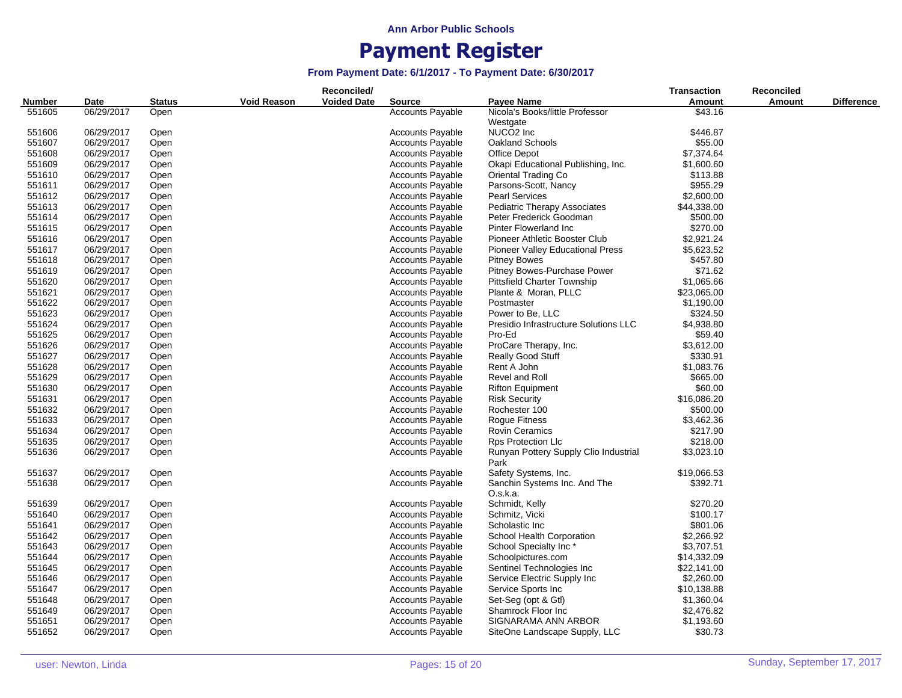|        |            |               |                    | Reconciled/        |                         |                                               | <b>Transaction</b> | <b>Reconciled</b> |                   |
|--------|------------|---------------|--------------------|--------------------|-------------------------|-----------------------------------------------|--------------------|-------------------|-------------------|
| Number | Date       | <b>Status</b> | <b>Void Reason</b> | <b>Voided Date</b> | <b>Source</b>           | Payee Name                                    | Amount             | Amount            | <b>Difference</b> |
| 551605 | 06/29/2017 | Open          |                    |                    | <b>Accounts Payable</b> | Nicola's Books/little Professor               | \$43.16            |                   |                   |
|        |            |               |                    |                    |                         | Westgate                                      |                    |                   |                   |
| 551606 | 06/29/2017 | Open          |                    |                    | <b>Accounts Payable</b> | NUCO2 Inc                                     | \$446.87           |                   |                   |
| 551607 | 06/29/2017 | Open          |                    |                    | <b>Accounts Payable</b> | Oakland Schools                               | \$55.00            |                   |                   |
| 551608 | 06/29/2017 | Open          |                    |                    | <b>Accounts Payable</b> | Office Depot                                  | \$7,374.64         |                   |                   |
| 551609 | 06/29/2017 | Open          |                    |                    | Accounts Payable        | Okapi Educational Publishing, Inc.            | \$1,600.60         |                   |                   |
| 551610 | 06/29/2017 | Open          |                    |                    | Accounts Payable        | Oriental Trading Co                           | \$113.88           |                   |                   |
| 551611 | 06/29/2017 | Open          |                    |                    | Accounts Payable        | Parsons-Scott, Nancy                          | \$955.29           |                   |                   |
| 551612 | 06/29/2017 | Open          |                    |                    | <b>Accounts Payable</b> | <b>Pearl Services</b>                         | \$2,600.00         |                   |                   |
| 551613 | 06/29/2017 | Open          |                    |                    | <b>Accounts Payable</b> | Pediatric Therapy Associates                  | \$44,338.00        |                   |                   |
| 551614 | 06/29/2017 | Open          |                    |                    | <b>Accounts Payable</b> | Peter Frederick Goodman                       | \$500.00           |                   |                   |
| 551615 | 06/29/2017 | Open          |                    |                    | <b>Accounts Payable</b> | <b>Pinter Flowerland Inc</b>                  | \$270.00           |                   |                   |
| 551616 | 06/29/2017 | Open          |                    |                    | <b>Accounts Payable</b> | Pioneer Athletic Booster Club                 | \$2,921.24         |                   |                   |
| 551617 | 06/29/2017 | Open          |                    |                    | <b>Accounts Payable</b> | <b>Pioneer Valley Educational Press</b>       | \$5,623.52         |                   |                   |
| 551618 | 06/29/2017 | Open          |                    |                    | <b>Accounts Payable</b> | <b>Pitney Bowes</b>                           | \$457.80           |                   |                   |
| 551619 | 06/29/2017 | Open          |                    |                    | <b>Accounts Payable</b> | Pitney Bowes-Purchase Power                   | \$71.62            |                   |                   |
| 551620 | 06/29/2017 | Open          |                    |                    | Accounts Payable        | <b>Pittsfield Charter Township</b>            | \$1,065.66         |                   |                   |
| 551621 | 06/29/2017 | Open          |                    |                    | Accounts Payable        | Plante & Moran, PLLC                          | \$23,065.00        |                   |                   |
| 551622 | 06/29/2017 | Open          |                    |                    | <b>Accounts Payable</b> | Postmaster                                    | \$1,190.00         |                   |                   |
| 551623 | 06/29/2017 | Open          |                    |                    | <b>Accounts Payable</b> | Power to Be, LLC                              | \$324.50           |                   |                   |
| 551624 | 06/29/2017 | Open          |                    |                    | <b>Accounts Payable</b> | Presidio Infrastructure Solutions LLC         | \$4,938.80         |                   |                   |
| 551625 | 06/29/2017 | Open          |                    |                    | Accounts Payable        | Pro-Ed                                        | \$59.40            |                   |                   |
| 551626 | 06/29/2017 | Open          |                    |                    | <b>Accounts Payable</b> | ProCare Therapy, Inc.                         | \$3,612.00         |                   |                   |
| 551627 | 06/29/2017 | Open          |                    |                    | <b>Accounts Payable</b> | <b>Really Good Stuff</b>                      | \$330.91           |                   |                   |
| 551628 | 06/29/2017 | Open          |                    |                    | <b>Accounts Payable</b> | Rent A John                                   | \$1,083.76         |                   |                   |
| 551629 | 06/29/2017 | Open          |                    |                    | <b>Accounts Payable</b> | Revel and Roll                                | \$665.00           |                   |                   |
| 551630 | 06/29/2017 | Open          |                    |                    | Accounts Payable        | <b>Rifton Equipment</b>                       | \$60.00            |                   |                   |
| 551631 | 06/29/2017 | Open          |                    |                    | Accounts Payable        | <b>Risk Security</b>                          | \$16,086.20        |                   |                   |
| 551632 | 06/29/2017 | Open          |                    |                    | <b>Accounts Payable</b> | Rochester 100                                 | \$500.00           |                   |                   |
| 551633 | 06/29/2017 | Open          |                    |                    | <b>Accounts Payable</b> | Rogue Fitness                                 | \$3,462.36         |                   |                   |
| 551634 | 06/29/2017 | Open          |                    |                    | <b>Accounts Payable</b> | <b>Rovin Ceramics</b>                         | \$217.90           |                   |                   |
| 551635 | 06/29/2017 | Open          |                    |                    | <b>Accounts Payable</b> | <b>Rps Protection Llc</b>                     | \$218.00           |                   |                   |
| 551636 | 06/29/2017 | Open          |                    |                    | <b>Accounts Payable</b> | Runyan Pottery Supply Clio Industrial<br>Park | \$3,023.10         |                   |                   |
| 551637 | 06/29/2017 | Open          |                    |                    | <b>Accounts Payable</b> | Safety Systems, Inc.                          | \$19,066.53        |                   |                   |
| 551638 | 06/29/2017 | Open          |                    |                    | <b>Accounts Payable</b> | Sanchin Systems Inc. And The                  | \$392.71           |                   |                   |
|        |            |               |                    |                    |                         | O.s.k.a.                                      |                    |                   |                   |
| 551639 | 06/29/2017 | Open          |                    |                    | Accounts Payable        | Schmidt, Kelly                                | \$270.20           |                   |                   |
| 551640 | 06/29/2017 | Open          |                    |                    | <b>Accounts Payable</b> | Schmitz, Vicki                                | \$100.17           |                   |                   |
| 551641 | 06/29/2017 | Open          |                    |                    | <b>Accounts Payable</b> | Scholastic Inc                                | \$801.06           |                   |                   |
| 551642 | 06/29/2017 | Open          |                    |                    | <b>Accounts Payable</b> | School Health Corporation                     | \$2,266.92         |                   |                   |
| 551643 | 06/29/2017 | Open          |                    |                    | <b>Accounts Payable</b> | School Specialty Inc*                         | \$3,707.51         |                   |                   |
| 551644 | 06/29/2017 | Open          |                    |                    | <b>Accounts Payable</b> | Schoolpictures.com                            | \$14,332.09        |                   |                   |
| 551645 | 06/29/2017 | Open          |                    |                    | <b>Accounts Payable</b> | Sentinel Technologies Inc                     | \$22,141.00        |                   |                   |
| 551646 | 06/29/2017 | Open          |                    |                    | <b>Accounts Payable</b> | Service Electric Supply Inc                   | \$2,260.00         |                   |                   |
| 551647 | 06/29/2017 | Open          |                    |                    | <b>Accounts Payable</b> | Service Sports Inc                            | \$10,138.88        |                   |                   |
| 551648 | 06/29/2017 | Open          |                    |                    | <b>Accounts Payable</b> | Set-Seg (opt & Gtl)                           | \$1,360.04         |                   |                   |
| 551649 | 06/29/2017 | Open          |                    |                    | <b>Accounts Payable</b> | Shamrock Floor Inc                            | \$2,476.82         |                   |                   |
| 551651 | 06/29/2017 | Open          |                    |                    | <b>Accounts Payable</b> | SIGNARAMA ANN ARBOR                           | \$1,193.60         |                   |                   |
| 551652 | 06/29/2017 | Open          |                    |                    | <b>Accounts Payable</b> | SiteOne Landscape Supply, LLC                 | \$30.73            |                   |                   |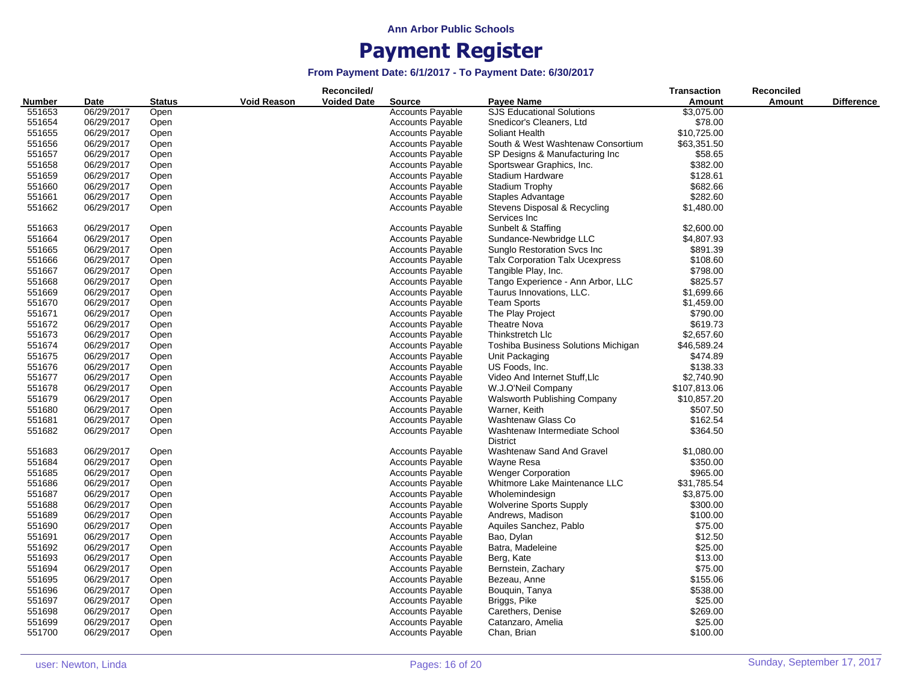|               |            |               |                    | Reconciled/        |                         |                                                  | <b>Transaction</b> | <b>Reconciled</b> |                   |
|---------------|------------|---------------|--------------------|--------------------|-------------------------|--------------------------------------------------|--------------------|-------------------|-------------------|
| <b>Number</b> | Date       | <b>Status</b> | <b>Void Reason</b> | <b>Voided Date</b> | <b>Source</b>           | Payee Name                                       | Amount             | Amount            | <b>Difference</b> |
| 551653        | 06/29/2017 | Open          |                    |                    | <b>Accounts Payable</b> | <b>SJS Educational Solutions</b>                 | \$3,075.00         |                   |                   |
| 551654        | 06/29/2017 | Open          |                    |                    | <b>Accounts Payable</b> | Snedicor's Cleaners, Ltd                         | \$78.00            |                   |                   |
| 551655        | 06/29/2017 | Open          |                    |                    | <b>Accounts Payable</b> | Soliant Health                                   | \$10,725.00        |                   |                   |
| 551656        | 06/29/2017 | Open          |                    |                    | <b>Accounts Payable</b> | South & West Washtenaw Consortium                | \$63,351.50        |                   |                   |
| 551657        | 06/29/2017 | Open          |                    |                    | <b>Accounts Payable</b> | SP Designs & Manufacturing Inc                   | \$58.65            |                   |                   |
| 551658        | 06/29/2017 | Open          |                    |                    | <b>Accounts Payable</b> | Sportswear Graphics, Inc.                        | \$382.00           |                   |                   |
| 551659        | 06/29/2017 | Open          |                    |                    | <b>Accounts Payable</b> | Stadium Hardware                                 | \$128.61           |                   |                   |
| 551660        | 06/29/2017 | Open          |                    |                    | <b>Accounts Payable</b> | <b>Stadium Trophy</b>                            | \$682.66           |                   |                   |
| 551661        | 06/29/2017 | Open          |                    |                    | <b>Accounts Payable</b> | Staples Advantage                                | \$282.60           |                   |                   |
| 551662        | 06/29/2017 | Open          |                    |                    | <b>Accounts Payable</b> | Stevens Disposal & Recycling                     | \$1,480.00         |                   |                   |
|               |            |               |                    |                    |                         | Services Inc                                     |                    |                   |                   |
| 551663        | 06/29/2017 | Open          |                    |                    | <b>Accounts Payable</b> | Sunbelt & Staffing                               | \$2,600.00         |                   |                   |
| 551664        | 06/29/2017 | Open          |                    |                    | <b>Accounts Payable</b> | Sundance-Newbridge LLC                           | \$4,807.93         |                   |                   |
| 551665        | 06/29/2017 | Open          |                    |                    | <b>Accounts Payable</b> | Sunglo Restoration Svcs Inc.                     | \$891.39           |                   |                   |
| 551666        | 06/29/2017 | Open          |                    |                    | <b>Accounts Payable</b> | <b>Talx Corporation Talx Ucexpress</b>           | \$108.60           |                   |                   |
| 551667        | 06/29/2017 | Open          |                    |                    | <b>Accounts Payable</b> | Tangible Play, Inc.                              | \$798.00           |                   |                   |
| 551668        | 06/29/2017 | Open          |                    |                    | <b>Accounts Payable</b> | Tango Experience - Ann Arbor, LLC                | \$825.57           |                   |                   |
| 551669        | 06/29/2017 | Open          |                    |                    | <b>Accounts Payable</b> | Taurus Innovations, LLC.                         | \$1,699.66         |                   |                   |
| 551670        | 06/29/2017 | Open          |                    |                    | <b>Accounts Payable</b> | <b>Team Sports</b>                               | \$1,459.00         |                   |                   |
| 551671        | 06/29/2017 | Open          |                    |                    | <b>Accounts Payable</b> | The Play Project                                 | \$790.00           |                   |                   |
| 551672        | 06/29/2017 | Open          |                    |                    | Accounts Payable        | <b>Theatre Nova</b>                              | \$619.73           |                   |                   |
| 551673        | 06/29/2017 | Open          |                    |                    | <b>Accounts Payable</b> | Thinkstretch Llc                                 | \$2,657.60         |                   |                   |
| 551674        | 06/29/2017 | Open          |                    |                    | <b>Accounts Payable</b> | Toshiba Business Solutions Michigan              | \$46,589.24        |                   |                   |
| 551675        | 06/29/2017 | Open          |                    |                    | <b>Accounts Payable</b> | Unit Packaging                                   | \$474.89           |                   |                   |
| 551676        | 06/29/2017 | Open          |                    |                    | <b>Accounts Payable</b> | US Foods, Inc.                                   | \$138.33           |                   |                   |
| 551677        | 06/29/2017 | Open          |                    |                    | <b>Accounts Payable</b> | Video And Internet Stuff, Llc                    | \$2,740.90         |                   |                   |
| 551678        | 06/29/2017 | Open          |                    |                    | <b>Accounts Payable</b> | W.J.O'Neil Company                               | \$107,813.06       |                   |                   |
| 551679        | 06/29/2017 | Open          |                    |                    | <b>Accounts Payable</b> | Walsworth Publishing Company                     | \$10,857.20        |                   |                   |
| 551680        | 06/29/2017 | Open          |                    |                    | <b>Accounts Payable</b> | Warner, Keith                                    | \$507.50           |                   |                   |
|               |            |               |                    |                    |                         | Washtenaw Glass Co                               | \$162.54           |                   |                   |
| 551681        | 06/29/2017 | Open          |                    |                    | <b>Accounts Payable</b> |                                                  |                    |                   |                   |
| 551682        | 06/29/2017 | Open          |                    |                    | <b>Accounts Payable</b> | Washtenaw Intermediate School<br><b>District</b> | \$364.50           |                   |                   |
| 551683        | 06/29/2017 | Open          |                    |                    | <b>Accounts Payable</b> | Washtenaw Sand And Gravel                        | \$1,080.00         |                   |                   |
| 551684        | 06/29/2017 | Open          |                    |                    | <b>Accounts Payable</b> | Wayne Resa                                       | \$350.00           |                   |                   |
| 551685        | 06/29/2017 | Open          |                    |                    | <b>Accounts Payable</b> | <b>Wenger Corporation</b>                        | \$965.00           |                   |                   |
| 551686        | 06/29/2017 | Open          |                    |                    | <b>Accounts Payable</b> | Whitmore Lake Maintenance LLC                    | \$31,785.54        |                   |                   |
| 551687        | 06/29/2017 | Open          |                    |                    | <b>Accounts Payable</b> | Wholemindesign                                   | \$3,875.00         |                   |                   |
| 551688        | 06/29/2017 | Open          |                    |                    | <b>Accounts Payable</b> | <b>Wolverine Sports Supply</b>                   | \$300.00           |                   |                   |
| 551689        | 06/29/2017 | Open          |                    |                    | <b>Accounts Payable</b> | Andrews, Madison                                 | \$100.00           |                   |                   |
| 551690        | 06/29/2017 | Open          |                    |                    | <b>Accounts Payable</b> | Aquiles Sanchez, Pablo                           | \$75.00            |                   |                   |
| 551691        | 06/29/2017 | Open          |                    |                    | Accounts Payable        | Bao, Dylan                                       | \$12.50            |                   |                   |
| 551692        | 06/29/2017 | Open          |                    |                    | <b>Accounts Payable</b> | Batra, Madeleine                                 | \$25.00            |                   |                   |
| 551693        | 06/29/2017 | Open          |                    |                    | <b>Accounts Payable</b> | Berg, Kate                                       | \$13.00            |                   |                   |
| 551694        | 06/29/2017 | Open          |                    |                    | <b>Accounts Payable</b> | Bernstein, Zachary                               | \$75.00            |                   |                   |
| 551695        | 06/29/2017 | Open          |                    |                    | <b>Accounts Payable</b> | Bezeau, Anne                                     | \$155.06           |                   |                   |
| 551696        | 06/29/2017 | Open          |                    |                    | <b>Accounts Payable</b> | Bouquin, Tanya                                   | \$538.00           |                   |                   |
| 551697        | 06/29/2017 | Open          |                    |                    | <b>Accounts Payable</b> | Briggs, Pike                                     | \$25.00            |                   |                   |
| 551698        | 06/29/2017 | Open          |                    |                    | <b>Accounts Payable</b> | Carethers, Denise                                | \$269.00           |                   |                   |
| 551699        | 06/29/2017 | Open          |                    |                    | <b>Accounts Payable</b> | Catanzaro, Amelia                                | \$25.00            |                   |                   |
| 551700        | 06/29/2017 | Open          |                    |                    | <b>Accounts Payable</b> | Chan, Brian                                      | \$100.00           |                   |                   |
|               |            |               |                    |                    |                         |                                                  |                    |                   |                   |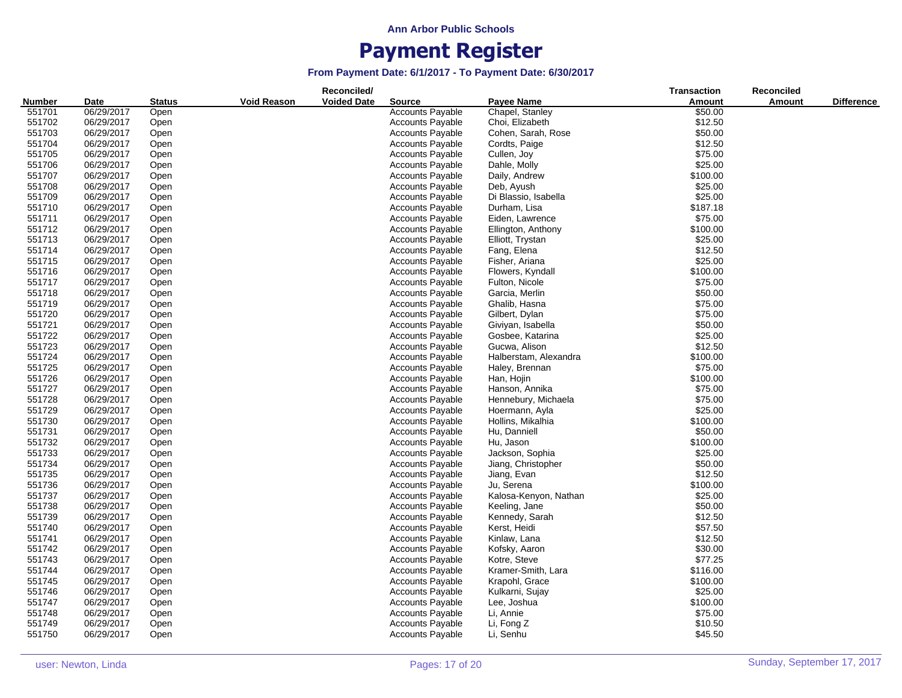| <b>Void Reason</b><br><b>Voided Date</b><br>Number<br><b>Payee Name</b><br>Amount<br>Amount<br><b>Difference</b><br>Date<br><b>Status</b><br><b>Source</b><br>551701<br>06/29/2017<br><b>Accounts Payable</b><br>Chapel, Stanley<br>\$50.00<br>Open<br>06/29/2017<br>Open<br><b>Accounts Payable</b><br>Choi, Elizabeth<br>\$12.50<br>551702<br>\$50.00<br>551703<br>06/29/2017<br><b>Accounts Payable</b><br>Cohen, Sarah, Rose<br>Open<br>\$12.50<br>551704<br>06/29/2017<br><b>Accounts Payable</b><br>Cordts, Paige<br>Open<br>\$75.00<br>551705<br>06/29/2017<br><b>Accounts Payable</b><br>Open<br>Cullen, Joy<br>\$25.00<br>06/29/2017<br><b>Accounts Payable</b><br>551706<br>Open<br>Dahle, Molly<br>\$100.00<br>551707<br>06/29/2017<br><b>Accounts Payable</b><br>Daily, Andrew<br>Open<br>551708<br>06/29/2017<br><b>Accounts Payable</b><br>\$25.00<br>Deb, Ayush<br>Open<br>06/29/2017<br>\$25.00<br>551709<br><b>Accounts Payable</b><br>Di Blassio, Isabella<br>Open<br>551710<br>06/29/2017<br><b>Accounts Payable</b><br>Durham, Lisa<br>\$187.18<br>Open<br>06/29/2017<br><b>Accounts Payable</b><br>Eiden, Lawrence<br>\$75.00<br>551711<br>Open<br>\$100.00<br>551712<br>06/29/2017<br><b>Accounts Payable</b><br>Open<br>Ellington, Anthony<br>\$25.00<br>551713<br>06/29/2017<br><b>Accounts Payable</b><br>Open<br>Elliott, Trystan<br>\$12.50<br>551714<br>06/29/2017<br><b>Accounts Payable</b><br>Fang, Elena<br>Open<br>\$25.00<br>551715<br>06/29/2017<br><b>Accounts Payable</b><br>Fisher, Ariana<br>Open<br>551716<br>06/29/2017<br>\$100.00<br><b>Accounts Payable</b><br>Flowers, Kyndall<br>Open<br>06/29/2017<br>\$75.00<br>551717<br><b>Accounts Payable</b><br>Fulton, Nicole<br>Open<br>551718<br>06/29/2017<br><b>Accounts Payable</b><br>Garcia, Merlin<br>\$50.00<br>Open<br>\$75.00<br><b>Accounts Payable</b><br>551719<br>06/29/2017<br>Open<br>Ghalib, Hasna<br>551720<br>06/29/2017<br>\$75.00<br>Open<br><b>Accounts Payable</b><br>Gilbert, Dylan<br>\$50.00<br>551721<br>06/29/2017<br><b>Accounts Payable</b><br>Giviyan, Isabella<br>Open<br>551722<br>06/29/2017<br><b>Accounts Payable</b><br>Gosbee, Katarina<br>\$25.00<br>Open<br>\$12.50<br>551723<br>06/29/2017<br><b>Accounts Payable</b><br>Gucwa, Alison<br>Open<br>551724<br>06/29/2017<br>\$100.00<br><b>Accounts Payable</b><br>Halberstam, Alexandra<br>Open<br>551725<br>06/29/2017<br>\$75.00<br><b>Accounts Payable</b><br>Haley, Brennan<br>Open<br>551726<br>06/29/2017<br><b>Accounts Payable</b><br>Han, Hojin<br>\$100.00<br>Open<br>551727<br>06/29/2017<br><b>Accounts Payable</b><br>Hanson, Annika<br>\$75.00<br>Open<br><b>Accounts Payable</b><br>Hennebury, Michaela<br>\$75.00<br>551728<br>06/29/2017<br>Open<br>\$25.00<br>551729<br>06/29/2017<br><b>Accounts Payable</b><br>Hoermann, Ayla<br>Open<br>551730<br>06/29/2017<br><b>Accounts Payable</b><br>Hollins, Mikalhia<br>\$100.00<br>Open<br>06/29/2017<br>Hu, Danniell<br>\$50.00<br>551731<br><b>Accounts Payable</b><br>Open<br>\$100.00<br>551732<br>06/29/2017<br><b>Accounts Payable</b><br>Hu, Jason<br>Open<br>551733<br>\$25.00<br>06/29/2017<br><b>Accounts Payable</b><br>Jackson, Sophia<br>Open<br>551734<br>06/29/2017<br>\$50.00<br><b>Accounts Payable</b><br>Jiang, Christopher<br>Open<br>\$12.50<br>551735<br>06/29/2017<br><b>Accounts Payable</b><br>Jiang, Evan<br>Open<br>551736<br>06/29/2017<br><b>Accounts Payable</b><br>\$100.00<br>Open<br>Ju, Serena<br>\$25.00<br>551737<br>06/29/2017<br>Open<br><b>Accounts Payable</b><br>Kalosa-Kenyon, Nathan<br>551738<br>\$50.00<br>06/29/2017<br>Open<br><b>Accounts Payable</b><br>Keeling, Jane<br>\$12.50<br>551739<br>06/29/2017<br><b>Accounts Payable</b><br>Kennedy, Sarah<br>Open<br>\$57.50<br>551740<br>06/29/2017<br><b>Accounts Payable</b><br>Kerst, Heidi<br>Open<br>\$12.50<br>551741<br>06/29/2017<br><b>Accounts Payable</b><br>Kinlaw, Lana<br>Open<br>\$30.00<br>551742<br>06/29/2017<br><b>Accounts Payable</b><br>Kofsky, Aaron<br>Open<br>\$77.25<br>551743<br>06/29/2017<br><b>Accounts Payable</b><br>Open<br>Kotre, Steve<br>06/29/2017<br><b>Accounts Payable</b><br>Kramer-Smith, Lara<br>\$116.00<br>551744<br>Open<br>551745<br>06/29/2017<br>Open<br><b>Accounts Payable</b><br>Krapohl, Grace<br>\$100.00<br>\$25.00<br>06/29/2017<br><b>Accounts Payable</b><br>Kulkarni, Sujay<br>551746<br>Open<br>\$100.00<br>551747<br>06/29/2017<br><b>Accounts Payable</b><br>Lee, Joshua<br>Open<br>\$75.00<br>551748<br>06/29/2017<br><b>Accounts Payable</b><br>Li, Annie<br>Open<br>\$10.50<br>551749<br>06/29/2017<br><b>Accounts Payable</b><br>Li, Fong Z<br>Open<br>551750<br>06/29/2017<br>Li, Senhu<br>\$45.50<br>Open<br><b>Accounts Payable</b> |  |  | Reconciled/ |  | Transaction | <b>Reconciled</b> |  |
|-----------------------------------------------------------------------------------------------------------------------------------------------------------------------------------------------------------------------------------------------------------------------------------------------------------------------------------------------------------------------------------------------------------------------------------------------------------------------------------------------------------------------------------------------------------------------------------------------------------------------------------------------------------------------------------------------------------------------------------------------------------------------------------------------------------------------------------------------------------------------------------------------------------------------------------------------------------------------------------------------------------------------------------------------------------------------------------------------------------------------------------------------------------------------------------------------------------------------------------------------------------------------------------------------------------------------------------------------------------------------------------------------------------------------------------------------------------------------------------------------------------------------------------------------------------------------------------------------------------------------------------------------------------------------------------------------------------------------------------------------------------------------------------------------------------------------------------------------------------------------------------------------------------------------------------------------------------------------------------------------------------------------------------------------------------------------------------------------------------------------------------------------------------------------------------------------------------------------------------------------------------------------------------------------------------------------------------------------------------------------------------------------------------------------------------------------------------------------------------------------------------------------------------------------------------------------------------------------------------------------------------------------------------------------------------------------------------------------------------------------------------------------------------------------------------------------------------------------------------------------------------------------------------------------------------------------------------------------------------------------------------------------------------------------------------------------------------------------------------------------------------------------------------------------------------------------------------------------------------------------------------------------------------------------------------------------------------------------------------------------------------------------------------------------------------------------------------------------------------------------------------------------------------------------------------------------------------------------------------------------------------------------------------------------------------------------------------------------------------------------------------------------------------------------------------------------------------------------------------------------------------------------------------------------------------------------------------------------------------------------------------------------------------------------------------------------------------------------------------------------------------------------------------------------------------------------------------------------------------------------------------------------------------------------------------------------------------------------------------------------------------------------------------------------------------------------------------------------------------------------------------------------------------------------------------------------------------------------------------------------------------------------------------------------------------------------------------------------------------------------------|--|--|-------------|--|-------------|-------------------|--|
|                                                                                                                                                                                                                                                                                                                                                                                                                                                                                                                                                                                                                                                                                                                                                                                                                                                                                                                                                                                                                                                                                                                                                                                                                                                                                                                                                                                                                                                                                                                                                                                                                                                                                                                                                                                                                                                                                                                                                                                                                                                                                                                                                                                                                                                                                                                                                                                                                                                                                                                                                                                                                                                                                                                                                                                                                                                                                                                                                                                                                                                                                                                                                                                                                                                                                                                                                                                                                                                                                                                                                                                                                                                                                                                                                                                                                                                                                                                                                                                                                                                                                                                                                                                                                                                                                                                                                                                                                                                                                                                                                                                                                                                                                                                                                     |  |  |             |  |             |                   |  |
|                                                                                                                                                                                                                                                                                                                                                                                                                                                                                                                                                                                                                                                                                                                                                                                                                                                                                                                                                                                                                                                                                                                                                                                                                                                                                                                                                                                                                                                                                                                                                                                                                                                                                                                                                                                                                                                                                                                                                                                                                                                                                                                                                                                                                                                                                                                                                                                                                                                                                                                                                                                                                                                                                                                                                                                                                                                                                                                                                                                                                                                                                                                                                                                                                                                                                                                                                                                                                                                                                                                                                                                                                                                                                                                                                                                                                                                                                                                                                                                                                                                                                                                                                                                                                                                                                                                                                                                                                                                                                                                                                                                                                                                                                                                                                     |  |  |             |  |             |                   |  |
|                                                                                                                                                                                                                                                                                                                                                                                                                                                                                                                                                                                                                                                                                                                                                                                                                                                                                                                                                                                                                                                                                                                                                                                                                                                                                                                                                                                                                                                                                                                                                                                                                                                                                                                                                                                                                                                                                                                                                                                                                                                                                                                                                                                                                                                                                                                                                                                                                                                                                                                                                                                                                                                                                                                                                                                                                                                                                                                                                                                                                                                                                                                                                                                                                                                                                                                                                                                                                                                                                                                                                                                                                                                                                                                                                                                                                                                                                                                                                                                                                                                                                                                                                                                                                                                                                                                                                                                                                                                                                                                                                                                                                                                                                                                                                     |  |  |             |  |             |                   |  |
|                                                                                                                                                                                                                                                                                                                                                                                                                                                                                                                                                                                                                                                                                                                                                                                                                                                                                                                                                                                                                                                                                                                                                                                                                                                                                                                                                                                                                                                                                                                                                                                                                                                                                                                                                                                                                                                                                                                                                                                                                                                                                                                                                                                                                                                                                                                                                                                                                                                                                                                                                                                                                                                                                                                                                                                                                                                                                                                                                                                                                                                                                                                                                                                                                                                                                                                                                                                                                                                                                                                                                                                                                                                                                                                                                                                                                                                                                                                                                                                                                                                                                                                                                                                                                                                                                                                                                                                                                                                                                                                                                                                                                                                                                                                                                     |  |  |             |  |             |                   |  |
|                                                                                                                                                                                                                                                                                                                                                                                                                                                                                                                                                                                                                                                                                                                                                                                                                                                                                                                                                                                                                                                                                                                                                                                                                                                                                                                                                                                                                                                                                                                                                                                                                                                                                                                                                                                                                                                                                                                                                                                                                                                                                                                                                                                                                                                                                                                                                                                                                                                                                                                                                                                                                                                                                                                                                                                                                                                                                                                                                                                                                                                                                                                                                                                                                                                                                                                                                                                                                                                                                                                                                                                                                                                                                                                                                                                                                                                                                                                                                                                                                                                                                                                                                                                                                                                                                                                                                                                                                                                                                                                                                                                                                                                                                                                                                     |  |  |             |  |             |                   |  |
|                                                                                                                                                                                                                                                                                                                                                                                                                                                                                                                                                                                                                                                                                                                                                                                                                                                                                                                                                                                                                                                                                                                                                                                                                                                                                                                                                                                                                                                                                                                                                                                                                                                                                                                                                                                                                                                                                                                                                                                                                                                                                                                                                                                                                                                                                                                                                                                                                                                                                                                                                                                                                                                                                                                                                                                                                                                                                                                                                                                                                                                                                                                                                                                                                                                                                                                                                                                                                                                                                                                                                                                                                                                                                                                                                                                                                                                                                                                                                                                                                                                                                                                                                                                                                                                                                                                                                                                                                                                                                                                                                                                                                                                                                                                                                     |  |  |             |  |             |                   |  |
|                                                                                                                                                                                                                                                                                                                                                                                                                                                                                                                                                                                                                                                                                                                                                                                                                                                                                                                                                                                                                                                                                                                                                                                                                                                                                                                                                                                                                                                                                                                                                                                                                                                                                                                                                                                                                                                                                                                                                                                                                                                                                                                                                                                                                                                                                                                                                                                                                                                                                                                                                                                                                                                                                                                                                                                                                                                                                                                                                                                                                                                                                                                                                                                                                                                                                                                                                                                                                                                                                                                                                                                                                                                                                                                                                                                                                                                                                                                                                                                                                                                                                                                                                                                                                                                                                                                                                                                                                                                                                                                                                                                                                                                                                                                                                     |  |  |             |  |             |                   |  |
|                                                                                                                                                                                                                                                                                                                                                                                                                                                                                                                                                                                                                                                                                                                                                                                                                                                                                                                                                                                                                                                                                                                                                                                                                                                                                                                                                                                                                                                                                                                                                                                                                                                                                                                                                                                                                                                                                                                                                                                                                                                                                                                                                                                                                                                                                                                                                                                                                                                                                                                                                                                                                                                                                                                                                                                                                                                                                                                                                                                                                                                                                                                                                                                                                                                                                                                                                                                                                                                                                                                                                                                                                                                                                                                                                                                                                                                                                                                                                                                                                                                                                                                                                                                                                                                                                                                                                                                                                                                                                                                                                                                                                                                                                                                                                     |  |  |             |  |             |                   |  |
|                                                                                                                                                                                                                                                                                                                                                                                                                                                                                                                                                                                                                                                                                                                                                                                                                                                                                                                                                                                                                                                                                                                                                                                                                                                                                                                                                                                                                                                                                                                                                                                                                                                                                                                                                                                                                                                                                                                                                                                                                                                                                                                                                                                                                                                                                                                                                                                                                                                                                                                                                                                                                                                                                                                                                                                                                                                                                                                                                                                                                                                                                                                                                                                                                                                                                                                                                                                                                                                                                                                                                                                                                                                                                                                                                                                                                                                                                                                                                                                                                                                                                                                                                                                                                                                                                                                                                                                                                                                                                                                                                                                                                                                                                                                                                     |  |  |             |  |             |                   |  |
|                                                                                                                                                                                                                                                                                                                                                                                                                                                                                                                                                                                                                                                                                                                                                                                                                                                                                                                                                                                                                                                                                                                                                                                                                                                                                                                                                                                                                                                                                                                                                                                                                                                                                                                                                                                                                                                                                                                                                                                                                                                                                                                                                                                                                                                                                                                                                                                                                                                                                                                                                                                                                                                                                                                                                                                                                                                                                                                                                                                                                                                                                                                                                                                                                                                                                                                                                                                                                                                                                                                                                                                                                                                                                                                                                                                                                                                                                                                                                                                                                                                                                                                                                                                                                                                                                                                                                                                                                                                                                                                                                                                                                                                                                                                                                     |  |  |             |  |             |                   |  |
|                                                                                                                                                                                                                                                                                                                                                                                                                                                                                                                                                                                                                                                                                                                                                                                                                                                                                                                                                                                                                                                                                                                                                                                                                                                                                                                                                                                                                                                                                                                                                                                                                                                                                                                                                                                                                                                                                                                                                                                                                                                                                                                                                                                                                                                                                                                                                                                                                                                                                                                                                                                                                                                                                                                                                                                                                                                                                                                                                                                                                                                                                                                                                                                                                                                                                                                                                                                                                                                                                                                                                                                                                                                                                                                                                                                                                                                                                                                                                                                                                                                                                                                                                                                                                                                                                                                                                                                                                                                                                                                                                                                                                                                                                                                                                     |  |  |             |  |             |                   |  |
|                                                                                                                                                                                                                                                                                                                                                                                                                                                                                                                                                                                                                                                                                                                                                                                                                                                                                                                                                                                                                                                                                                                                                                                                                                                                                                                                                                                                                                                                                                                                                                                                                                                                                                                                                                                                                                                                                                                                                                                                                                                                                                                                                                                                                                                                                                                                                                                                                                                                                                                                                                                                                                                                                                                                                                                                                                                                                                                                                                                                                                                                                                                                                                                                                                                                                                                                                                                                                                                                                                                                                                                                                                                                                                                                                                                                                                                                                                                                                                                                                                                                                                                                                                                                                                                                                                                                                                                                                                                                                                                                                                                                                                                                                                                                                     |  |  |             |  |             |                   |  |
|                                                                                                                                                                                                                                                                                                                                                                                                                                                                                                                                                                                                                                                                                                                                                                                                                                                                                                                                                                                                                                                                                                                                                                                                                                                                                                                                                                                                                                                                                                                                                                                                                                                                                                                                                                                                                                                                                                                                                                                                                                                                                                                                                                                                                                                                                                                                                                                                                                                                                                                                                                                                                                                                                                                                                                                                                                                                                                                                                                                                                                                                                                                                                                                                                                                                                                                                                                                                                                                                                                                                                                                                                                                                                                                                                                                                                                                                                                                                                                                                                                                                                                                                                                                                                                                                                                                                                                                                                                                                                                                                                                                                                                                                                                                                                     |  |  |             |  |             |                   |  |
|                                                                                                                                                                                                                                                                                                                                                                                                                                                                                                                                                                                                                                                                                                                                                                                                                                                                                                                                                                                                                                                                                                                                                                                                                                                                                                                                                                                                                                                                                                                                                                                                                                                                                                                                                                                                                                                                                                                                                                                                                                                                                                                                                                                                                                                                                                                                                                                                                                                                                                                                                                                                                                                                                                                                                                                                                                                                                                                                                                                                                                                                                                                                                                                                                                                                                                                                                                                                                                                                                                                                                                                                                                                                                                                                                                                                                                                                                                                                                                                                                                                                                                                                                                                                                                                                                                                                                                                                                                                                                                                                                                                                                                                                                                                                                     |  |  |             |  |             |                   |  |
|                                                                                                                                                                                                                                                                                                                                                                                                                                                                                                                                                                                                                                                                                                                                                                                                                                                                                                                                                                                                                                                                                                                                                                                                                                                                                                                                                                                                                                                                                                                                                                                                                                                                                                                                                                                                                                                                                                                                                                                                                                                                                                                                                                                                                                                                                                                                                                                                                                                                                                                                                                                                                                                                                                                                                                                                                                                                                                                                                                                                                                                                                                                                                                                                                                                                                                                                                                                                                                                                                                                                                                                                                                                                                                                                                                                                                                                                                                                                                                                                                                                                                                                                                                                                                                                                                                                                                                                                                                                                                                                                                                                                                                                                                                                                                     |  |  |             |  |             |                   |  |
|                                                                                                                                                                                                                                                                                                                                                                                                                                                                                                                                                                                                                                                                                                                                                                                                                                                                                                                                                                                                                                                                                                                                                                                                                                                                                                                                                                                                                                                                                                                                                                                                                                                                                                                                                                                                                                                                                                                                                                                                                                                                                                                                                                                                                                                                                                                                                                                                                                                                                                                                                                                                                                                                                                                                                                                                                                                                                                                                                                                                                                                                                                                                                                                                                                                                                                                                                                                                                                                                                                                                                                                                                                                                                                                                                                                                                                                                                                                                                                                                                                                                                                                                                                                                                                                                                                                                                                                                                                                                                                                                                                                                                                                                                                                                                     |  |  |             |  |             |                   |  |
|                                                                                                                                                                                                                                                                                                                                                                                                                                                                                                                                                                                                                                                                                                                                                                                                                                                                                                                                                                                                                                                                                                                                                                                                                                                                                                                                                                                                                                                                                                                                                                                                                                                                                                                                                                                                                                                                                                                                                                                                                                                                                                                                                                                                                                                                                                                                                                                                                                                                                                                                                                                                                                                                                                                                                                                                                                                                                                                                                                                                                                                                                                                                                                                                                                                                                                                                                                                                                                                                                                                                                                                                                                                                                                                                                                                                                                                                                                                                                                                                                                                                                                                                                                                                                                                                                                                                                                                                                                                                                                                                                                                                                                                                                                                                                     |  |  |             |  |             |                   |  |
|                                                                                                                                                                                                                                                                                                                                                                                                                                                                                                                                                                                                                                                                                                                                                                                                                                                                                                                                                                                                                                                                                                                                                                                                                                                                                                                                                                                                                                                                                                                                                                                                                                                                                                                                                                                                                                                                                                                                                                                                                                                                                                                                                                                                                                                                                                                                                                                                                                                                                                                                                                                                                                                                                                                                                                                                                                                                                                                                                                                                                                                                                                                                                                                                                                                                                                                                                                                                                                                                                                                                                                                                                                                                                                                                                                                                                                                                                                                                                                                                                                                                                                                                                                                                                                                                                                                                                                                                                                                                                                                                                                                                                                                                                                                                                     |  |  |             |  |             |                   |  |
|                                                                                                                                                                                                                                                                                                                                                                                                                                                                                                                                                                                                                                                                                                                                                                                                                                                                                                                                                                                                                                                                                                                                                                                                                                                                                                                                                                                                                                                                                                                                                                                                                                                                                                                                                                                                                                                                                                                                                                                                                                                                                                                                                                                                                                                                                                                                                                                                                                                                                                                                                                                                                                                                                                                                                                                                                                                                                                                                                                                                                                                                                                                                                                                                                                                                                                                                                                                                                                                                                                                                                                                                                                                                                                                                                                                                                                                                                                                                                                                                                                                                                                                                                                                                                                                                                                                                                                                                                                                                                                                                                                                                                                                                                                                                                     |  |  |             |  |             |                   |  |
|                                                                                                                                                                                                                                                                                                                                                                                                                                                                                                                                                                                                                                                                                                                                                                                                                                                                                                                                                                                                                                                                                                                                                                                                                                                                                                                                                                                                                                                                                                                                                                                                                                                                                                                                                                                                                                                                                                                                                                                                                                                                                                                                                                                                                                                                                                                                                                                                                                                                                                                                                                                                                                                                                                                                                                                                                                                                                                                                                                                                                                                                                                                                                                                                                                                                                                                                                                                                                                                                                                                                                                                                                                                                                                                                                                                                                                                                                                                                                                                                                                                                                                                                                                                                                                                                                                                                                                                                                                                                                                                                                                                                                                                                                                                                                     |  |  |             |  |             |                   |  |
|                                                                                                                                                                                                                                                                                                                                                                                                                                                                                                                                                                                                                                                                                                                                                                                                                                                                                                                                                                                                                                                                                                                                                                                                                                                                                                                                                                                                                                                                                                                                                                                                                                                                                                                                                                                                                                                                                                                                                                                                                                                                                                                                                                                                                                                                                                                                                                                                                                                                                                                                                                                                                                                                                                                                                                                                                                                                                                                                                                                                                                                                                                                                                                                                                                                                                                                                                                                                                                                                                                                                                                                                                                                                                                                                                                                                                                                                                                                                                                                                                                                                                                                                                                                                                                                                                                                                                                                                                                                                                                                                                                                                                                                                                                                                                     |  |  |             |  |             |                   |  |
|                                                                                                                                                                                                                                                                                                                                                                                                                                                                                                                                                                                                                                                                                                                                                                                                                                                                                                                                                                                                                                                                                                                                                                                                                                                                                                                                                                                                                                                                                                                                                                                                                                                                                                                                                                                                                                                                                                                                                                                                                                                                                                                                                                                                                                                                                                                                                                                                                                                                                                                                                                                                                                                                                                                                                                                                                                                                                                                                                                                                                                                                                                                                                                                                                                                                                                                                                                                                                                                                                                                                                                                                                                                                                                                                                                                                                                                                                                                                                                                                                                                                                                                                                                                                                                                                                                                                                                                                                                                                                                                                                                                                                                                                                                                                                     |  |  |             |  |             |                   |  |
|                                                                                                                                                                                                                                                                                                                                                                                                                                                                                                                                                                                                                                                                                                                                                                                                                                                                                                                                                                                                                                                                                                                                                                                                                                                                                                                                                                                                                                                                                                                                                                                                                                                                                                                                                                                                                                                                                                                                                                                                                                                                                                                                                                                                                                                                                                                                                                                                                                                                                                                                                                                                                                                                                                                                                                                                                                                                                                                                                                                                                                                                                                                                                                                                                                                                                                                                                                                                                                                                                                                                                                                                                                                                                                                                                                                                                                                                                                                                                                                                                                                                                                                                                                                                                                                                                                                                                                                                                                                                                                                                                                                                                                                                                                                                                     |  |  |             |  |             |                   |  |
|                                                                                                                                                                                                                                                                                                                                                                                                                                                                                                                                                                                                                                                                                                                                                                                                                                                                                                                                                                                                                                                                                                                                                                                                                                                                                                                                                                                                                                                                                                                                                                                                                                                                                                                                                                                                                                                                                                                                                                                                                                                                                                                                                                                                                                                                                                                                                                                                                                                                                                                                                                                                                                                                                                                                                                                                                                                                                                                                                                                                                                                                                                                                                                                                                                                                                                                                                                                                                                                                                                                                                                                                                                                                                                                                                                                                                                                                                                                                                                                                                                                                                                                                                                                                                                                                                                                                                                                                                                                                                                                                                                                                                                                                                                                                                     |  |  |             |  |             |                   |  |
|                                                                                                                                                                                                                                                                                                                                                                                                                                                                                                                                                                                                                                                                                                                                                                                                                                                                                                                                                                                                                                                                                                                                                                                                                                                                                                                                                                                                                                                                                                                                                                                                                                                                                                                                                                                                                                                                                                                                                                                                                                                                                                                                                                                                                                                                                                                                                                                                                                                                                                                                                                                                                                                                                                                                                                                                                                                                                                                                                                                                                                                                                                                                                                                                                                                                                                                                                                                                                                                                                                                                                                                                                                                                                                                                                                                                                                                                                                                                                                                                                                                                                                                                                                                                                                                                                                                                                                                                                                                                                                                                                                                                                                                                                                                                                     |  |  |             |  |             |                   |  |
|                                                                                                                                                                                                                                                                                                                                                                                                                                                                                                                                                                                                                                                                                                                                                                                                                                                                                                                                                                                                                                                                                                                                                                                                                                                                                                                                                                                                                                                                                                                                                                                                                                                                                                                                                                                                                                                                                                                                                                                                                                                                                                                                                                                                                                                                                                                                                                                                                                                                                                                                                                                                                                                                                                                                                                                                                                                                                                                                                                                                                                                                                                                                                                                                                                                                                                                                                                                                                                                                                                                                                                                                                                                                                                                                                                                                                                                                                                                                                                                                                                                                                                                                                                                                                                                                                                                                                                                                                                                                                                                                                                                                                                                                                                                                                     |  |  |             |  |             |                   |  |
|                                                                                                                                                                                                                                                                                                                                                                                                                                                                                                                                                                                                                                                                                                                                                                                                                                                                                                                                                                                                                                                                                                                                                                                                                                                                                                                                                                                                                                                                                                                                                                                                                                                                                                                                                                                                                                                                                                                                                                                                                                                                                                                                                                                                                                                                                                                                                                                                                                                                                                                                                                                                                                                                                                                                                                                                                                                                                                                                                                                                                                                                                                                                                                                                                                                                                                                                                                                                                                                                                                                                                                                                                                                                                                                                                                                                                                                                                                                                                                                                                                                                                                                                                                                                                                                                                                                                                                                                                                                                                                                                                                                                                                                                                                                                                     |  |  |             |  |             |                   |  |
|                                                                                                                                                                                                                                                                                                                                                                                                                                                                                                                                                                                                                                                                                                                                                                                                                                                                                                                                                                                                                                                                                                                                                                                                                                                                                                                                                                                                                                                                                                                                                                                                                                                                                                                                                                                                                                                                                                                                                                                                                                                                                                                                                                                                                                                                                                                                                                                                                                                                                                                                                                                                                                                                                                                                                                                                                                                                                                                                                                                                                                                                                                                                                                                                                                                                                                                                                                                                                                                                                                                                                                                                                                                                                                                                                                                                                                                                                                                                                                                                                                                                                                                                                                                                                                                                                                                                                                                                                                                                                                                                                                                                                                                                                                                                                     |  |  |             |  |             |                   |  |
|                                                                                                                                                                                                                                                                                                                                                                                                                                                                                                                                                                                                                                                                                                                                                                                                                                                                                                                                                                                                                                                                                                                                                                                                                                                                                                                                                                                                                                                                                                                                                                                                                                                                                                                                                                                                                                                                                                                                                                                                                                                                                                                                                                                                                                                                                                                                                                                                                                                                                                                                                                                                                                                                                                                                                                                                                                                                                                                                                                                                                                                                                                                                                                                                                                                                                                                                                                                                                                                                                                                                                                                                                                                                                                                                                                                                                                                                                                                                                                                                                                                                                                                                                                                                                                                                                                                                                                                                                                                                                                                                                                                                                                                                                                                                                     |  |  |             |  |             |                   |  |
|                                                                                                                                                                                                                                                                                                                                                                                                                                                                                                                                                                                                                                                                                                                                                                                                                                                                                                                                                                                                                                                                                                                                                                                                                                                                                                                                                                                                                                                                                                                                                                                                                                                                                                                                                                                                                                                                                                                                                                                                                                                                                                                                                                                                                                                                                                                                                                                                                                                                                                                                                                                                                                                                                                                                                                                                                                                                                                                                                                                                                                                                                                                                                                                                                                                                                                                                                                                                                                                                                                                                                                                                                                                                                                                                                                                                                                                                                                                                                                                                                                                                                                                                                                                                                                                                                                                                                                                                                                                                                                                                                                                                                                                                                                                                                     |  |  |             |  |             |                   |  |
|                                                                                                                                                                                                                                                                                                                                                                                                                                                                                                                                                                                                                                                                                                                                                                                                                                                                                                                                                                                                                                                                                                                                                                                                                                                                                                                                                                                                                                                                                                                                                                                                                                                                                                                                                                                                                                                                                                                                                                                                                                                                                                                                                                                                                                                                                                                                                                                                                                                                                                                                                                                                                                                                                                                                                                                                                                                                                                                                                                                                                                                                                                                                                                                                                                                                                                                                                                                                                                                                                                                                                                                                                                                                                                                                                                                                                                                                                                                                                                                                                                                                                                                                                                                                                                                                                                                                                                                                                                                                                                                                                                                                                                                                                                                                                     |  |  |             |  |             |                   |  |
|                                                                                                                                                                                                                                                                                                                                                                                                                                                                                                                                                                                                                                                                                                                                                                                                                                                                                                                                                                                                                                                                                                                                                                                                                                                                                                                                                                                                                                                                                                                                                                                                                                                                                                                                                                                                                                                                                                                                                                                                                                                                                                                                                                                                                                                                                                                                                                                                                                                                                                                                                                                                                                                                                                                                                                                                                                                                                                                                                                                                                                                                                                                                                                                                                                                                                                                                                                                                                                                                                                                                                                                                                                                                                                                                                                                                                                                                                                                                                                                                                                                                                                                                                                                                                                                                                                                                                                                                                                                                                                                                                                                                                                                                                                                                                     |  |  |             |  |             |                   |  |
|                                                                                                                                                                                                                                                                                                                                                                                                                                                                                                                                                                                                                                                                                                                                                                                                                                                                                                                                                                                                                                                                                                                                                                                                                                                                                                                                                                                                                                                                                                                                                                                                                                                                                                                                                                                                                                                                                                                                                                                                                                                                                                                                                                                                                                                                                                                                                                                                                                                                                                                                                                                                                                                                                                                                                                                                                                                                                                                                                                                                                                                                                                                                                                                                                                                                                                                                                                                                                                                                                                                                                                                                                                                                                                                                                                                                                                                                                                                                                                                                                                                                                                                                                                                                                                                                                                                                                                                                                                                                                                                                                                                                                                                                                                                                                     |  |  |             |  |             |                   |  |
|                                                                                                                                                                                                                                                                                                                                                                                                                                                                                                                                                                                                                                                                                                                                                                                                                                                                                                                                                                                                                                                                                                                                                                                                                                                                                                                                                                                                                                                                                                                                                                                                                                                                                                                                                                                                                                                                                                                                                                                                                                                                                                                                                                                                                                                                                                                                                                                                                                                                                                                                                                                                                                                                                                                                                                                                                                                                                                                                                                                                                                                                                                                                                                                                                                                                                                                                                                                                                                                                                                                                                                                                                                                                                                                                                                                                                                                                                                                                                                                                                                                                                                                                                                                                                                                                                                                                                                                                                                                                                                                                                                                                                                                                                                                                                     |  |  |             |  |             |                   |  |
|                                                                                                                                                                                                                                                                                                                                                                                                                                                                                                                                                                                                                                                                                                                                                                                                                                                                                                                                                                                                                                                                                                                                                                                                                                                                                                                                                                                                                                                                                                                                                                                                                                                                                                                                                                                                                                                                                                                                                                                                                                                                                                                                                                                                                                                                                                                                                                                                                                                                                                                                                                                                                                                                                                                                                                                                                                                                                                                                                                                                                                                                                                                                                                                                                                                                                                                                                                                                                                                                                                                                                                                                                                                                                                                                                                                                                                                                                                                                                                                                                                                                                                                                                                                                                                                                                                                                                                                                                                                                                                                                                                                                                                                                                                                                                     |  |  |             |  |             |                   |  |
|                                                                                                                                                                                                                                                                                                                                                                                                                                                                                                                                                                                                                                                                                                                                                                                                                                                                                                                                                                                                                                                                                                                                                                                                                                                                                                                                                                                                                                                                                                                                                                                                                                                                                                                                                                                                                                                                                                                                                                                                                                                                                                                                                                                                                                                                                                                                                                                                                                                                                                                                                                                                                                                                                                                                                                                                                                                                                                                                                                                                                                                                                                                                                                                                                                                                                                                                                                                                                                                                                                                                                                                                                                                                                                                                                                                                                                                                                                                                                                                                                                                                                                                                                                                                                                                                                                                                                                                                                                                                                                                                                                                                                                                                                                                                                     |  |  |             |  |             |                   |  |
|                                                                                                                                                                                                                                                                                                                                                                                                                                                                                                                                                                                                                                                                                                                                                                                                                                                                                                                                                                                                                                                                                                                                                                                                                                                                                                                                                                                                                                                                                                                                                                                                                                                                                                                                                                                                                                                                                                                                                                                                                                                                                                                                                                                                                                                                                                                                                                                                                                                                                                                                                                                                                                                                                                                                                                                                                                                                                                                                                                                                                                                                                                                                                                                                                                                                                                                                                                                                                                                                                                                                                                                                                                                                                                                                                                                                                                                                                                                                                                                                                                                                                                                                                                                                                                                                                                                                                                                                                                                                                                                                                                                                                                                                                                                                                     |  |  |             |  |             |                   |  |
|                                                                                                                                                                                                                                                                                                                                                                                                                                                                                                                                                                                                                                                                                                                                                                                                                                                                                                                                                                                                                                                                                                                                                                                                                                                                                                                                                                                                                                                                                                                                                                                                                                                                                                                                                                                                                                                                                                                                                                                                                                                                                                                                                                                                                                                                                                                                                                                                                                                                                                                                                                                                                                                                                                                                                                                                                                                                                                                                                                                                                                                                                                                                                                                                                                                                                                                                                                                                                                                                                                                                                                                                                                                                                                                                                                                                                                                                                                                                                                                                                                                                                                                                                                                                                                                                                                                                                                                                                                                                                                                                                                                                                                                                                                                                                     |  |  |             |  |             |                   |  |
|                                                                                                                                                                                                                                                                                                                                                                                                                                                                                                                                                                                                                                                                                                                                                                                                                                                                                                                                                                                                                                                                                                                                                                                                                                                                                                                                                                                                                                                                                                                                                                                                                                                                                                                                                                                                                                                                                                                                                                                                                                                                                                                                                                                                                                                                                                                                                                                                                                                                                                                                                                                                                                                                                                                                                                                                                                                                                                                                                                                                                                                                                                                                                                                                                                                                                                                                                                                                                                                                                                                                                                                                                                                                                                                                                                                                                                                                                                                                                                                                                                                                                                                                                                                                                                                                                                                                                                                                                                                                                                                                                                                                                                                                                                                                                     |  |  |             |  |             |                   |  |
|                                                                                                                                                                                                                                                                                                                                                                                                                                                                                                                                                                                                                                                                                                                                                                                                                                                                                                                                                                                                                                                                                                                                                                                                                                                                                                                                                                                                                                                                                                                                                                                                                                                                                                                                                                                                                                                                                                                                                                                                                                                                                                                                                                                                                                                                                                                                                                                                                                                                                                                                                                                                                                                                                                                                                                                                                                                                                                                                                                                                                                                                                                                                                                                                                                                                                                                                                                                                                                                                                                                                                                                                                                                                                                                                                                                                                                                                                                                                                                                                                                                                                                                                                                                                                                                                                                                                                                                                                                                                                                                                                                                                                                                                                                                                                     |  |  |             |  |             |                   |  |
|                                                                                                                                                                                                                                                                                                                                                                                                                                                                                                                                                                                                                                                                                                                                                                                                                                                                                                                                                                                                                                                                                                                                                                                                                                                                                                                                                                                                                                                                                                                                                                                                                                                                                                                                                                                                                                                                                                                                                                                                                                                                                                                                                                                                                                                                                                                                                                                                                                                                                                                                                                                                                                                                                                                                                                                                                                                                                                                                                                                                                                                                                                                                                                                                                                                                                                                                                                                                                                                                                                                                                                                                                                                                                                                                                                                                                                                                                                                                                                                                                                                                                                                                                                                                                                                                                                                                                                                                                                                                                                                                                                                                                                                                                                                                                     |  |  |             |  |             |                   |  |
|                                                                                                                                                                                                                                                                                                                                                                                                                                                                                                                                                                                                                                                                                                                                                                                                                                                                                                                                                                                                                                                                                                                                                                                                                                                                                                                                                                                                                                                                                                                                                                                                                                                                                                                                                                                                                                                                                                                                                                                                                                                                                                                                                                                                                                                                                                                                                                                                                                                                                                                                                                                                                                                                                                                                                                                                                                                                                                                                                                                                                                                                                                                                                                                                                                                                                                                                                                                                                                                                                                                                                                                                                                                                                                                                                                                                                                                                                                                                                                                                                                                                                                                                                                                                                                                                                                                                                                                                                                                                                                                                                                                                                                                                                                                                                     |  |  |             |  |             |                   |  |
|                                                                                                                                                                                                                                                                                                                                                                                                                                                                                                                                                                                                                                                                                                                                                                                                                                                                                                                                                                                                                                                                                                                                                                                                                                                                                                                                                                                                                                                                                                                                                                                                                                                                                                                                                                                                                                                                                                                                                                                                                                                                                                                                                                                                                                                                                                                                                                                                                                                                                                                                                                                                                                                                                                                                                                                                                                                                                                                                                                                                                                                                                                                                                                                                                                                                                                                                                                                                                                                                                                                                                                                                                                                                                                                                                                                                                                                                                                                                                                                                                                                                                                                                                                                                                                                                                                                                                                                                                                                                                                                                                                                                                                                                                                                                                     |  |  |             |  |             |                   |  |
|                                                                                                                                                                                                                                                                                                                                                                                                                                                                                                                                                                                                                                                                                                                                                                                                                                                                                                                                                                                                                                                                                                                                                                                                                                                                                                                                                                                                                                                                                                                                                                                                                                                                                                                                                                                                                                                                                                                                                                                                                                                                                                                                                                                                                                                                                                                                                                                                                                                                                                                                                                                                                                                                                                                                                                                                                                                                                                                                                                                                                                                                                                                                                                                                                                                                                                                                                                                                                                                                                                                                                                                                                                                                                                                                                                                                                                                                                                                                                                                                                                                                                                                                                                                                                                                                                                                                                                                                                                                                                                                                                                                                                                                                                                                                                     |  |  |             |  |             |                   |  |
|                                                                                                                                                                                                                                                                                                                                                                                                                                                                                                                                                                                                                                                                                                                                                                                                                                                                                                                                                                                                                                                                                                                                                                                                                                                                                                                                                                                                                                                                                                                                                                                                                                                                                                                                                                                                                                                                                                                                                                                                                                                                                                                                                                                                                                                                                                                                                                                                                                                                                                                                                                                                                                                                                                                                                                                                                                                                                                                                                                                                                                                                                                                                                                                                                                                                                                                                                                                                                                                                                                                                                                                                                                                                                                                                                                                                                                                                                                                                                                                                                                                                                                                                                                                                                                                                                                                                                                                                                                                                                                                                                                                                                                                                                                                                                     |  |  |             |  |             |                   |  |
|                                                                                                                                                                                                                                                                                                                                                                                                                                                                                                                                                                                                                                                                                                                                                                                                                                                                                                                                                                                                                                                                                                                                                                                                                                                                                                                                                                                                                                                                                                                                                                                                                                                                                                                                                                                                                                                                                                                                                                                                                                                                                                                                                                                                                                                                                                                                                                                                                                                                                                                                                                                                                                                                                                                                                                                                                                                                                                                                                                                                                                                                                                                                                                                                                                                                                                                                                                                                                                                                                                                                                                                                                                                                                                                                                                                                                                                                                                                                                                                                                                                                                                                                                                                                                                                                                                                                                                                                                                                                                                                                                                                                                                                                                                                                                     |  |  |             |  |             |                   |  |
|                                                                                                                                                                                                                                                                                                                                                                                                                                                                                                                                                                                                                                                                                                                                                                                                                                                                                                                                                                                                                                                                                                                                                                                                                                                                                                                                                                                                                                                                                                                                                                                                                                                                                                                                                                                                                                                                                                                                                                                                                                                                                                                                                                                                                                                                                                                                                                                                                                                                                                                                                                                                                                                                                                                                                                                                                                                                                                                                                                                                                                                                                                                                                                                                                                                                                                                                                                                                                                                                                                                                                                                                                                                                                                                                                                                                                                                                                                                                                                                                                                                                                                                                                                                                                                                                                                                                                                                                                                                                                                                                                                                                                                                                                                                                                     |  |  |             |  |             |                   |  |
|                                                                                                                                                                                                                                                                                                                                                                                                                                                                                                                                                                                                                                                                                                                                                                                                                                                                                                                                                                                                                                                                                                                                                                                                                                                                                                                                                                                                                                                                                                                                                                                                                                                                                                                                                                                                                                                                                                                                                                                                                                                                                                                                                                                                                                                                                                                                                                                                                                                                                                                                                                                                                                                                                                                                                                                                                                                                                                                                                                                                                                                                                                                                                                                                                                                                                                                                                                                                                                                                                                                                                                                                                                                                                                                                                                                                                                                                                                                                                                                                                                                                                                                                                                                                                                                                                                                                                                                                                                                                                                                                                                                                                                                                                                                                                     |  |  |             |  |             |                   |  |
|                                                                                                                                                                                                                                                                                                                                                                                                                                                                                                                                                                                                                                                                                                                                                                                                                                                                                                                                                                                                                                                                                                                                                                                                                                                                                                                                                                                                                                                                                                                                                                                                                                                                                                                                                                                                                                                                                                                                                                                                                                                                                                                                                                                                                                                                                                                                                                                                                                                                                                                                                                                                                                                                                                                                                                                                                                                                                                                                                                                                                                                                                                                                                                                                                                                                                                                                                                                                                                                                                                                                                                                                                                                                                                                                                                                                                                                                                                                                                                                                                                                                                                                                                                                                                                                                                                                                                                                                                                                                                                                                                                                                                                                                                                                                                     |  |  |             |  |             |                   |  |
|                                                                                                                                                                                                                                                                                                                                                                                                                                                                                                                                                                                                                                                                                                                                                                                                                                                                                                                                                                                                                                                                                                                                                                                                                                                                                                                                                                                                                                                                                                                                                                                                                                                                                                                                                                                                                                                                                                                                                                                                                                                                                                                                                                                                                                                                                                                                                                                                                                                                                                                                                                                                                                                                                                                                                                                                                                                                                                                                                                                                                                                                                                                                                                                                                                                                                                                                                                                                                                                                                                                                                                                                                                                                                                                                                                                                                                                                                                                                                                                                                                                                                                                                                                                                                                                                                                                                                                                                                                                                                                                                                                                                                                                                                                                                                     |  |  |             |  |             |                   |  |
|                                                                                                                                                                                                                                                                                                                                                                                                                                                                                                                                                                                                                                                                                                                                                                                                                                                                                                                                                                                                                                                                                                                                                                                                                                                                                                                                                                                                                                                                                                                                                                                                                                                                                                                                                                                                                                                                                                                                                                                                                                                                                                                                                                                                                                                                                                                                                                                                                                                                                                                                                                                                                                                                                                                                                                                                                                                                                                                                                                                                                                                                                                                                                                                                                                                                                                                                                                                                                                                                                                                                                                                                                                                                                                                                                                                                                                                                                                                                                                                                                                                                                                                                                                                                                                                                                                                                                                                                                                                                                                                                                                                                                                                                                                                                                     |  |  |             |  |             |                   |  |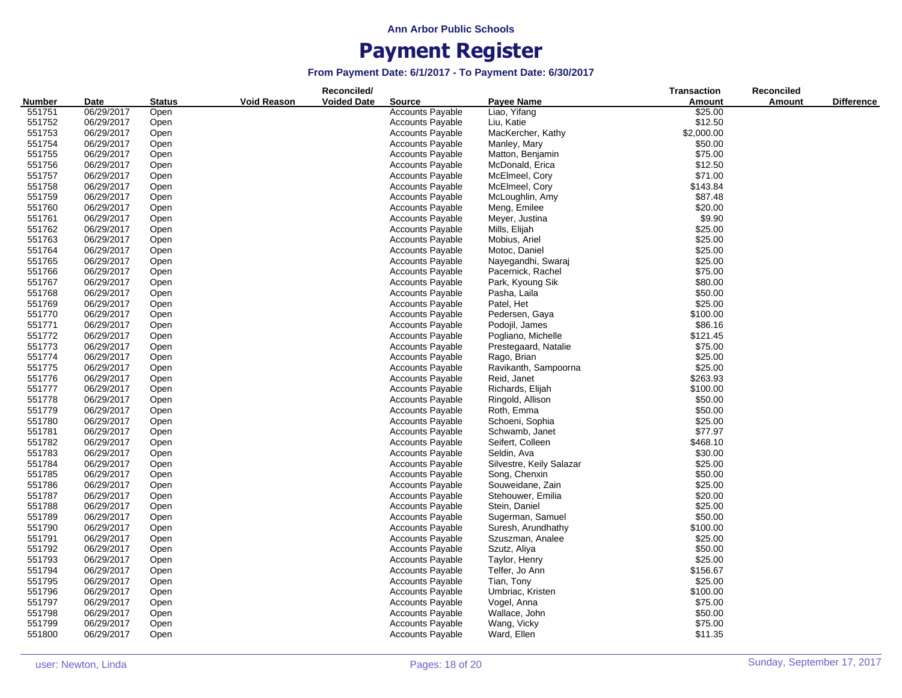|        |            |               |                    | Reconciled/        |                         |                          | <b>Transaction</b> | <b>Reconciled</b> |                   |
|--------|------------|---------------|--------------------|--------------------|-------------------------|--------------------------|--------------------|-------------------|-------------------|
| Number | Date       | <b>Status</b> | <b>Void Reason</b> | <b>Voided Date</b> | <b>Source</b>           | Payee Name               | <b>Amount</b>      | Amount            | <b>Difference</b> |
| 551751 | 06/29/2017 | Open          |                    |                    | <b>Accounts Payable</b> | Liao, Yifang             | \$25.00            |                   |                   |
| 551752 | 06/29/2017 | Open          |                    |                    | <b>Accounts Payable</b> | Liu, Katie               | \$12.50            |                   |                   |
| 551753 | 06/29/2017 | Open          |                    |                    | <b>Accounts Payable</b> | MacKercher, Kathy        | \$2,000.00         |                   |                   |
| 551754 | 06/29/2017 | Open          |                    |                    | <b>Accounts Payable</b> | Manley, Mary             | \$50.00            |                   |                   |
| 551755 | 06/29/2017 | Open          |                    |                    | <b>Accounts Payable</b> | Matton, Benjamin         | \$75.00            |                   |                   |
| 551756 | 06/29/2017 | Open          |                    |                    | <b>Accounts Payable</b> | McDonald, Erica          | \$12.50            |                   |                   |
| 551757 | 06/29/2017 | Open          |                    |                    | <b>Accounts Payable</b> | McElmeel, Cory           | \$71.00            |                   |                   |
| 551758 | 06/29/2017 | Open          |                    |                    | <b>Accounts Payable</b> | McElmeel, Cory           | \$143.84           |                   |                   |
| 551759 | 06/29/2017 | Open          |                    |                    | <b>Accounts Payable</b> | McLoughlin, Amy          | \$87.48            |                   |                   |
| 551760 | 06/29/2017 | Open          |                    |                    | <b>Accounts Payable</b> | Meng, Emilee             | \$20.00            |                   |                   |
| 551761 |            | Open          |                    |                    |                         | Meyer, Justina           | \$9.90             |                   |                   |
|        | 06/29/2017 |               |                    |                    | <b>Accounts Payable</b> |                          |                    |                   |                   |
| 551762 | 06/29/2017 | Open          |                    |                    | <b>Accounts Payable</b> | Mills, Elijah            | \$25.00            |                   |                   |
| 551763 | 06/29/2017 | Open          |                    |                    | <b>Accounts Payable</b> | Mobius, Ariel            | \$25.00            |                   |                   |
| 551764 | 06/29/2017 | Open          |                    |                    | <b>Accounts Payable</b> | Motoc, Daniel            | \$25.00            |                   |                   |
| 551765 | 06/29/2017 | Open          |                    |                    | <b>Accounts Payable</b> | Nayegandhi, Swaraj       | \$25.00            |                   |                   |
| 551766 | 06/29/2017 | Open          |                    |                    | <b>Accounts Payable</b> | Pacernick, Rachel        | \$75.00            |                   |                   |
| 551767 | 06/29/2017 | Open          |                    |                    | <b>Accounts Payable</b> | Park, Kyoung Sik         | \$80.00            |                   |                   |
| 551768 | 06/29/2017 | Open          |                    |                    | <b>Accounts Payable</b> | Pasha, Laila             | \$50.00            |                   |                   |
| 551769 | 06/29/2017 | Open          |                    |                    | <b>Accounts Payable</b> | Patel, Het               | \$25.00            |                   |                   |
| 551770 | 06/29/2017 | Open          |                    |                    | <b>Accounts Payable</b> | Pedersen, Gaya           | \$100.00           |                   |                   |
| 551771 | 06/29/2017 | Open          |                    |                    | <b>Accounts Payable</b> | Podojil, James           | \$86.16            |                   |                   |
| 551772 | 06/29/2017 | Open          |                    |                    | <b>Accounts Payable</b> | Pogliano, Michelle       | \$121.45           |                   |                   |
| 551773 | 06/29/2017 | Open          |                    |                    | <b>Accounts Payable</b> | Prestegaard, Natalie     | \$75.00            |                   |                   |
| 551774 | 06/29/2017 | Open          |                    |                    | <b>Accounts Payable</b> | Rago, Brian              | \$25.00            |                   |                   |
| 551775 | 06/29/2017 | Open          |                    |                    | <b>Accounts Payable</b> | Ravikanth, Sampoorna     | \$25.00            |                   |                   |
| 551776 | 06/29/2017 | Open          |                    |                    | <b>Accounts Payable</b> | Reid, Janet              | \$263.93           |                   |                   |
| 551777 | 06/29/2017 | Open          |                    |                    | <b>Accounts Payable</b> | Richards, Elijah         | \$100.00           |                   |                   |
| 551778 | 06/29/2017 | Open          |                    |                    | <b>Accounts Payable</b> | Ringold, Allison         | \$50.00            |                   |                   |
| 551779 | 06/29/2017 | Open          |                    |                    | <b>Accounts Payable</b> | Roth, Emma               | \$50.00            |                   |                   |
| 551780 | 06/29/2017 | Open          |                    |                    | <b>Accounts Payable</b> | Schoeni, Sophia          | \$25.00            |                   |                   |
| 551781 | 06/29/2017 | Open          |                    |                    | <b>Accounts Payable</b> | Schwamb, Janet           | \$77.97            |                   |                   |
| 551782 | 06/29/2017 | Open          |                    |                    | <b>Accounts Payable</b> | Seifert, Colleen         | \$468.10           |                   |                   |
| 551783 | 06/29/2017 | Open          |                    |                    | <b>Accounts Payable</b> | Seldin, Ava              | \$30.00            |                   |                   |
| 551784 | 06/29/2017 | Open          |                    |                    | <b>Accounts Payable</b> | Silvestre, Keily Salazar | \$25.00            |                   |                   |
| 551785 | 06/29/2017 |               |                    |                    | <b>Accounts Payable</b> | Song, Chenxin            | \$50.00            |                   |                   |
| 551786 | 06/29/2017 | Open          |                    |                    |                         |                          | \$25.00            |                   |                   |
|        |            | Open          |                    |                    | <b>Accounts Payable</b> | Souweidane, Zain         |                    |                   |                   |
| 551787 | 06/29/2017 | Open          |                    |                    | <b>Accounts Payable</b> | Stehouwer, Emilia        | \$20.00            |                   |                   |
| 551788 | 06/29/2017 | Open          |                    |                    | <b>Accounts Payable</b> | Stein, Daniel            | \$25.00            |                   |                   |
| 551789 | 06/29/2017 | Open          |                    |                    | <b>Accounts Payable</b> | Sugerman, Samuel         | \$50.00            |                   |                   |
| 551790 | 06/29/2017 | Open          |                    |                    | <b>Accounts Payable</b> | Suresh, Arundhathy       | \$100.00           |                   |                   |
| 551791 | 06/29/2017 | Open          |                    |                    | <b>Accounts Payable</b> | Szuszman, Analee         | \$25.00            |                   |                   |
| 551792 | 06/29/2017 | Open          |                    |                    | <b>Accounts Payable</b> | Szutz, Aliya             | \$50.00            |                   |                   |
| 551793 | 06/29/2017 | Open          |                    |                    | <b>Accounts Payable</b> | Taylor, Henry            | \$25.00            |                   |                   |
| 551794 | 06/29/2017 | Open          |                    |                    | <b>Accounts Payable</b> | Telfer, Jo Ann           | \$156.67           |                   |                   |
| 551795 | 06/29/2017 | Open          |                    |                    | <b>Accounts Payable</b> | Tian, Tony               | \$25.00            |                   |                   |
| 551796 | 06/29/2017 | Open          |                    |                    | <b>Accounts Payable</b> | Umbriac, Kristen         | \$100.00           |                   |                   |
| 551797 | 06/29/2017 | Open          |                    |                    | <b>Accounts Payable</b> | Vogel, Anna              | \$75.00            |                   |                   |
| 551798 | 06/29/2017 | Open          |                    |                    | <b>Accounts Payable</b> | Wallace, John            | \$50.00            |                   |                   |
| 551799 | 06/29/2017 | Open          |                    |                    | <b>Accounts Payable</b> | Wang, Vicky              | \$75.00            |                   |                   |
| 551800 | 06/29/2017 | Open          |                    |                    | <b>Accounts Payable</b> | Ward, Ellen              | \$11.35            |                   |                   |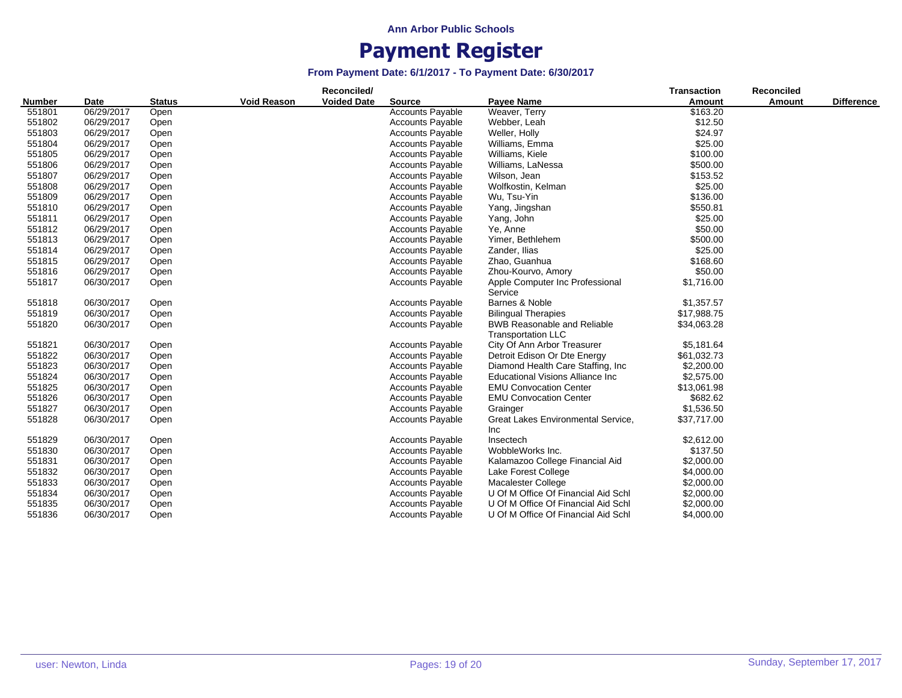| <b>Number</b> | Date       | <b>Status</b> | <b>Void Reason</b> | Reconciled/<br><b>Voided Date</b> | <b>Source</b>           | <b>Payee Name</b>                                               | <b>Transaction</b><br>Amount | Reconciled<br>Amount | <b>Difference</b> |
|---------------|------------|---------------|--------------------|-----------------------------------|-------------------------|-----------------------------------------------------------------|------------------------------|----------------------|-------------------|
| 551801        | 06/29/2017 | Open          |                    |                                   | <b>Accounts Payable</b> | Weaver, Terry                                                   | \$163.20                     |                      |                   |
| 551802        | 06/29/2017 | Open          |                    |                                   | <b>Accounts Payable</b> | Webber, Leah                                                    | \$12.50                      |                      |                   |
| 551803        | 06/29/2017 | Open          |                    |                                   | <b>Accounts Payable</b> | Weller, Holly                                                   | \$24.97                      |                      |                   |
| 551804        | 06/29/2017 | Open          |                    |                                   | <b>Accounts Payable</b> | Williams, Emma                                                  | \$25.00                      |                      |                   |
| 551805        | 06/29/2017 | Open          |                    |                                   | Accounts Payable        | Williams, Kiele                                                 | \$100.00                     |                      |                   |
| 551806        | 06/29/2017 | Open          |                    |                                   | <b>Accounts Payable</b> | Williams, LaNessa                                               | \$500.00                     |                      |                   |
| 551807        | 06/29/2017 | Open          |                    |                                   | <b>Accounts Payable</b> | Wilson, Jean                                                    | \$153.52                     |                      |                   |
| 551808        | 06/29/2017 | Open          |                    |                                   | Accounts Payable        | Wolfkostin, Kelman                                              | \$25.00                      |                      |                   |
| 551809        | 06/29/2017 | Open          |                    |                                   | Accounts Payable        | Wu, Tsu-Yin                                                     | \$136.00                     |                      |                   |
| 551810        | 06/29/2017 | Open          |                    |                                   | Accounts Payable        | Yang, Jingshan                                                  | \$550.81                     |                      |                   |
| 551811        | 06/29/2017 | Open          |                    |                                   | <b>Accounts Payable</b> | Yang, John                                                      | \$25.00                      |                      |                   |
| 551812        | 06/29/2017 | Open          |                    |                                   | <b>Accounts Payable</b> | Ye, Anne                                                        | \$50.00                      |                      |                   |
| 551813        | 06/29/2017 | Open          |                    |                                   | <b>Accounts Payable</b> | Yimer, Bethlehem                                                | \$500.00                     |                      |                   |
| 551814        | 06/29/2017 | Open          |                    |                                   | <b>Accounts Payable</b> | Zander, Ilias                                                   | \$25.00                      |                      |                   |
| 551815        | 06/29/2017 | Open          |                    |                                   | <b>Accounts Payable</b> | Zhao, Guanhua                                                   | \$168.60                     |                      |                   |
| 551816        | 06/29/2017 | Open          |                    |                                   | <b>Accounts Payable</b> | Zhou-Kourvo, Amory                                              | \$50.00                      |                      |                   |
| 551817        | 06/30/2017 | Open          |                    |                                   | <b>Accounts Payable</b> | Apple Computer Inc Professional<br>Service                      | \$1,716.00                   |                      |                   |
| 551818        | 06/30/2017 | Open          |                    |                                   | Accounts Payable        | Barnes & Noble                                                  | \$1,357.57                   |                      |                   |
| 551819        | 06/30/2017 | Open          |                    |                                   | <b>Accounts Payable</b> | <b>Bilingual Therapies</b>                                      | \$17,988.75                  |                      |                   |
| 551820        | 06/30/2017 | Open          |                    |                                   | <b>Accounts Payable</b> | <b>BWB Reasonable and Reliable</b><br><b>Transportation LLC</b> | \$34,063.28                  |                      |                   |
| 551821        | 06/30/2017 | Open          |                    |                                   | <b>Accounts Payable</b> | City Of Ann Arbor Treasurer                                     | \$5,181.64                   |                      |                   |
| 551822        | 06/30/2017 | Open          |                    |                                   | <b>Accounts Payable</b> | Detroit Edison Or Dte Energy                                    | \$61,032.73                  |                      |                   |
| 551823        | 06/30/2017 | Open          |                    |                                   | <b>Accounts Payable</b> | Diamond Health Care Staffing, Inc.                              | \$2,200.00                   |                      |                   |
| 551824        | 06/30/2017 | Open          |                    |                                   | <b>Accounts Payable</b> | <b>Educational Visions Alliance Inc</b>                         | \$2,575.00                   |                      |                   |
| 551825        | 06/30/2017 | Open          |                    |                                   | Accounts Payable        | <b>EMU Convocation Center</b>                                   | \$13,061.98                  |                      |                   |
| 551826        | 06/30/2017 | Open          |                    |                                   | <b>Accounts Payable</b> | <b>EMU Convocation Center</b>                                   | \$682.62                     |                      |                   |
| 551827        | 06/30/2017 | Open          |                    |                                   | <b>Accounts Payable</b> | Grainger                                                        | \$1,536.50                   |                      |                   |
| 551828        | 06/30/2017 | Open          |                    |                                   | Accounts Payable        | Great Lakes Environmental Service,<br>Inc                       | \$37,717.00                  |                      |                   |
| 551829        | 06/30/2017 | Open          |                    |                                   | <b>Accounts Payable</b> | Insectech                                                       | \$2,612.00                   |                      |                   |
| 551830        | 06/30/2017 | Open          |                    |                                   | <b>Accounts Payable</b> | WobbleWorks Inc.                                                | \$137.50                     |                      |                   |
| 551831        | 06/30/2017 | Open          |                    |                                   | <b>Accounts Payable</b> | Kalamazoo College Financial Aid                                 | \$2,000.00                   |                      |                   |
| 551832        | 06/30/2017 | Open          |                    |                                   | <b>Accounts Payable</b> | Lake Forest College                                             | \$4,000.00                   |                      |                   |
| 551833        | 06/30/2017 | Open          |                    |                                   | <b>Accounts Payable</b> | Macalester College                                              | \$2,000.00                   |                      |                   |
| 551834        | 06/30/2017 | Open          |                    |                                   | <b>Accounts Payable</b> | U Of M Office Of Financial Aid Schl                             | \$2,000.00                   |                      |                   |
| 551835        | 06/30/2017 | Open          |                    |                                   | <b>Accounts Payable</b> | U Of M Office Of Financial Aid Schl                             | \$2,000.00                   |                      |                   |
| 551836        | 06/30/2017 | Open          |                    |                                   | <b>Accounts Payable</b> | U Of M Office Of Financial Aid Schl                             | \$4,000.00                   |                      |                   |